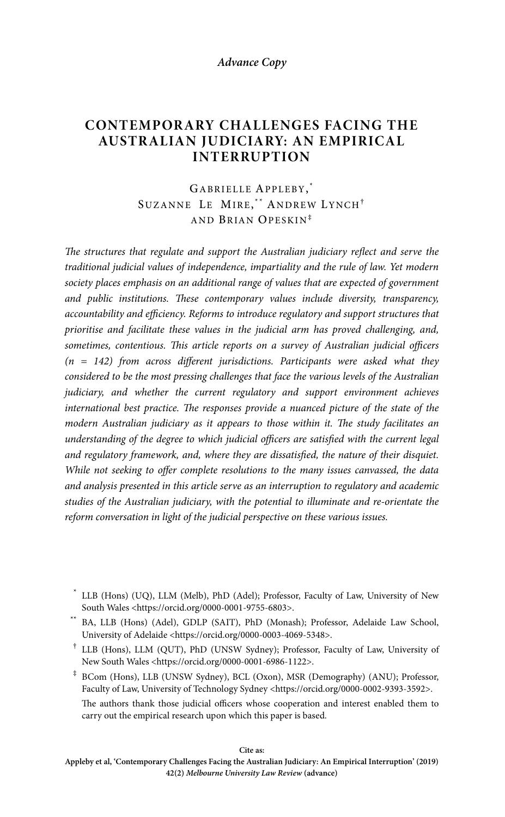#### **Advance Copy**

# **CONTEMPORARY CHALLENGES FACING THE AUSTRALIAN JUDICIARY: AN EMPIRICAL INTERRUPTION**

# GABRIELLE APPLEBY, \* SUZANNE LE MIRE,\*\* ANDREW LYNCH<sup>+</sup> AND BRIAN OPESKIN‡

*The structures that regulate and support the Australian judiciary reflect and serve the traditional judicial values of independence, impartiality and the rule of law. Yet modern society places emphasis on an additional range of values that are expected of government and public institutions. These contemporary values include diversity, transparency, accountability and efficiency. Reforms to introduce regulatory and support structures that prioritise and facilitate these values in the judicial arm has proved challenging, and, sometimes, contentious. This article reports on a survey of Australian judicial officers (n = 142) from across different jurisdictions. Participants were asked what they considered to be the most pressing challenges that face the various levels of the Australian judiciary, and whether the current regulatory and support environment achieves international best practice. The responses provide a nuanced picture of the state of the modern Australian judiciary as it appears to those within it. The study facilitates an understanding of the degree to which judicial officers are satisfied with the current legal and regulatory framework, and, where they are dissatisfied, the nature of their disquiet. While not seeking to offer complete resolutions to the many issues canvassed, the data and analysis presented in this article serve as an interruption to regulatory and academic studies of the Australian judiciary, with the potential to illuminate and re-orientate the reform conversation in light of the judicial perspective on these various issues.* 

- † LLB (Hons), LLM (QUT), PhD (UNSW Sydney); Professor, Faculty of Law, University of New South Wales <https://orcid.org/0000-0001-6986-1122>.
- ‡ BCom (Hons), LLB (UNSW Sydney), BCL (Oxon), MSR (Demography) (ANU); Professor, Faculty of Law, University of Technology Sydney <https://orcid.org/0000-0002-9393-3592>.

 The authors thank those judicial officers whose cooperation and interest enabled them to carry out the empirical research upon which this paper is based.

**Cite as:** 

 <sup>\*</sup> LLB (Hons) (UQ), LLM (Melb), PhD (Adel); Professor, Faculty of Law, University of New South Wales <https://orcid.org/0000-0001-9755-6803>.

 <sup>\*\*</sup> BA, LLB (Hons) (Adel), GDLP (SAIT), PhD (Monash); Professor, Adelaide Law School, University of Adelaide <https://orcid.org/0000-0003-4069-5348>.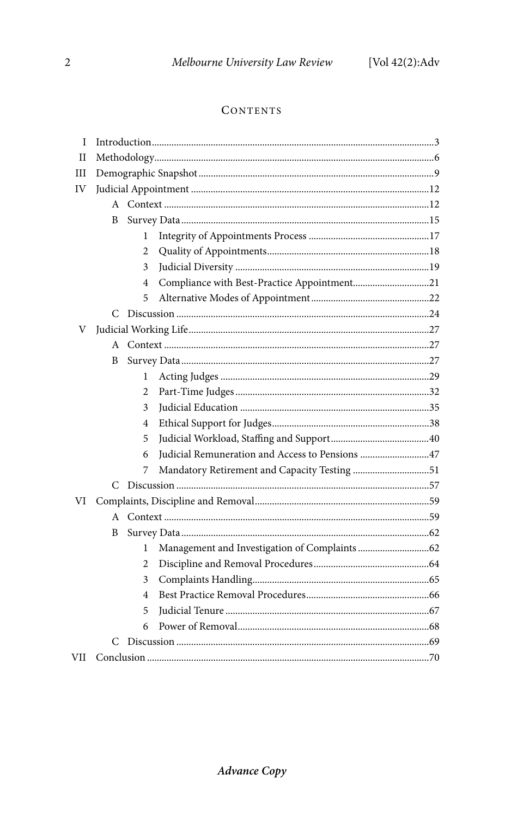# **CONTENTS**

| I            |   |   |                                                 |  |  |  |
|--------------|---|---|-------------------------------------------------|--|--|--|
| $_{\rm II}$  |   |   |                                                 |  |  |  |
| III          |   |   |                                                 |  |  |  |
| IV           |   |   |                                                 |  |  |  |
|              |   |   |                                                 |  |  |  |
|              | B |   |                                                 |  |  |  |
|              |   | 1 |                                                 |  |  |  |
|              |   | 2 |                                                 |  |  |  |
|              |   | 3 |                                                 |  |  |  |
|              |   | 4 | Compliance with Best-Practice Appointment21     |  |  |  |
|              |   | 5 |                                                 |  |  |  |
|              |   |   |                                                 |  |  |  |
| V            |   |   |                                                 |  |  |  |
| A            |   |   |                                                 |  |  |  |
|              | B |   |                                                 |  |  |  |
|              |   | 1 |                                                 |  |  |  |
|              |   | 2 |                                                 |  |  |  |
|              |   | 3 |                                                 |  |  |  |
|              |   | 4 |                                                 |  |  |  |
|              |   | 5 |                                                 |  |  |  |
|              |   | 6 | Judicial Remuneration and Access to Pensions 47 |  |  |  |
|              |   | 7 | Mandatory Retirement and Capacity Testing 51    |  |  |  |
|              | C |   |                                                 |  |  |  |
| VI           |   |   |                                                 |  |  |  |
| $\mathsf{A}$ |   |   |                                                 |  |  |  |
|              | B |   |                                                 |  |  |  |
|              |   | 1 |                                                 |  |  |  |
|              |   | 2 |                                                 |  |  |  |
|              |   | 3 |                                                 |  |  |  |
|              |   | 4 |                                                 |  |  |  |
|              |   | 5 |                                                 |  |  |  |
|              |   | 6 |                                                 |  |  |  |
|              |   |   |                                                 |  |  |  |
| VII          |   |   |                                                 |  |  |  |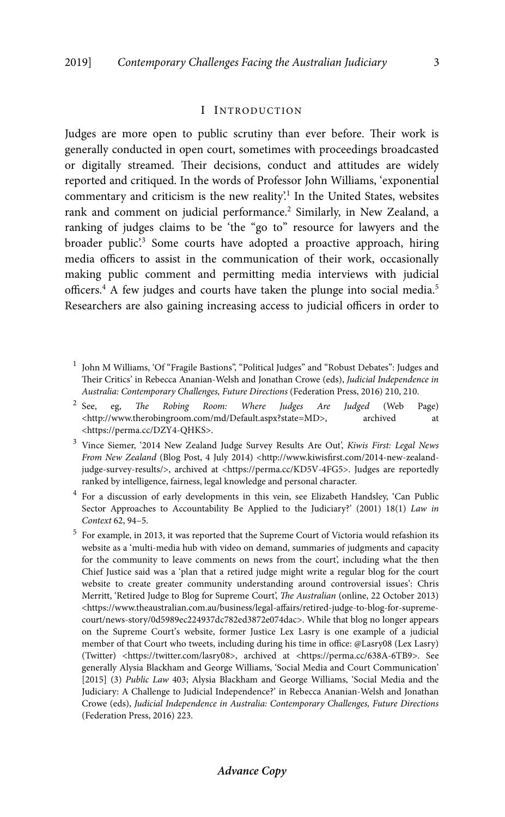## I INTRODUCTION

Judges are more open to public scrutiny than ever before. Their work is generally conducted in open court, sometimes with proceedings broadcasted or digitally streamed. Their decisions, conduct and attitudes are widely reported and critiqued. In the words of Professor John Williams, 'exponential commentary and criticism is the new reality'.<sup>1</sup> In the United States, websites rank and comment on judicial performance.<sup>2</sup> Similarly, in New Zealand, a ranking of judges claims to be 'the "go to" resource for lawyers and the broader public'.<sup>3</sup> Some courts have adopted a proactive approach, hiring media officers to assist in the communication of their work, occasionally making public comment and permitting media interviews with judicial officers.<sup>4</sup> A few judges and courts have taken the plunge into social media.<sup>5</sup> Researchers are also gaining increasing access to judicial officers in order to

- $2$  See, eg, The Robing Room: Where Judges Are Judged (Web Page) <http://www.therobingroom.com/md/Default.aspx?state=MD>, archived at <https://perma.cc/DZY4-QHKS>.
- 3 Vince Siemer, '2014 New Zealand Judge Survey Results Are Out', *Kiwis First: Legal News*  From New Zealand (Blog Post, 4 July 2014) <http://www.kiwisfirst.com/2014-new-zealandjudge-survey-results/>, archived at <https://perma.cc/KD5V-4FG5>. Judges are reportedly ranked by intelligence, fairness, legal knowledge and personal character.
- <sup>4</sup> For a discussion of early developments in this vein, see Elizabeth Handsley, 'Can Public Sector Approaches to Accountability Be Applied to the Judiciary?' (2001) 18(1) *Law in Context* 62, 94–5.
- <sup>5</sup> For example, in 2013, it was reported that the Supreme Court of Victoria would refashion its website as a 'multi-media hub with video on demand, summaries of judgments and capacity for the community to leave comments on news from the court', including what the then Chief Justice said was a 'plan that a retired judge might write a regular blog for the court website to create greater community understanding around controversial issues': Chris Merritt, 'Retired Judge to Blog for Supreme Court', *The Australian* (online, 22 October 2013) <https://www.theaustralian.com.au/business/legal-affairs/retired-judge-to-blog-for-supremecourt/news-story/0d5989ec224937dc782ed3872e074dac>. While that blog no longer appears on the Supreme Court's website, former Justice Lex Lasry is one example of a judicial member of that Court who tweets, including during his time in office: @Lasry08 (Lex Lasry) (Twitter) <https://twitter.com/lasry08>, archived at <https://perma.cc/638A-6TB9>. See generally Alysia Blackham and George Williams, 'Social Media and Court Communication' [2015] (3) *Public Law* 403; Alysia Blackham and George Williams, 'Social Media and the Judiciary: A Challenge to Judicial Independence?' in Rebecca Ananian-Welsh and Jonathan Crowe (eds), *Judicial Independence in Australia: Contemporary Challenges, Future Directions*  (Federation Press, 2016) 223.

<sup>&</sup>lt;sup>1</sup> John M Williams, 'Of "Fragile Bastions", "Political Judges" and "Robust Debates": Judges and Their Critics' in Rebecca Ananian-Welsh and Jonathan Crowe (eds), *Judicial Independence in Australia: Contemporary Challenges, Future Directions* (Federation Press, 2016) 210, 210.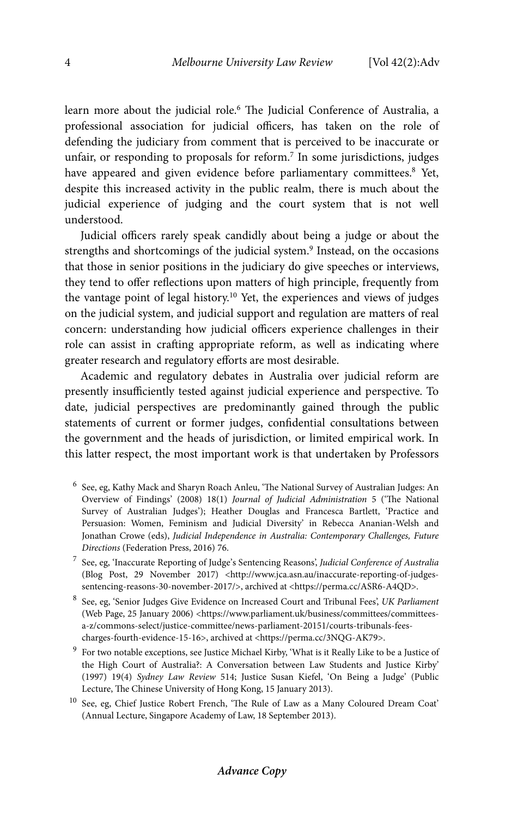learn more about the judicial role.<sup>6</sup> The Judicial Conference of Australia, a professional association for judicial officers, has taken on the role of defending the judiciary from comment that is perceived to be inaccurate or unfair, or responding to proposals for reform. $^7$  In some jurisdictions, judges have appeared and given evidence before parliamentary committees.<sup>8</sup> Yet, despite this increased activity in the public realm, there is much about the judicial experience of judging and the court system that is not well understood.

Judicial officers rarely speak candidly about being a judge or about the strengths and shortcomings of the judicial system.<sup>9</sup> Instead, on the occasions that those in senior positions in the judiciary do give speeches or interviews, they tend to offer reflections upon matters of high principle, frequently from the vantage point of legal history.<sup>10</sup> Yet, the experiences and views of judges on the judicial system, and judicial support and regulation are matters of real concern: understanding how judicial officers experience challenges in their role can assist in crafting appropriate reform, as well as indicating where greater research and regulatory efforts are most desirable.

Academic and regulatory debates in Australia over judicial reform are presently insufficiently tested against judicial experience and perspective. To date, judicial perspectives are predominantly gained through the public statements of current or former judges, confidential consultations between the government and the heads of jurisdiction, or limited empirical work. In this latter respect, the most important work is that undertaken by Professors

- 6 See, eg, Kathy Mack and Sharyn Roach Anleu, 'The National Survey of Australian Judges: An Overview of Findings' (2008) 18(1) *Journal of Judicial Administration* 5 ('The National Survey of Australian Judges'); Heather Douglas and Francesca Bartlett, 'Practice and Persuasion: Women, Feminism and Judicial Diversity' in Rebecca Ananian-Welsh and Jonathan Crowe (eds), *Judicial Independence in Australia: Contemporary Challenges, Future Directions* (Federation Press, 2016) 76.
- 7 See, eg, 'Inaccurate Reporting of Judge's Sentencing Reasons', *Judicial Conference of Australia*  (Blog Post, 29 November 2017) <http://www.jca.asn.au/inaccurate-reporting-of-judgessentencing-reasons-30-november-2017/>, archived at <https://perma.cc/ASR6-A4QD>.
- 8 See, eg, 'Senior Judges Give Evidence on Increased Court and Tribunal Fees', *UK Parliament*  (Web Page, 25 January 2006) <https://www.parliament.uk/business/committees/committeesa-z/commons-select/justice-committee/news-parliament-20151/courts-tribunals-feescharges-fourth-evidence-15-16>, archived at <https://perma.cc/3NQG-AK79>.
- <sup>9</sup> For two notable exceptions, see Justice Michael Kirby, 'What is it Really Like to be a Justice of the High Court of Australia?: A Conversation between Law Students and Justice Kirby' (1997) 19(4) *Sydney Law Review* 514; Justice Susan Kiefel, 'On Being a Judge' (Public Lecture, The Chinese University of Hong Kong, 15 January 2013).
- $10$  See, eg, Chief Justice Robert French, 'The Rule of Law as a Many Coloured Dream Coat' (Annual Lecture, Singapore Academy of Law, 18 September 2013).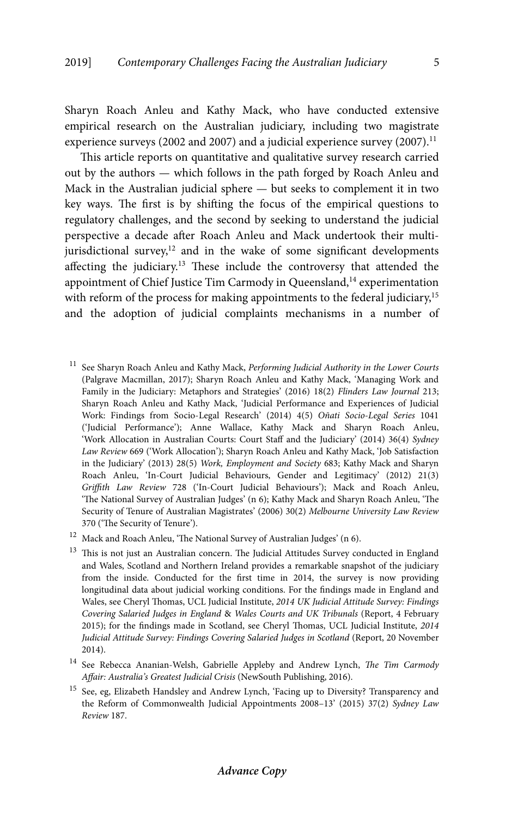Sharyn Roach Anleu and Kathy Mack, who have conducted extensive empirical research on the Australian judiciary, including two magistrate experience surveys (2002 and 2007) and a judicial experience survey (2007).<sup>11</sup>

This article reports on quantitative and qualitative survey research carried out by the authors — which follows in the path forged by Roach Anleu and Mack in the Australian judicial sphere — but seeks to complement it in two key ways. The first is by shifting the focus of the empirical questions to regulatory challenges, and the second by seeking to understand the judicial perspective a decade after Roach Anleu and Mack undertook their multijurisdictional survey, $12$  and in the wake of some significant developments affecting the judiciary.13 These include the controversy that attended the appointment of Chief Justice Tim Carmody in Queensland,<sup>14</sup> experimentation with reform of the process for making appointments to the federal judiciary,<sup>15</sup> and the adoption of judicial complaints mechanisms in a number of

- 11 See Sharyn Roach Anleu and Kathy Mack, *Performing Judicial Authority in the Lower Courts*  (Palgrave Macmillan, 2017); Sharyn Roach Anleu and Kathy Mack, 'Managing Work and Family in the Judiciary: Metaphors and Strategies' (2016) 18(2) *Flinders Law Journal* 213; Sharyn Roach Anleu and Kathy Mack, 'Judicial Performance and Experiences of Judicial Work: Findings from Socio-Legal Research' (2014) 4(5) *Oñati Socio-Legal Series* 1041 ('Judicial Performance'); Anne Wallace, Kathy Mack and Sharyn Roach Anleu, 'Work Allocation in Australian Courts: Court Staff and the Judiciary' (2014) 36(4) *Sydney Law Review* 669 ('Work Allocation'); Sharyn Roach Anleu and Kathy Mack, 'Job Satisfaction in the Judiciary' (2013) 28(5) *Work, Employment and Society* 683; Kathy Mack and Sharyn Roach Anleu, 'In-Court Judicial Behaviours, Gender and Legitimacy' (2012) 21(3) *Griffith Law Review* 728 ('In-Court Judicial Behaviours'); Mack and Roach Anleu, 'The National Survey of Australian Judges' (n 6); Kathy Mack and Sharyn Roach Anleu, 'The Security of Tenure of Australian Magistrates' (2006) 30(2) *Melbourne University Law Review*  370 ('The Security of Tenure').
- <sup>12</sup> Mack and Roach Anleu, 'The National Survey of Australian Judges' (n 6).
- <sup>13</sup> This is not just an Australian concern. The Judicial Attitudes Survey conducted in England and Wales, Scotland and Northern Ireland provides a remarkable snapshot of the judiciary from the inside. Conducted for the first time in 2014, the survey is now providing longitudinal data about judicial working conditions. For the findings made in England and Wales, see Cheryl Thomas, UCL Judicial Institute, *2014 UK Judicial Attitude Survey: Findings Covering Salaried Judges in England* & *Wales Courts and UK Tribunals* (Report, 4 February 2015); for the findings made in Scotland, see Cheryl Thomas, UCL Judicial Institute, *2014 Judicial Attitude Survey: Findings Covering Salaried Judges in Scotland* (Report, 20 November 2014).
- 14 See Rebecca Ananian-Welsh, Gabrielle Appleby and Andrew Lynch, *The Tim Carmody Affair: Australia's Greatest Judicial Crisis* (NewSouth Publishing, 2016).
- 15 See, eg, Elizabeth Handsley and Andrew Lynch, 'Facing up to Diversity? Transparency and the Reform of Commonwealth Judicial Appointments 2008–13' (2015) 37(2) *Sydney Law Review* 187.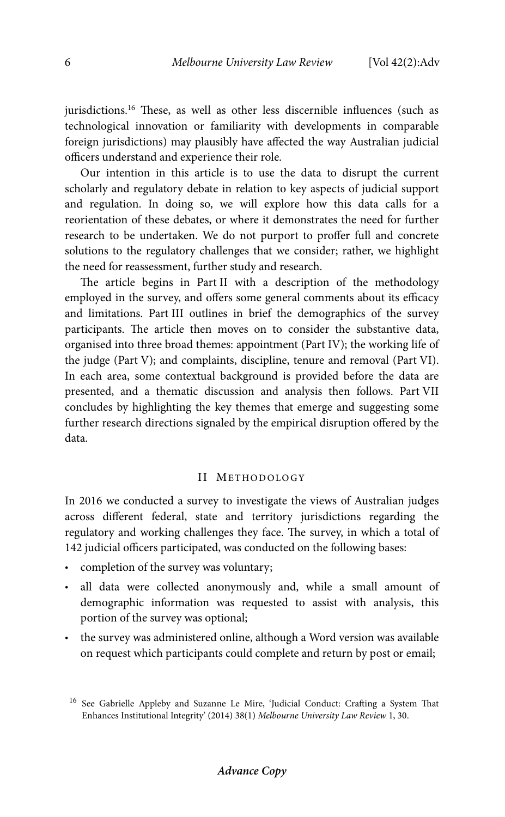jurisdictions.<sup>16</sup> These, as well as other less discernible influences (such as technological innovation or familiarity with developments in comparable foreign jurisdictions) may plausibly have affected the way Australian judicial officers understand and experience their role.

Our intention in this article is to use the data to disrupt the current scholarly and regulatory debate in relation to key aspects of judicial support and regulation. In doing so, we will explore how this data calls for a reorientation of these debates, or where it demonstrates the need for further research to be undertaken. We do not purport to proffer full and concrete solutions to the regulatory challenges that we consider; rather, we highlight the need for reassessment, further study and research.

The article begins in Part II with a description of the methodology employed in the survey, and offers some general comments about its efficacy and limitations. Part III outlines in brief the demographics of the survey participants. The article then moves on to consider the substantive data, organised into three broad themes: appointment (Part IV); the working life of the judge (Part V); and complaints, discipline, tenure and removal (Part VI). In each area, some contextual background is provided before the data are presented, and a thematic discussion and analysis then follows. Part VII concludes by highlighting the key themes that emerge and suggesting some further research directions signaled by the empirical disruption offered by the data.

## II METHODOLOGY

In 2016 we conducted a survey to investigate the views of Australian judges across different federal, state and territory jurisdictions regarding the regulatory and working challenges they face. The survey, in which a total of 142 judicial officers participated, was conducted on the following bases:

- completion of the survey was voluntary;
- all data were collected anonymously and, while a small amount of demographic information was requested to assist with analysis, this portion of the survey was optional;
- the survey was administered online, although a Word version was available on request which participants could complete and return by post or email;

<sup>16</sup> See Gabrielle Appleby and Suzanne Le Mire, 'Judicial Conduct: Crafting a System That Enhances Institutional Integrity' (2014) 38(1) *Melbourne University Law Review* 1, 30.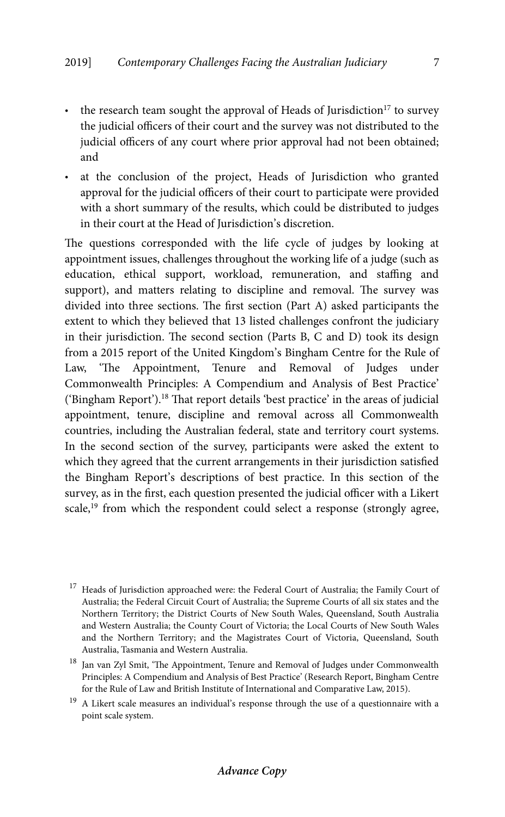- the research team sought the approval of Heads of Jurisdiction<sup>17</sup> to survey the judicial officers of their court and the survey was not distributed to the judicial officers of any court where prior approval had not been obtained; and
- at the conclusion of the project, Heads of Jurisdiction who granted approval for the judicial officers of their court to participate were provided with a short summary of the results, which could be distributed to judges in their court at the Head of Jurisdiction's discretion.

The questions corresponded with the life cycle of judges by looking at appointment issues, challenges throughout the working life of a judge (such as education, ethical support, workload, remuneration, and staffing and support), and matters relating to discipline and removal. The survey was divided into three sections. The first section (Part A) asked participants the extent to which they believed that 13 listed challenges confront the judiciary in their jurisdiction. The second section (Parts B, C and D) took its design from a 2015 report of the United Kingdom's Bingham Centre for the Rule of Law, 'The Appointment, Tenure and Removal of Judges under Commonwealth Principles: A Compendium and Analysis of Best Practice' ('Bingham Report').18 That report details 'best practice' in the areas of judicial appointment, tenure, discipline and removal across all Commonwealth countries, including the Australian federal, state and territory court systems. In the second section of the survey, participants were asked the extent to which they agreed that the current arrangements in their jurisdiction satisfied the Bingham Report's descriptions of best practice. In this section of the survey, as in the first, each question presented the judicial officer with a Likert scale,<sup>19</sup> from which the respondent could select a response (strongly agree,

<sup>&</sup>lt;sup>17</sup> Heads of Jurisdiction approached were: the Federal Court of Australia; the Family Court of Australia; the Federal Circuit Court of Australia; the Supreme Courts of all six states and the Northern Territory; the District Courts of New South Wales, Queensland, South Australia and Western Australia; the County Court of Victoria; the Local Courts of New South Wales and the Northern Territory; and the Magistrates Court of Victoria, Queensland, South Australia, Tasmania and Western Australia.

<sup>&</sup>lt;sup>18</sup> Jan van Zyl Smit, 'The Appointment, Tenure and Removal of Judges under Commonwealth Principles: A Compendium and Analysis of Best Practice' (Research Report, Bingham Centre for the Rule of Law and British Institute of International and Comparative Law, 2015).

 $^{19}\,$  A Likert scale measures an individual's response through the use of a questionnaire with a point scale system.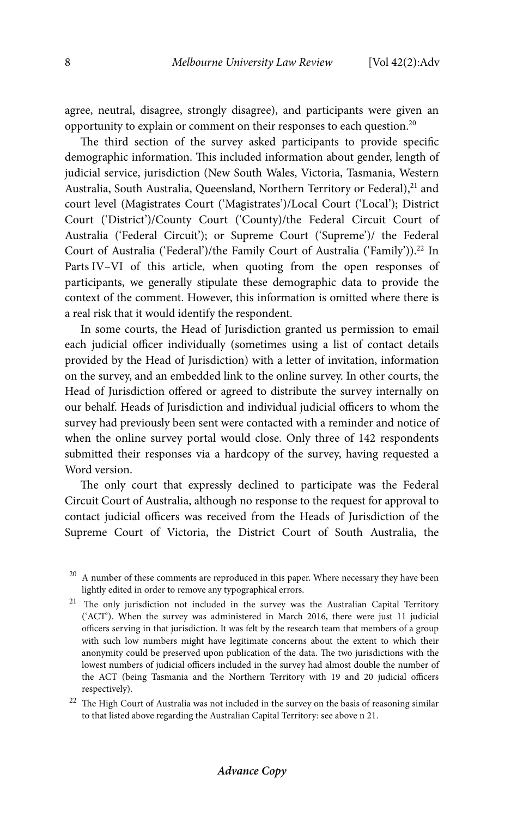agree, neutral, disagree, strongly disagree), and participants were given an opportunity to explain or comment on their responses to each question.20

The third section of the survey asked participants to provide specific demographic information. This included information about gender, length of judicial service, jurisdiction (New South Wales, Victoria, Tasmania, Western Australia, South Australia, Queensland, Northern Territory or Federal),<sup>21</sup> and court level (Magistrates Court ('Magistrates')/Local Court ('Local'); District Court ('District')/County Court ('County)/the Federal Circuit Court of Australia ('Federal Circuit'); or Supreme Court ('Supreme')/ the Federal Court of Australia ('Federal')/the Family Court of Australia ('Family')).<sup>22</sup> In Parts IV–VI of this article, when quoting from the open responses of participants, we generally stipulate these demographic data to provide the context of the comment. However, this information is omitted where there is a real risk that it would identify the respondent.

In some courts, the Head of Jurisdiction granted us permission to email each judicial officer individually (sometimes using a list of contact details provided by the Head of Jurisdiction) with a letter of invitation, information on the survey, and an embedded link to the online survey. In other courts, the Head of Jurisdiction offered or agreed to distribute the survey internally on our behalf. Heads of Jurisdiction and individual judicial officers to whom the survey had previously been sent were contacted with a reminder and notice of when the online survey portal would close. Only three of 142 respondents submitted their responses via a hardcopy of the survey, having requested a Word version.

The only court that expressly declined to participate was the Federal Circuit Court of Australia, although no response to the request for approval to contact judicial officers was received from the Heads of Jurisdiction of the Supreme Court of Victoria, the District Court of South Australia, the

 $^\mathrm{20}$  A number of these comments are reproduced in this paper. Where necessary they have been lightly edited in order to remove any typographical errors.

<sup>&</sup>lt;sup>21</sup> The only jurisdiction not included in the survey was the Australian Capital Territory ('ACT'). When the survey was administered in March 2016, there were just 11 judicial officers serving in that jurisdiction. It was felt by the research team that members of a group with such low numbers might have legitimate concerns about the extent to which their anonymity could be preserved upon publication of the data. The two jurisdictions with the lowest numbers of judicial officers included in the survey had almost double the number of the ACT (being Tasmania and the Northern Territory with 19 and 20 judicial officers respectively).

 $^\mathrm{22}$  The High Court of Australia was not included in the survey on the basis of reasoning similar to that listed above regarding the Australian Capital Territory: see above n 21.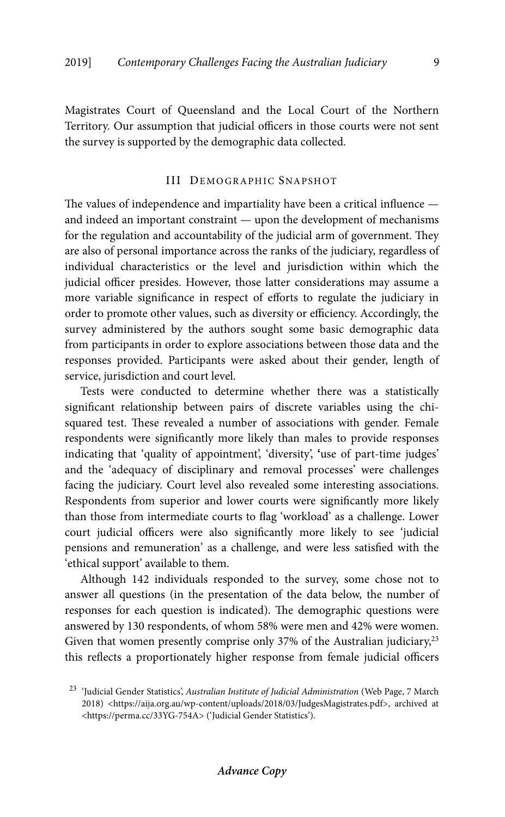Magistrates Court of Queensland and the Local Court of the Northern Territory. Our assumption that judicial officers in those courts were not sent the survey is supported by the demographic data collected.

# III DEMOGRAPHIC SNAPSHOT

The values of independence and impartiality have been a critical influence and indeed an important constraint — upon the development of mechanisms for the regulation and accountability of the judicial arm of government. They are also of personal importance across the ranks of the judiciary, regardless of individual characteristics or the level and jurisdiction within which the judicial officer presides. However, those latter considerations may assume a more variable significance in respect of efforts to regulate the judiciary in order to promote other values, such as diversity or efficiency. Accordingly, the survey administered by the authors sought some basic demographic data from participants in order to explore associations between those data and the responses provided. Participants were asked about their gender, length of service, jurisdiction and court level.

Tests were conducted to determine whether there was a statistically significant relationship between pairs of discrete variables using the chisquared test. These revealed a number of associations with gender. Female respondents were significantly more likely than males to provide responses indicating that 'quality of appointment', 'diversity', **'**use of part-time judges' and the 'adequacy of disciplinary and removal processes' were challenges facing the judiciary. Court level also revealed some interesting associations. Respondents from superior and lower courts were significantly more likely than those from intermediate courts to flag 'workload' as a challenge. Lower court judicial officers were also significantly more likely to see 'judicial pensions and remuneration' as a challenge, and were less satisfied with the 'ethical support' available to them.

Although 142 individuals responded to the survey, some chose not to answer all questions (in the presentation of the data below, the number of responses for each question is indicated). The demographic questions were answered by 130 respondents, of whom 58% were men and 42% were women. Given that women presently comprise only 37% of the Australian judiciary,  $2^3$ this reflects a proportionately higher response from female judicial officers

<sup>23 &#</sup>x27;Judicial Gender Statistics', *Australian Institute of Judicial Administration* (Web Page, 7 March 2018) <https://aija.org.au/wp-content/uploads/2018/03/JudgesMagistrates.pdf>, archived at <https://perma.cc/33YG-754A> ('Judicial Gender Statistics').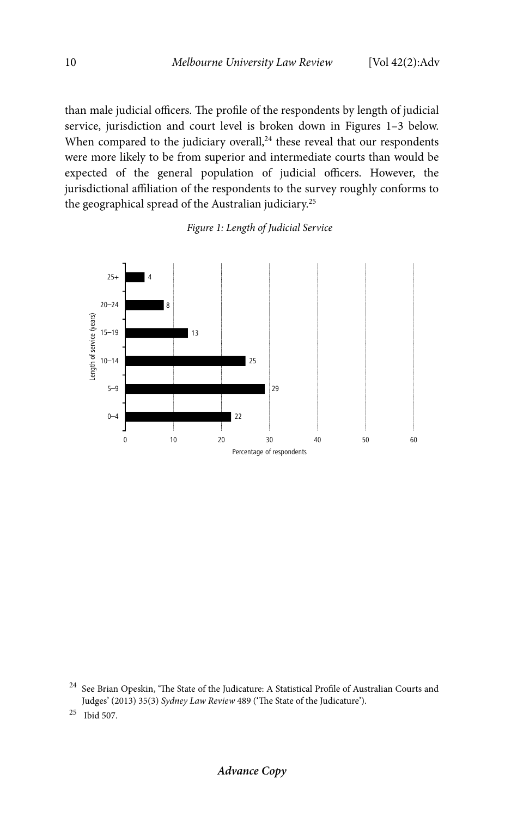than male judicial officers. The profile of the respondents by length of judicial service, jurisdiction and court level is broken down in Figures 1–3 below. When compared to the judiciary overall, $24$  these reveal that our respondents were more likely to be from superior and intermediate courts than would be expected of the general population of judicial officers. However, the jurisdictional affiliation of the respondents to the survey roughly conforms to the geographical spread of the Australian judiciary.<sup>25</sup>

# *Figure 1: Length of Judicial Service*



24 See Brian Opeskin, 'The State of the Judicature: A Statistical Profile of Australian Courts and Judges' (2013) 35(3) *Sydney Law Review* 489 ('The State of the Judicature').

25 Ibid 507.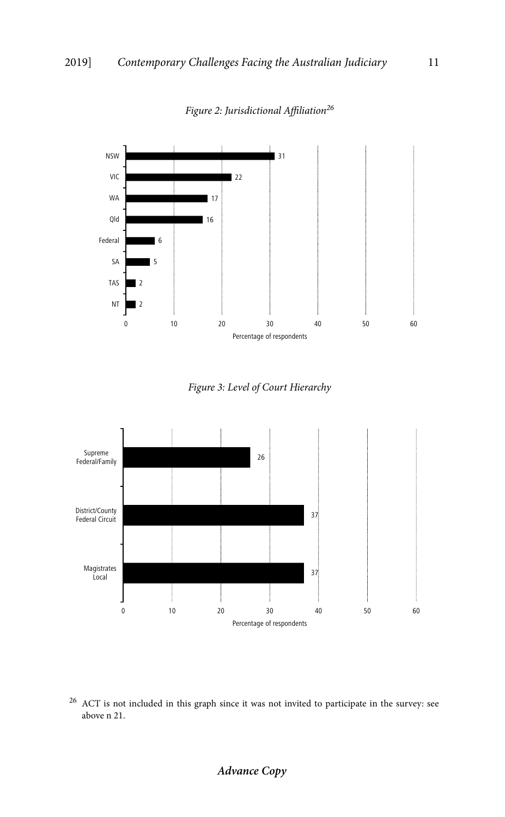

*Figure 2: Jurisdictional Affiliation<sup>26</sup>*

*Figure 3: Level of Court Hierarchy* 



 $^{26}\,$  ACT is not included in this graph since it was not invited to participate in the survey: see above n 21.

# **Advance Copy**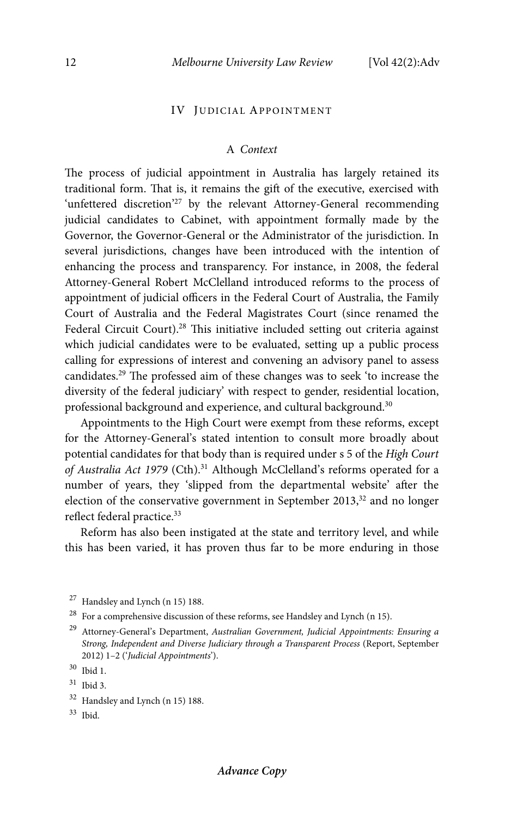## IV JUDICIAL APPOINTMENT

#### A *Context*

The process of judicial appointment in Australia has largely retained its traditional form. That is, it remains the gift of the executive, exercised with 'unfettered discretion'<sup>27</sup> by the relevant Attorney-General recommending judicial candidates to Cabinet, with appointment formally made by the Governor, the Governor-General or the Administrator of the jurisdiction. In several jurisdictions, changes have been introduced with the intention of enhancing the process and transparency. For instance, in 2008, the federal Attorney-General Robert McClelland introduced reforms to the process of appointment of judicial officers in the Federal Court of Australia, the Family Court of Australia and the Federal Magistrates Court (since renamed the Federal Circuit Court).<sup>28</sup> This initiative included setting out criteria against which judicial candidates were to be evaluated, setting up a public process calling for expressions of interest and convening an advisory panel to assess candidates.29 The professed aim of these changes was to seek 'to increase the diversity of the federal judiciary' with respect to gender, residential location, professional background and experience, and cultural background.<sup>30</sup>

Appointments to the High Court were exempt from these reforms, except for the Attorney-General's stated intention to consult more broadly about potential candidates for that body than is required under s 5 of the *High Court of Australia Act 1979* (Cth).31 Although McClelland's reforms operated for a number of years, they 'slipped from the departmental website' after the election of the conservative government in September 2013, $32$  and no longer reflect federal practice.33

Reform has also been instigated at the state and territory level, and while this has been varied, it has proven thus far to be more enduring in those

 $27$  Handsley and Lynch (n 15) 188.

 $^{28}\,$  For a comprehensive discussion of these reforms, see Handsley and Lynch (n 15).

29 Attorney-General's Department, *Australian Government, Judicial Appointments: Ensuring a Strong, Independent and Diverse Judiciary through a Transparent Process* (Report, September 2012) 1–2 ('*Judicial Appointments*').

<sup>30</sup> Ibid 1.

<sup>31</sup> Ibid 3.

 $32$  Handsley and Lynch (n 15) 188.

 $33$  Ibid.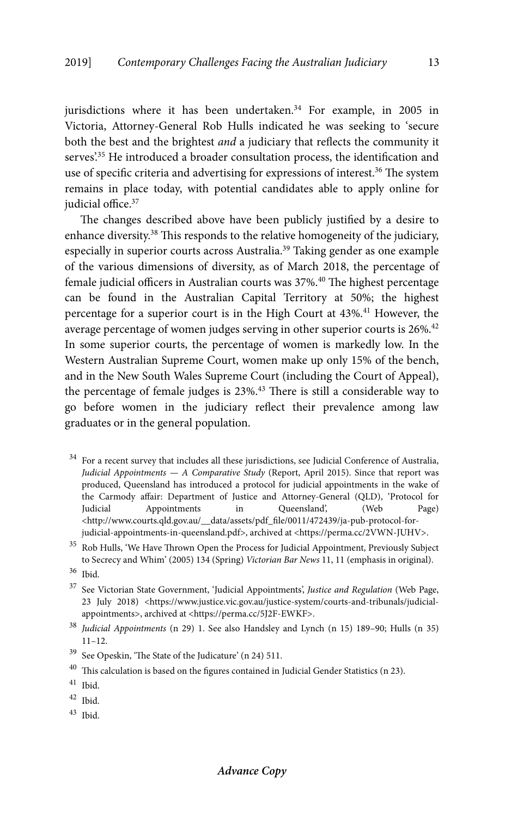jurisdictions where it has been undertaken.<sup>34</sup> For example, in 2005 in Victoria, Attorney-General Rob Hulls indicated he was seeking to 'secure both the best and the brightest *and* a judiciary that reflects the community it serves.<sup>35</sup> He introduced a broader consultation process, the identification and use of specific criteria and advertising for expressions of interest.<sup>36</sup> The system remains in place today, with potential candidates able to apply online for judicial office.<sup>37</sup>

The changes described above have been publicly justified by a desire to enhance diversity.38 This responds to the relative homogeneity of the judiciary, especially in superior courts across Australia.<sup>39</sup> Taking gender as one example of the various dimensions of diversity, as of March 2018, the percentage of female judicial officers in Australian courts was 37%.<sup>40</sup> The highest percentage can be found in the Australian Capital Territory at 50%; the highest percentage for a superior court is in the High Court at 43%.<sup>41</sup> However, the average percentage of women judges serving in other superior courts is 26%.<sup>42</sup> In some superior courts, the percentage of women is markedly low. In the Western Australian Supreme Court, women make up only 15% of the bench, and in the New South Wales Supreme Court (including the Court of Appeal), the percentage of female judges is 23%.<sup>43</sup> There is still a considerable way to go before women in the judiciary reflect their prevalence among law graduates or in the general population.

- $34$  For a recent survey that includes all these jurisdictions, see Judicial Conference of Australia, *Judicial Appointments — A Comparative Study* (Report, April 2015). Since that report was produced, Queensland has introduced a protocol for judicial appointments in the wake of the Carmody affair: Department of Justice and Attorney-General (QLD), 'Protocol for Judicial Appointments in Queensland', (Web Page) <http://www.courts.qld.gov.au/\_\_data/assets/pdf\_file/0011/472439/ja-pub-protocol-forjudicial-appointments-in-queensland.pdf>, archived at <https://perma.cc/2VWN-JUHV>.
- <sup>35</sup> Rob Hulls, 'We Have Thrown Open the Process for Judicial Appointment, Previously Subject to Secrecy and Whim' (2005) 134 (Spring) *Victorian Bar News* 11, 11 (emphasis in original).
- 36 Ibid.
- 37 See Victorian State Government, 'Judicial Appointments', *Justice and Regulation* (Web Page, 23 July 2018) <https://www.justice.vic.gov.au/justice-system/courts-and-tribunals/judicialappointments>, archived at <https://perma.cc/5J2F-EWKF>.

- 39 See Opeskin, 'The State of the Judicature' (n 24) 511.
- $^{40}\,$  This calculation is based on the figures contained in Judicial Gender Statistics (n 23).

- $42$  Ibid.
- 43 Ibid.

<sup>38</sup> *Judicial Appointments* (n 29) 1. See also Handsley and Lynch (n 15) 189–90; Hulls (n 35) 11–12.

 $^{41}\,$  Ibid.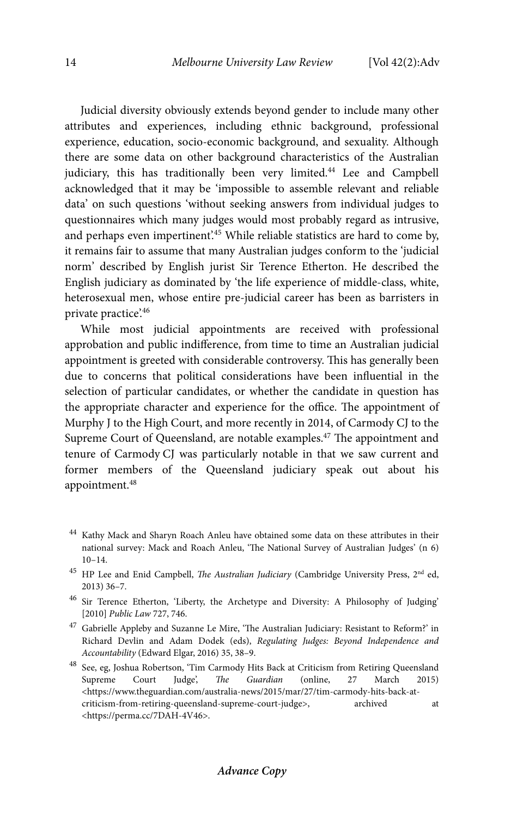Judicial diversity obviously extends beyond gender to include many other attributes and experiences, including ethnic background, professional experience, education, socio-economic background, and sexuality. Although there are some data on other background characteristics of the Australian judiciary, this has traditionally been very limited.<sup>44</sup> Lee and Campbell acknowledged that it may be 'impossible to assemble relevant and reliable data' on such questions 'without seeking answers from individual judges to questionnaires which many judges would most probably regard as intrusive, and perhaps even impertinent.<sup>45</sup> While reliable statistics are hard to come by, it remains fair to assume that many Australian judges conform to the 'judicial norm' described by English jurist Sir Terence Etherton. He described the English judiciary as dominated by 'the life experience of middle-class, white, heterosexual men, whose entire pre-judicial career has been as barristers in private practice'.46

While most judicial appointments are received with professional approbation and public indifference, from time to time an Australian judicial appointment is greeted with considerable controversy. This has generally been due to concerns that political considerations have been influential in the selection of particular candidates, or whether the candidate in question has the appropriate character and experience for the office. The appointment of Murphy J to the High Court, and more recently in 2014, of Carmody CJ to the Supreme Court of Queensland, are notable examples.47 The appointment and tenure of Carmody CJ was particularly notable in that we saw current and former members of the Queensland judiciary speak out about his appointment.48

<sup>&</sup>lt;sup>44</sup> Kathy Mack and Sharyn Roach Anleu have obtained some data on these attributes in their national survey: Mack and Roach Anleu, 'The National Survey of Australian Judges' (n 6) 10–14.

<sup>&</sup>lt;sup>45</sup> HP Lee and Enid Campbell, *The Australian Judiciary* (Cambridge University Press, 2<sup>nd</sup> ed, 2013) 36–7.

<sup>46</sup> Sir Terence Etherton, 'Liberty, the Archetype and Diversity: A Philosophy of Judging' [2010] *Public Law* 727, 746.

<sup>47</sup> Gabrielle Appleby and Suzanne Le Mire, 'The Australian Judiciary: Resistant to Reform?' in Richard Devlin and Adam Dodek (eds), *Regulating Judges: Beyond Independence and Accountability* (Edward Elgar, 2016) 35, 38–9.

 $^{48}\,$  See, eg, Joshua Robertson, 'Tim Carmody Hits Back at Criticism from Retiring Queensland Supreme Court Judge', *The Guardian* (online, 27 March 2015) <https://www.theguardian.com/australia-news/2015/mar/27/tim-carmody-hits-back-atcriticism-from-retiring-queensland-supreme-court-judge>, archived at <https://perma.cc/7DAH-4V46>.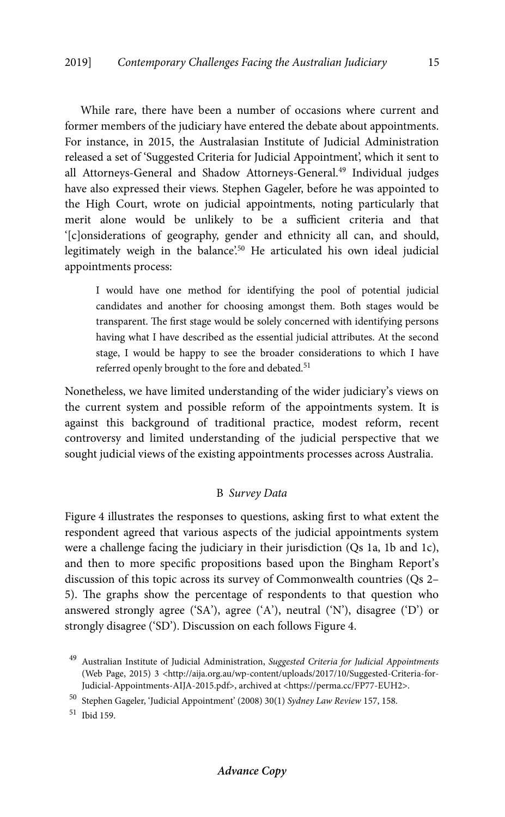While rare, there have been a number of occasions where current and former members of the judiciary have entered the debate about appointments. For instance, in 2015, the Australasian Institute of Judicial Administration released a set of 'Suggested Criteria for Judicial Appointment', which it sent to all Attorneys-General and Shadow Attorneys-General.<sup>49</sup> Individual judges have also expressed their views. Stephen Gageler, before he was appointed to the High Court, wrote on judicial appointments, noting particularly that merit alone would be unlikely to be a sufficient criteria and that '[c]onsiderations of geography, gender and ethnicity all can, and should, legitimately weigh in the balance'.<sup>50</sup> He articulated his own ideal judicial appointments process:

I would have one method for identifying the pool of potential judicial candidates and another for choosing amongst them. Both stages would be transparent. The first stage would be solely concerned with identifying persons having what I have described as the essential judicial attributes. At the second stage, I would be happy to see the broader considerations to which I have referred openly brought to the fore and debated.<sup>51</sup>

Nonetheless, we have limited understanding of the wider judiciary's views on the current system and possible reform of the appointments system. It is against this background of traditional practice, modest reform, recent controversy and limited understanding of the judicial perspective that we sought judicial views of the existing appointments processes across Australia.

# B *Survey Data*

Figure 4 illustrates the responses to questions, asking first to what extent the respondent agreed that various aspects of the judicial appointments system were a challenge facing the judiciary in their jurisdiction (Qs 1a, 1b and 1c), and then to more specific propositions based upon the Bingham Report's discussion of this topic across its survey of Commonwealth countries (Qs 2– 5). The graphs show the percentage of respondents to that question who answered strongly agree ('SA'), agree ('A'), neutral ('N'), disagree ('D') or strongly disagree ('SD'). Discussion on each follows Figure 4.

51 Ibid 159.

<sup>49</sup> Australian Institute of Judicial Administration, *Suggested Criteria for Judicial Appointments* (Web Page, 2015) 3 <http://aija.org.au/wp-content/uploads/2017/10/Suggested-Criteria-for-Judicial-Appointments-AIJA-2015.pdf>, archived at <https://perma.cc/FP77-EUH2>.

<sup>50</sup> Stephen Gageler, 'Judicial Appointment' (2008) 30(1) *Sydney Law Review* 157, 158.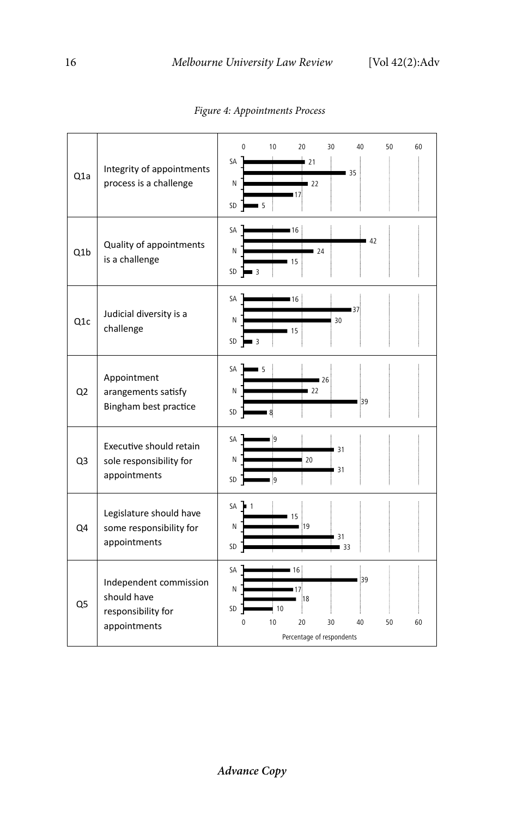| Q <sub>1</sub> a | Integrity of appointments<br>process is a challenge                         | $\Omega$<br>10<br>20<br>30<br>40<br>50<br>60<br>SА<br>21<br>35<br>N<br>122<br>∎17<br>SD<br>$\blacksquare$   |
|------------------|-----------------------------------------------------------------------------|-------------------------------------------------------------------------------------------------------------|
| Q <sub>1</sub> b | Quality of appointments<br>is a challenge                                   | SA<br>16<br>42<br>N<br>124<br>15<br>SD<br>$\overline{3}$                                                    |
| Q <sub>1</sub> c | Judicial diversity is a<br>challenge                                        | SA<br>16<br>∎37<br>N<br>30<br>15<br>SD<br>$\blacksquare$ 3                                                  |
| Q2               | Appointment<br>arangements satisfy<br>Bingham best practice                 | <b>SA</b><br>$\blacksquare$<br>126<br>N<br>22<br>39<br>SD<br>8                                              |
| Q <sub>3</sub>   | Executive should retain<br>sole responsibility for<br>appointments          | SА<br><b>g</b><br>31<br>N<br>20<br>31<br>SD<br>9                                                            |
| Q4               | Legislature should have<br>some responsibility for<br>appointments          | SA<br>$\blacksquare$ 1<br>15<br>N<br>19<br>31<br>SD<br>l 33                                                 |
| Q5               | Independent commission<br>should have<br>responsibility for<br>appointments | SA<br>16<br>39<br>Ν<br>18<br>SD<br>10<br>10<br>20<br>30<br>40<br>50<br>60<br>n<br>Percentage of respondents |

*Figure 4: Appointments Process*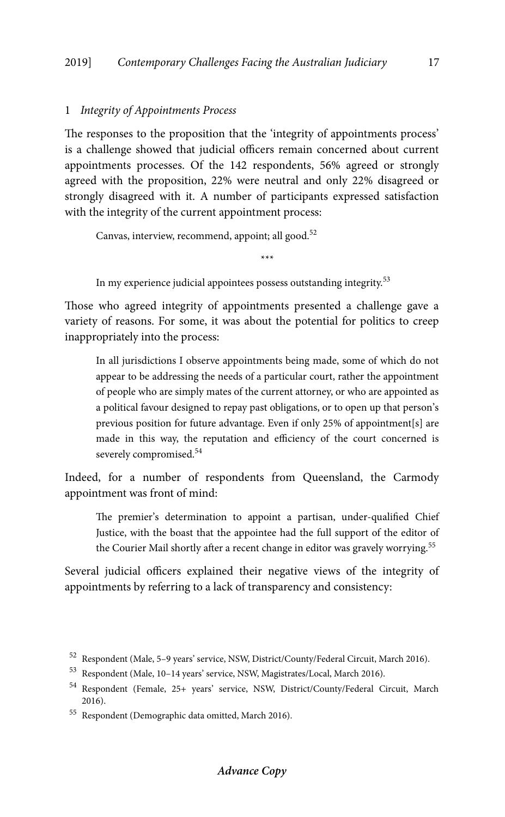## 1 *Integrity of Appointments Process*

The responses to the proposition that the 'integrity of appointments process' is a challenge showed that judicial officers remain concerned about current appointments processes. Of the 142 respondents, 56% agreed or strongly agreed with the proposition, 22% were neutral and only 22% disagreed or strongly disagreed with it. A number of participants expressed satisfaction with the integrity of the current appointment process:

Canvas, interview, recommend, appoint; all good.<sup>52</sup>

In my experience judicial appointees possess outstanding integrity.53

Those who agreed integrity of appointments presented a challenge gave a variety of reasons. For some, it was about the potential for politics to creep inappropriately into the process:

\*\*\*

In all jurisdictions I observe appointments being made, some of which do not appear to be addressing the needs of a particular court, rather the appointment of people who are simply mates of the current attorney, or who are appointed as a political favour designed to repay past obligations, or to open up that person's previous position for future advantage. Even if only 25% of appointment[s] are made in this way, the reputation and efficiency of the court concerned is severely compromised.<sup>54</sup>

Indeed, for a number of respondents from Queensland, the Carmody appointment was front of mind:

The premier's determination to appoint a partisan, under-qualified Chief Justice, with the boast that the appointee had the full support of the editor of the Courier Mail shortly after a recent change in editor was gravely worrying.<sup>55</sup>

Several judicial officers explained their negative views of the integrity of appointments by referring to a lack of transparency and consistency:

<sup>52</sup> Respondent (Male, 5–9 years' service, NSW, District/County/Federal Circuit, March 2016).

<sup>53</sup> Respondent (Male, 10–14 years' service, NSW, Magistrates/Local, March 2016).

<sup>54</sup> Respondent (Female, 25+ years' service, NSW, District/County/Federal Circuit, March 2016).

<sup>55</sup> Respondent (Demographic data omitted, March 2016).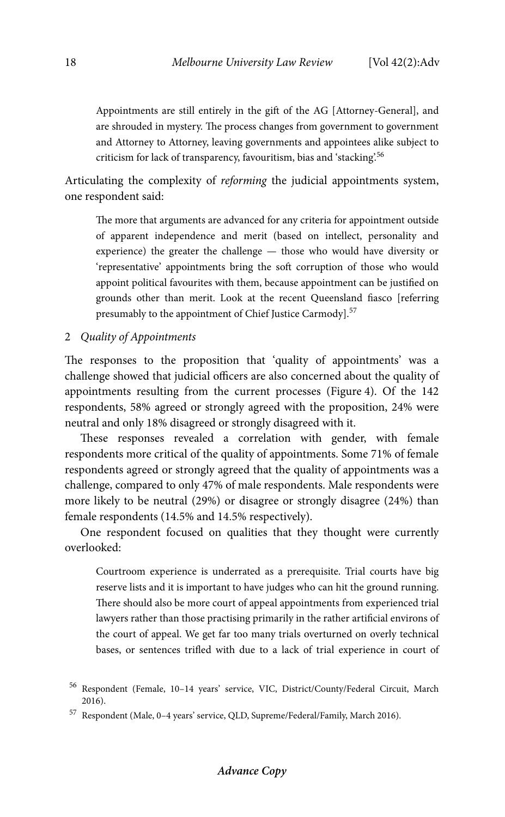Appointments are still entirely in the gift of the AG [Attorney-General], and are shrouded in mystery. The process changes from government to government and Attorney to Attorney, leaving governments and appointees alike subject to criticism for lack of transparency, favouritism, bias and 'stacking'.<sup>56</sup>

Articulating the complexity of *reforming* the judicial appointments system, one respondent said:

The more that arguments are advanced for any criteria for appointment outside of apparent independence and merit (based on intellect, personality and experience) the greater the challenge — those who would have diversity or 'representative' appointments bring the soft corruption of those who would appoint political favourites with them, because appointment can be justified on grounds other than merit. Look at the recent Queensland fiasco [referring presumably to the appointment of Chief Justice Carmody].<sup>57</sup>

2 *Quality of Appointments* 

The responses to the proposition that 'quality of appointments' was a challenge showed that judicial officers are also concerned about the quality of appointments resulting from the current processes (Figure 4). Of the 142 respondents, 58% agreed or strongly agreed with the proposition, 24% were neutral and only 18% disagreed or strongly disagreed with it.

These responses revealed a correlation with gender, with female respondents more critical of the quality of appointments. Some 71% of female respondents agreed or strongly agreed that the quality of appointments was a challenge, compared to only 47% of male respondents. Male respondents were more likely to be neutral (29%) or disagree or strongly disagree (24%) than female respondents (14.5% and 14.5% respectively).

One respondent focused on qualities that they thought were currently overlooked:

Courtroom experience is underrated as a prerequisite. Trial courts have big reserve lists and it is important to have judges who can hit the ground running. There should also be more court of appeal appointments from experienced trial lawyers rather than those practising primarily in the rather artificial environs of the court of appeal. We get far too many trials overturned on overly technical bases, or sentences trifled with due to a lack of trial experience in court of

<sup>56</sup> Respondent (Female, 10–14 years' service, VIC, District/County/Federal Circuit, March 2016).

<sup>57</sup> Respondent (Male, 0–4 years' service, QLD, Supreme/Federal/Family, March 2016).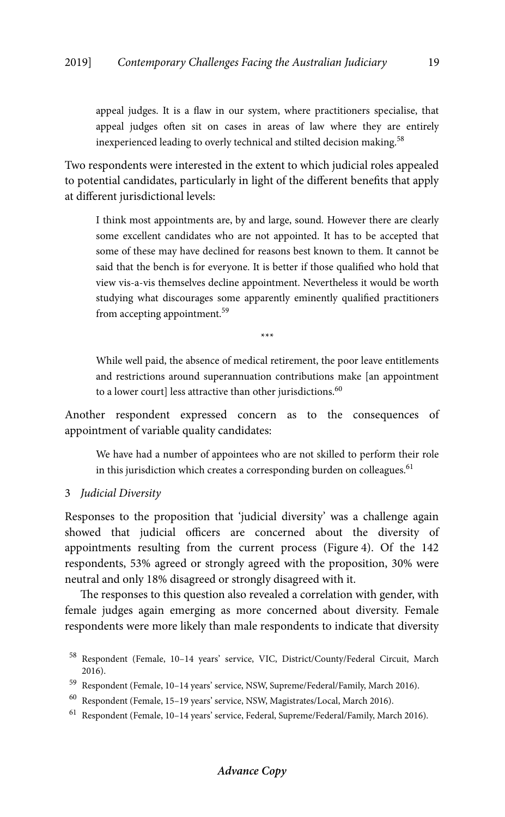appeal judges. It is a flaw in our system, where practitioners specialise, that appeal judges often sit on cases in areas of law where they are entirely inexperienced leading to overly technical and stilted decision making.<sup>58</sup>

Two respondents were interested in the extent to which judicial roles appealed to potential candidates, particularly in light of the different benefits that apply at different jurisdictional levels:

I think most appointments are, by and large, sound. However there are clearly some excellent candidates who are not appointed. It has to be accepted that some of these may have declined for reasons best known to them. It cannot be said that the bench is for everyone. It is better if those qualified who hold that view vis-a-vis themselves decline appointment. Nevertheless it would be worth studying what discourages some apparently eminently qualified practitioners from accepting appointment.<sup>59</sup>

\*\*\*

While well paid, the absence of medical retirement, the poor leave entitlements and restrictions around superannuation contributions make [an appointment to a lower court] less attractive than other jurisdictions.<sup>60</sup>

Another respondent expressed concern as to the consequences of appointment of variable quality candidates:

We have had a number of appointees who are not skilled to perform their role in this jurisdiction which creates a corresponding burden on colleagues.<sup>61</sup>

# 3 *Judicial Diversity*

Responses to the proposition that 'judicial diversity' was a challenge again showed that judicial officers are concerned about the diversity of appointments resulting from the current process (Figure 4). Of the 142 respondents, 53% agreed or strongly agreed with the proposition, 30% were neutral and only 18% disagreed or strongly disagreed with it.

The responses to this question also revealed a correlation with gender, with female judges again emerging as more concerned about diversity. Female respondents were more likely than male respondents to indicate that diversity

<sup>58</sup> Respondent (Female, 10–14 years' service, VIC, District/County/Federal Circuit, March 2016).

<sup>59</sup> Respondent (Female, 10–14 years' service, NSW, Supreme/Federal/Family, March 2016).

<sup>60</sup> Respondent (Female, 15–19 years' service, NSW, Magistrates/Local, March 2016).

<sup>61</sup> Respondent (Female, 10–14 years' service, Federal, Supreme/Federal/Family, March 2016).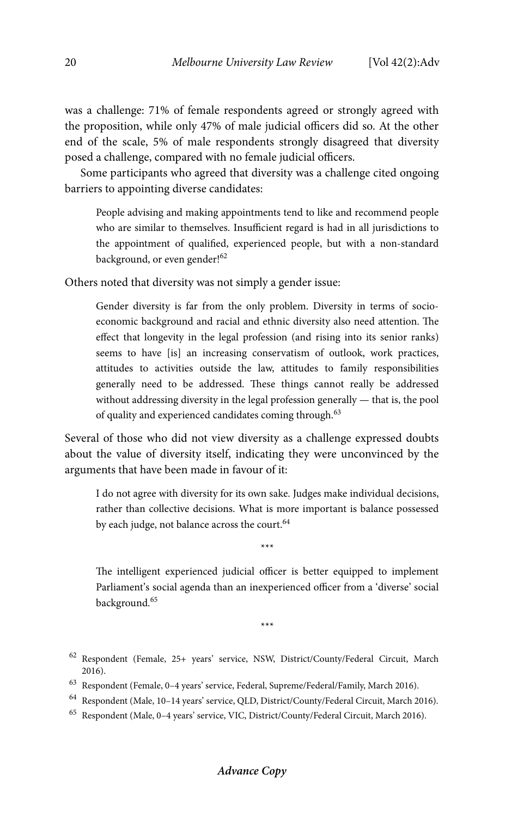was a challenge: 71% of female respondents agreed or strongly agreed with the proposition, while only 47% of male judicial officers did so. At the other end of the scale, 5% of male respondents strongly disagreed that diversity posed a challenge, compared with no female judicial officers.

Some participants who agreed that diversity was a challenge cited ongoing barriers to appointing diverse candidates:

People advising and making appointments tend to like and recommend people who are similar to themselves. Insufficient regard is had in all jurisdictions to the appointment of qualified, experienced people, but with a non-standard background, or even gender!<sup>62</sup>

Others noted that diversity was not simply a gender issue:

Gender diversity is far from the only problem. Diversity in terms of socioeconomic background and racial and ethnic diversity also need attention. The effect that longevity in the legal profession (and rising into its senior ranks) seems to have [is] an increasing conservatism of outlook, work practices, attitudes to activities outside the law, attitudes to family responsibilities generally need to be addressed. These things cannot really be addressed without addressing diversity in the legal profession generally — that is, the pool of quality and experienced candidates coming through.<sup>63</sup>

Several of those who did not view diversity as a challenge expressed doubts about the value of diversity itself, indicating they were unconvinced by the arguments that have been made in favour of it:

I do not agree with diversity for its own sake. Judges make individual decisions, rather than collective decisions. What is more important is balance possessed by each judge, not balance across the court.<sup>64</sup>

\*\*\*

The intelligent experienced judicial officer is better equipped to implement Parliament's social agenda than an inexperienced officer from a 'diverse' social background.65

\*\*\*

- 62 Respondent (Female, 25+ years' service, NSW, District/County/Federal Circuit, March 2016).
- 63 Respondent (Female, 0–4 years' service, Federal, Supreme/Federal/Family, March 2016).
- 64 Respondent (Male, 10–14 years' service, QLD, District/County/Federal Circuit, March 2016).
- 65 Respondent (Male, 0–4 years' service, VIC, District/County/Federal Circuit, March 2016).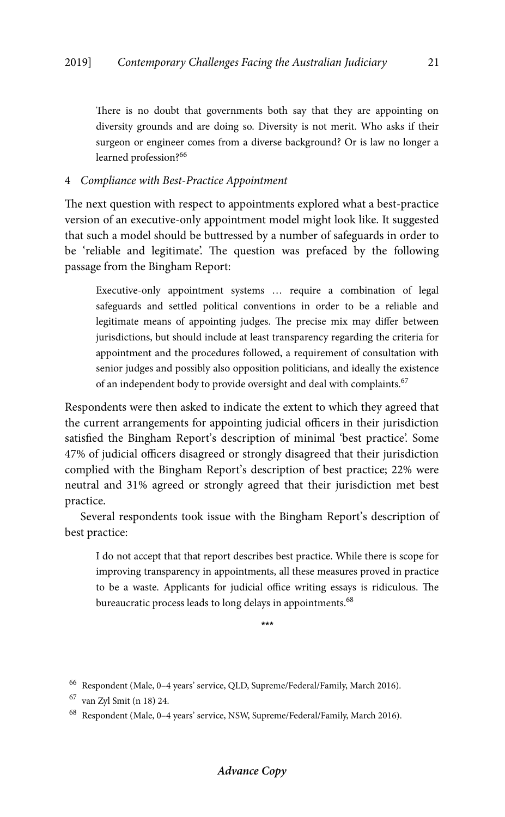There is no doubt that governments both say that they are appointing on diversity grounds and are doing so. Diversity is not merit. Who asks if their surgeon or engineer comes from a diverse background? Or is law no longer a learned profession?<sup>66</sup>

# 4 *Compliance with Best-Practice Appointment*

The next question with respect to appointments explored what a best-practice version of an executive-only appointment model might look like. It suggested that such a model should be buttressed by a number of safeguards in order to be 'reliable and legitimate'. The question was prefaced by the following passage from the Bingham Report:

Executive-only appointment systems … require a combination of legal safeguards and settled political conventions in order to be a reliable and legitimate means of appointing judges. The precise mix may differ between jurisdictions, but should include at least transparency regarding the criteria for appointment and the procedures followed, a requirement of consultation with senior judges and possibly also opposition politicians, and ideally the existence of an independent body to provide oversight and deal with complaints.<sup>67</sup>

Respondents were then asked to indicate the extent to which they agreed that the current arrangements for appointing judicial officers in their jurisdiction satisfied the Bingham Report's description of minimal 'best practice'. Some 47% of judicial officers disagreed or strongly disagreed that their jurisdiction complied with the Bingham Report's description of best practice; 22% were neutral and 31% agreed or strongly agreed that their jurisdiction met best practice.

Several respondents took issue with the Bingham Report's description of best practice:

I do not accept that that report describes best practice. While there is scope for improving transparency in appointments, all these measures proved in practice to be a waste. Applicants for judicial office writing essays is ridiculous. The bureaucratic process leads to long delays in appointments.<sup>68</sup>

\*\*\*

 $^{66}\,$  Respondent (Male, 0–4 years' service, QLD, Supreme/Federal/Family, March 2016).

<sup>67</sup> van Zyl Smit (n 18) 24.

<sup>68</sup> Respondent (Male, 0–4 years' service, NSW, Supreme/Federal/Family, March 2016).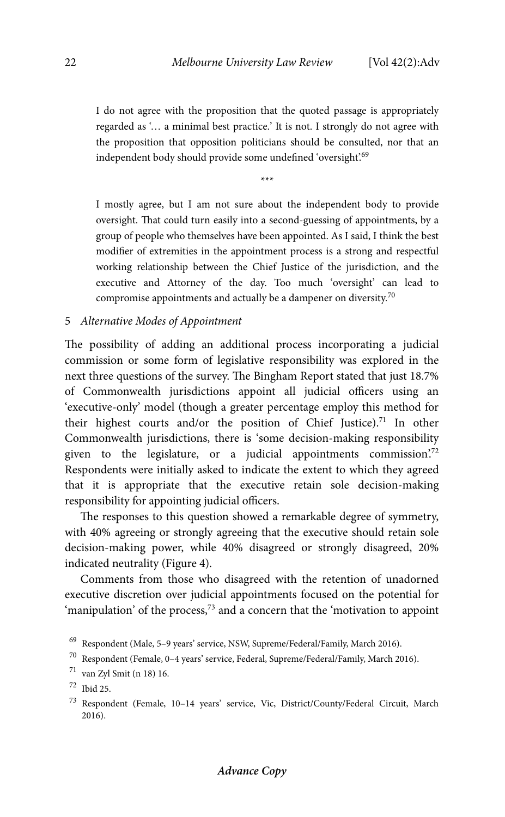I do not agree with the proposition that the quoted passage is appropriately regarded as '… a minimal best practice.' It is not. I strongly do not agree with the proposition that opposition politicians should be consulted, nor that an independent body should provide some undefined 'oversight'.<sup>69</sup>

\*\*\*

I mostly agree, but I am not sure about the independent body to provide oversight. That could turn easily into a second-guessing of appointments, by a group of people who themselves have been appointed. As I said, I think the best modifier of extremities in the appointment process is a strong and respectful working relationship between the Chief Justice of the jurisdiction, and the executive and Attorney of the day. Too much 'oversight' can lead to compromise appointments and actually be a dampener on diversity.70

# 5 *Alternative Modes of Appointment*

The possibility of adding an additional process incorporating a judicial commission or some form of legislative responsibility was explored in the next three questions of the survey. The Bingham Report stated that just 18.7% of Commonwealth jurisdictions appoint all judicial officers using an 'executive-only' model (though a greater percentage employ this method for their highest courts and/or the position of Chief Justice).<sup>71</sup> In other Commonwealth jurisdictions, there is 'some decision-making responsibility given to the legislature, or a judicial appointments commission.<sup>72</sup> Respondents were initially asked to indicate the extent to which they agreed that it is appropriate that the executive retain sole decision-making responsibility for appointing judicial officers.

The responses to this question showed a remarkable degree of symmetry, with 40% agreeing or strongly agreeing that the executive should retain sole decision-making power, while 40% disagreed or strongly disagreed, 20% indicated neutrality (Figure 4).

Comments from those who disagreed with the retention of unadorned executive discretion over judicial appointments focused on the potential for 'manipulation' of the process,<sup>73</sup> and a concern that the 'motivation to appoint

<sup>69</sup> Respondent (Male, 5–9 years' service, NSW, Supreme/Federal/Family, March 2016).

 $^{70}\,$  Respondent (Female, 0–4 years' service, Federal, Supreme/Federal/Family, March 2016).

<sup>71</sup> van Zyl Smit (n 18) 16.

<sup>72</sup> Ibid 25.

<sup>73</sup> Respondent (Female, 10–14 years' service, Vic, District/County/Federal Circuit, March 2016).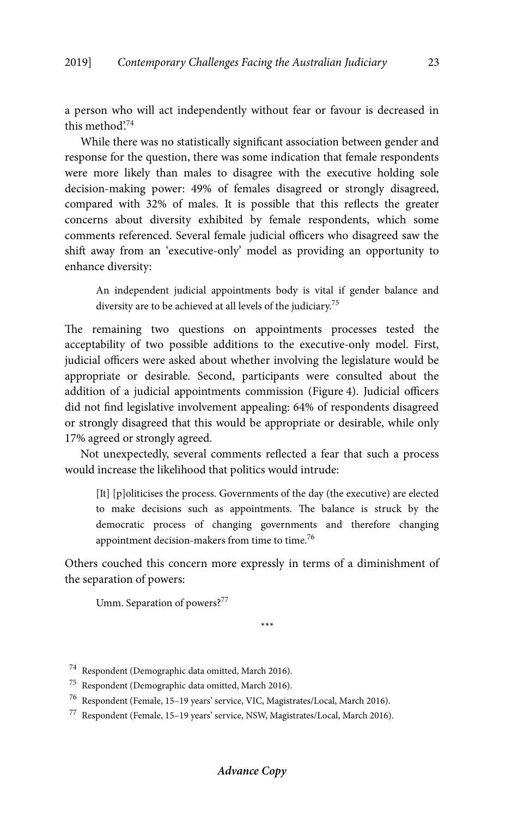a person who will act independently without fear or favour is decreased in this method'.74

While there was no statistically significant association between gender and response for the question, there was some indication that female respondents were more likely than males to disagree with the executive holding sole decision-making power: 49% of females disagreed or strongly disagreed, compared with 32% of males. It is possible that this reflects the greater concerns about diversity exhibited by female respondents, which some comments referenced. Several female judicial officers who disagreed saw the shift away from an 'executive-only' model as providing an opportunity to enhance diversity:

An independent judicial appointments body is vital if gender balance and diversity are to be achieved at all levels of the judiciary.<sup>75</sup>

The remaining two questions on appointments processes tested the acceptability of two possible additions to the executive-only model. First, judicial officers were asked about whether involving the legislature would be appropriate or desirable. Second, participants were consulted about the addition of a judicial appointments commission (Figure 4). Judicial officers did not find legislative involvement appealing: 64% of respondents disagreed or strongly disagreed that this would be appropriate or desirable, while only 17% agreed or strongly agreed.

Not unexpectedly, several comments reflected a fear that such a process would increase the likelihood that politics would intrude:

[It] [p]oliticises the process. Governments of the day (the executive) are elected to make decisions such as appointments. The balance is struck by the democratic process of changing governments and therefore changing appointment decision-makers from time to time.<sup>76</sup>

Others couched this concern more expressly in terms of a diminishment of the separation of powers:

Umm. Separation of powers?<sup>77</sup>

\*\*\*

<sup>74</sup> Respondent (Demographic data omitted, March 2016).

<sup>75</sup> Respondent (Demographic data omitted, March 2016).

<sup>76</sup> Respondent (Female, 15–19 years' service, VIC, Magistrates/Local, March 2016).

<sup>77</sup> Respondent (Female, 15–19 years' service, NSW, Magistrates/Local, March 2016).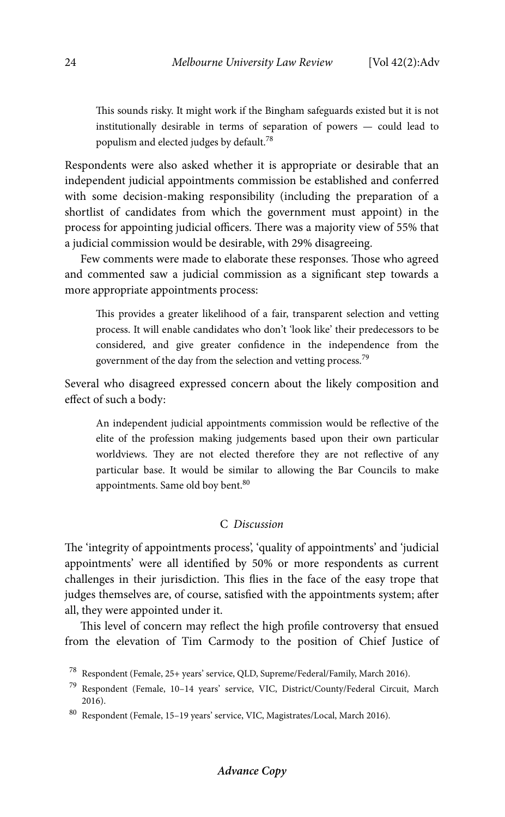This sounds risky. It might work if the Bingham safeguards existed but it is not institutionally desirable in terms of separation of powers — could lead to populism and elected judges by default.78

Respondents were also asked whether it is appropriate or desirable that an independent judicial appointments commission be established and conferred with some decision-making responsibility (including the preparation of a shortlist of candidates from which the government must appoint) in the process for appointing judicial officers. There was a majority view of 55% that a judicial commission would be desirable, with 29% disagreeing.

Few comments were made to elaborate these responses. Those who agreed and commented saw a judicial commission as a significant step towards a more appropriate appointments process:

This provides a greater likelihood of a fair, transparent selection and vetting process. It will enable candidates who don't 'look like' their predecessors to be considered, and give greater confidence in the independence from the government of the day from the selection and vetting process.<sup>79</sup>

Several who disagreed expressed concern about the likely composition and effect of such a body:

An independent judicial appointments commission would be reflective of the elite of the profession making judgements based upon their own particular worldviews. They are not elected therefore they are not reflective of any particular base. It would be similar to allowing the Bar Councils to make appointments. Same old boy bent.<sup>80</sup>

# C *Discussion*

The 'integrity of appointments process', 'quality of appointments' and 'judicial appointments' were all identified by 50% or more respondents as current challenges in their jurisdiction. This flies in the face of the easy trope that judges themselves are, of course, satisfied with the appointments system; after all, they were appointed under it.

This level of concern may reflect the high profile controversy that ensued from the elevation of Tim Carmody to the position of Chief Justice of

<sup>78</sup> Respondent (Female, 25+ years' service, QLD, Supreme/Federal/Family, March 2016).

<sup>79</sup> Respondent (Female, 10–14 years' service, VIC, District/County/Federal Circuit, March 2016).

<sup>80</sup> Respondent (Female, 15–19 years' service, VIC, Magistrates/Local, March 2016).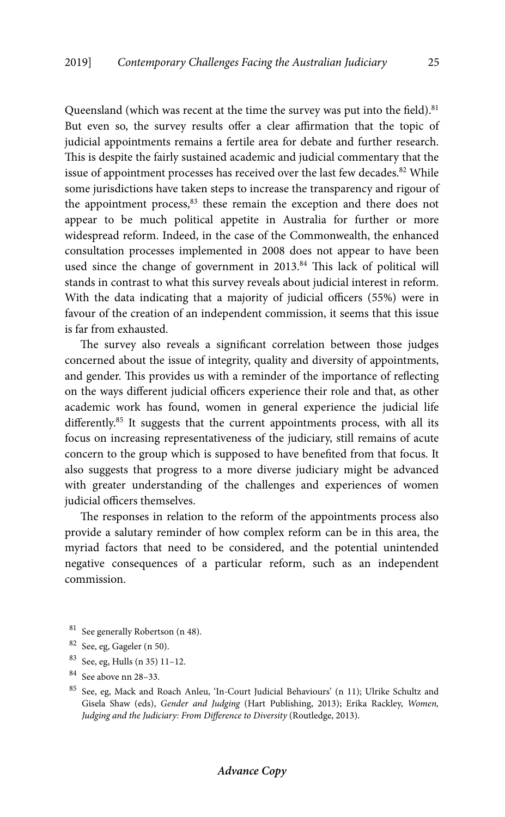Queensland (which was recent at the time the survey was put into the field).<sup>81</sup> But even so, the survey results offer a clear affirmation that the topic of judicial appointments remains a fertile area for debate and further research. This is despite the fairly sustained academic and judicial commentary that the issue of appointment processes has received over the last few decades.<sup>82</sup> While some jurisdictions have taken steps to increase the transparency and rigour of the appointment process,<sup>83</sup> these remain the exception and there does not appear to be much political appetite in Australia for further or more widespread reform. Indeed, in the case of the Commonwealth, the enhanced consultation processes implemented in 2008 does not appear to have been used since the change of government in 2013.<sup>84</sup> This lack of political will stands in contrast to what this survey reveals about judicial interest in reform. With the data indicating that a majority of judicial officers (55%) were in favour of the creation of an independent commission, it seems that this issue is far from exhausted.

The survey also reveals a significant correlation between those judges concerned about the issue of integrity, quality and diversity of appointments, and gender. This provides us with a reminder of the importance of reflecting on the ways different judicial officers experience their role and that, as other academic work has found, women in general experience the judicial life differently.<sup>85</sup> It suggests that the current appointments process, with all its focus on increasing representativeness of the judiciary, still remains of acute concern to the group which is supposed to have benefited from that focus. It also suggests that progress to a more diverse judiciary might be advanced with greater understanding of the challenges and experiences of women judicial officers themselves.

The responses in relation to the reform of the appointments process also provide a salutary reminder of how complex reform can be in this area, the myriad factors that need to be considered, and the potential unintended negative consequences of a particular reform, such as an independent commission.

- 81 See generally Robertson (n 48).
- 82 See, eg, Gageler (n 50).
- 83 See, eg, Hulls (n 35) 11–12.
- 84 See above nn 28–33.

<sup>85</sup> See, eg, Mack and Roach Anleu, 'In-Court Judicial Behaviours' (n 11); Ulrike Schultz and Gisela Shaw (eds), *Gender and Judging* (Hart Publishing, 2013); Erika Rackley, *Women, Judging and the Judiciary: From Difference to Diversity* (Routledge, 2013).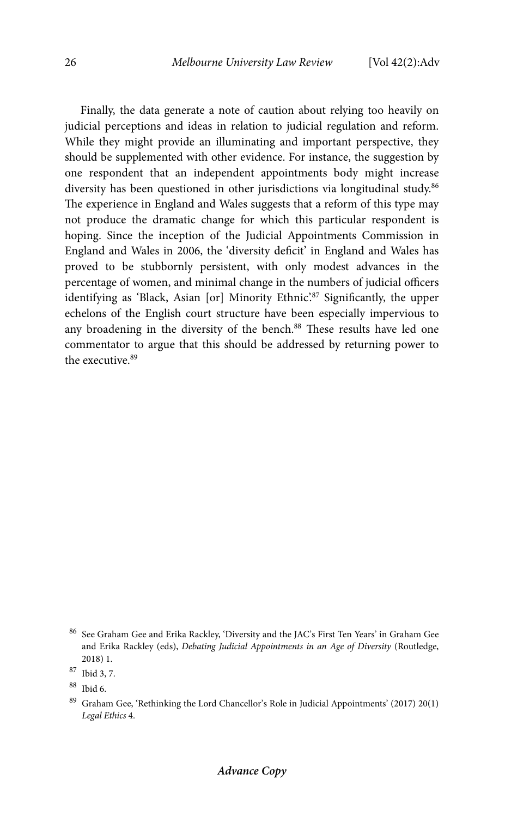Finally, the data generate a note of caution about relying too heavily on judicial perceptions and ideas in relation to judicial regulation and reform. While they might provide an illuminating and important perspective, they should be supplemented with other evidence. For instance, the suggestion by one respondent that an independent appointments body might increase diversity has been questioned in other jurisdictions via longitudinal study.<sup>86</sup> The experience in England and Wales suggests that a reform of this type may not produce the dramatic change for which this particular respondent is hoping. Since the inception of the Judicial Appointments Commission in England and Wales in 2006, the 'diversity deficit' in England and Wales has proved to be stubbornly persistent, with only modest advances in the percentage of women, and minimal change in the numbers of judicial officers identifying as 'Black, Asian [or] Minority Ethnic'.87 Significantly, the upper echelons of the English court structure have been especially impervious to any broadening in the diversity of the bench.<sup>88</sup> These results have led one commentator to argue that this should be addressed by returning power to the executive  $89$ 

 $^{86}\,$  See Graham Gee and Erika Rackley, 'Diversity and the JAC's First Ten Years' in Graham Gee and Erika Rackley (eds), *Debating Judicial Appointments in an Age of Diversity* (Routledge, 2018) 1.

<sup>87</sup> Ibid 3, 7.

<sup>88</sup> Ibid 6.

 $^{89}\,$  Graham Gee, 'Rethinking the Lord Chancellor's Role in Judicial Appointments' (2017) 20(1) *Legal Ethics* 4.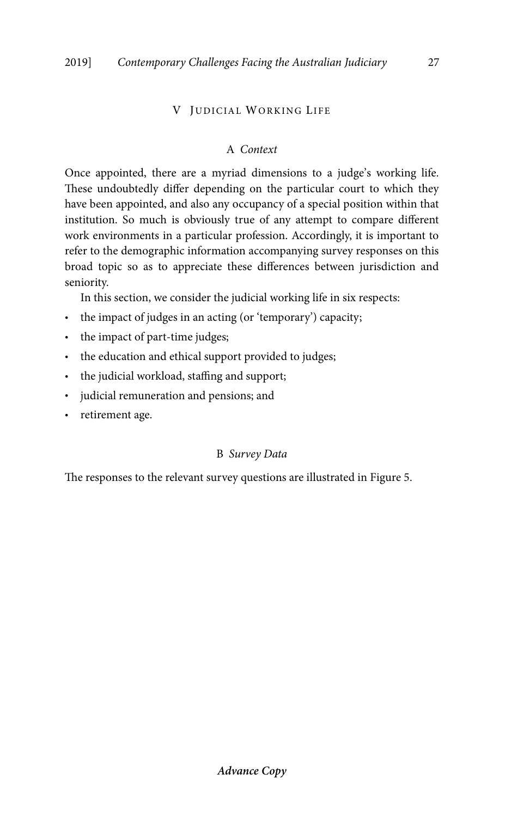# V JUDICIAL WORKING LIFE

# A *Context*

Once appointed, there are a myriad dimensions to a judge's working life. These undoubtedly differ depending on the particular court to which they have been appointed, and also any occupancy of a special position within that institution. So much is obviously true of any attempt to compare different work environments in a particular profession. Accordingly, it is important to refer to the demographic information accompanying survey responses on this broad topic so as to appreciate these differences between jurisdiction and seniority.

In this section, we consider the judicial working life in six respects:

- the impact of judges in an acting (or 'temporary') capacity;
- the impact of part-time judges;
- the education and ethical support provided to judges;
- the judicial workload, staffing and support;
- judicial remuneration and pensions; and
- retirement age.

# B *Survey Data*

The responses to the relevant survey questions are illustrated in Figure 5.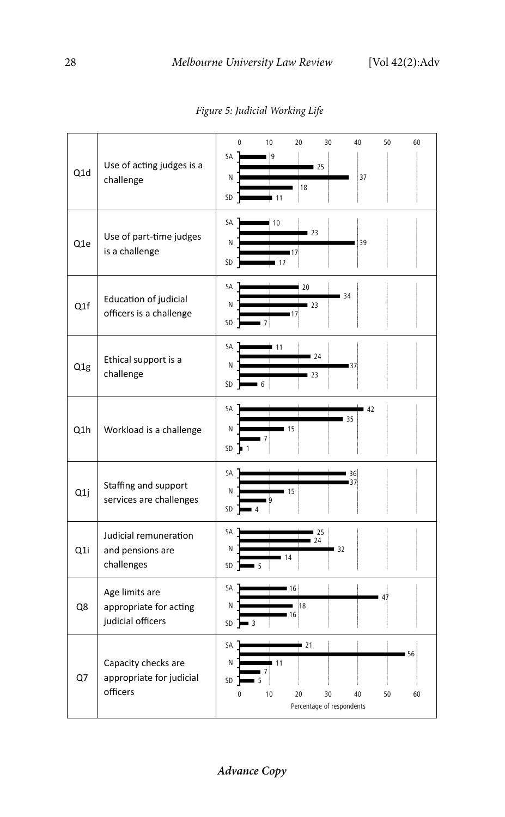| Q1d              | Use of acting judges is a<br>challenge                        | 10<br>20<br>50<br>0<br>30<br>40<br>60<br>SA<br>۱g<br>25<br>Ν<br>37<br>18<br>SD<br>11                          |
|------------------|---------------------------------------------------------------|---------------------------------------------------------------------------------------------------------------|
| Q1e              | Use of part-time judges<br>is a challenge                     | SA<br>10<br>23<br>Ν<br>39<br>17<br>SD<br>12                                                                   |
| Q1f              | Education of judicial<br>officers is a challenge              | SА<br>20<br>34<br>N<br>123<br>SD<br>7                                                                         |
| Q <sub>1</sub> g | Ethical support is a<br>challenge                             | SA<br>11<br>24<br>N<br>137<br>l 23<br>SD<br>6                                                                 |
| Q1h              | Workload is a challenge                                       | SA<br>42<br>$-35$<br>Ν<br>15<br>$\overline{7}$<br>SD<br>$\blacksquare$                                        |
| Q1j              | Staffing and support<br>services are challenges               | SА<br>36<br>15<br>Ν<br>SD                                                                                     |
| Q <sub>1</sub> i | Judicial remuneration<br>and pensions are<br>challenges       | SА<br>25<br>24<br>N<br>32<br>14<br>SD<br>5                                                                    |
| Q8               | Age limits are<br>appropriate for acting<br>judicial officers | SA<br>16<br>47<br>18<br>Ν<br>16<br>SD<br>3                                                                    |
| Q7               | Capacity checks are<br>appropriate for judicial<br>officers   | SA<br>$-21$<br>56<br>N<br>11<br>SD<br>5<br>10<br>0<br>20<br>30<br>40<br>50<br>60<br>Percentage of respondents |

*Figure 5: Judicial Working Life* 

**Advance Copy**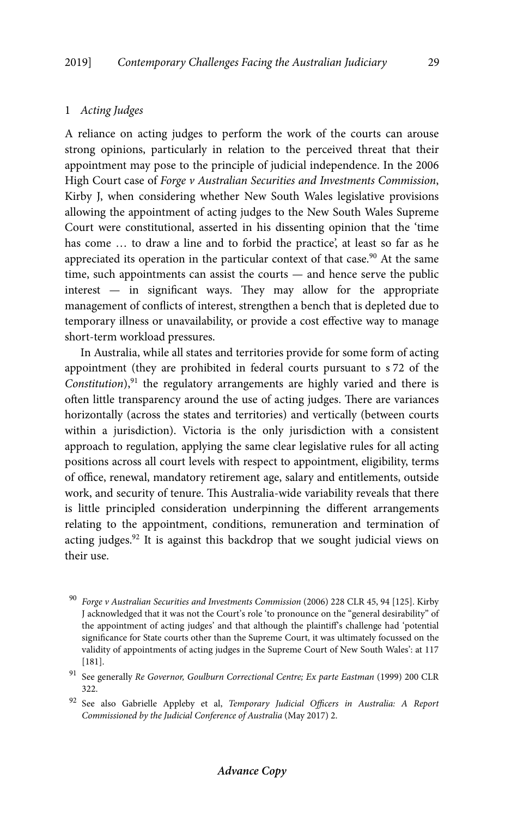# 1 *Acting Judges*

A reliance on acting judges to perform the work of the courts can arouse strong opinions, particularly in relation to the perceived threat that their appointment may pose to the principle of judicial independence. In the 2006 High Court case of *Forge v Australian Securities and Investments Commission*, Kirby J, when considering whether New South Wales legislative provisions allowing the appointment of acting judges to the New South Wales Supreme Court were constitutional, asserted in his dissenting opinion that the 'time has come … to draw a line and to forbid the practice', at least so far as he appreciated its operation in the particular context of that case.<sup>90</sup> At the same time, such appointments can assist the courts — and hence serve the public interest — in significant ways. They may allow for the appropriate management of conflicts of interest, strengthen a bench that is depleted due to temporary illness or unavailability, or provide a cost effective way to manage short-term workload pressures.

In Australia, while all states and territories provide for some form of acting appointment (they are prohibited in federal courts pursuant to s 72 of the *Constitution*),<sup>91</sup> the regulatory arrangements are highly varied and there is often little transparency around the use of acting judges. There are variances horizontally (across the states and territories) and vertically (between courts within a jurisdiction). Victoria is the only jurisdiction with a consistent approach to regulation, applying the same clear legislative rules for all acting positions across all court levels with respect to appointment, eligibility, terms of office, renewal, mandatory retirement age, salary and entitlements, outside work, and security of tenure. This Australia-wide variability reveals that there is little principled consideration underpinning the different arrangements relating to the appointment, conditions, remuneration and termination of acting judges.92 It is against this backdrop that we sought judicial views on their use.

<sup>90</sup> *Forge v Australian Securities and Investments Commission* (2006) 228 CLR 45, 94 [125]. Kirby J acknowledged that it was not the Court's role 'to pronounce on the "general desirability" of the appointment of acting judges' and that although the plaintiff's challenge had 'potential significance for State courts other than the Supreme Court, it was ultimately focussed on the validity of appointments of acting judges in the Supreme Court of New South Wales': at 117 [181].

<sup>&</sup>lt;sup>91</sup> See generally *Re Governor, Goulburn Correctional Centre; Ex parte Eastman (1999)* 200 CLR 322.

<sup>92</sup> See also Gabrielle Appleby et al, *Temporary Judicial Officers in Australia: A Report Commissioned by the Judicial Conference of Australia* (May 2017) 2.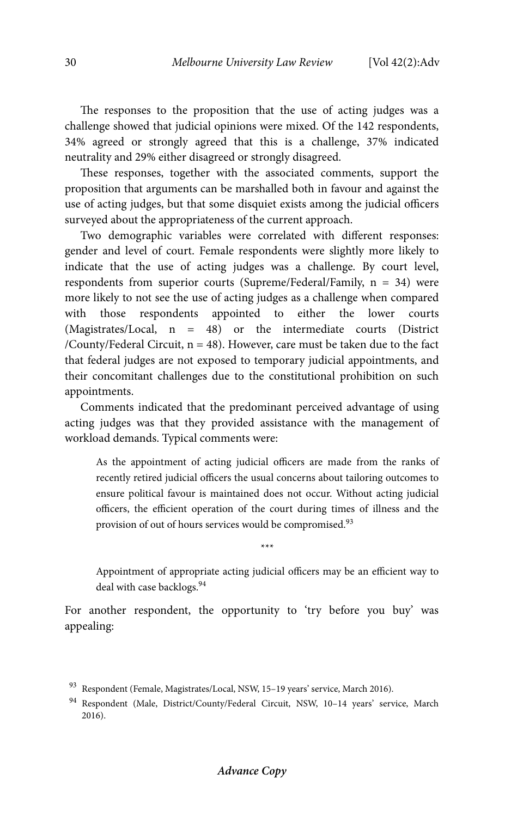The responses to the proposition that the use of acting judges was a challenge showed that judicial opinions were mixed. Of the 142 respondents, 34% agreed or strongly agreed that this is a challenge, 37% indicated neutrality and 29% either disagreed or strongly disagreed.

These responses, together with the associated comments, support the proposition that arguments can be marshalled both in favour and against the use of acting judges, but that some disquiet exists among the judicial officers surveyed about the appropriateness of the current approach.

Two demographic variables were correlated with different responses: gender and level of court. Female respondents were slightly more likely to indicate that the use of acting judges was a challenge. By court level, respondents from superior courts (Supreme/Federal/Family, n = 34) were more likely to not see the use of acting judges as a challenge when compared with those respondents appointed to either the lower courts (Magistrates/Local, n = 48) or the intermediate courts (District /County/Federal Circuit,  $n = 48$ ). However, care must be taken due to the fact that federal judges are not exposed to temporary judicial appointments, and their concomitant challenges due to the constitutional prohibition on such appointments.

Comments indicated that the predominant perceived advantage of using acting judges was that they provided assistance with the management of workload demands. Typical comments were:

As the appointment of acting judicial officers are made from the ranks of recently retired judicial officers the usual concerns about tailoring outcomes to ensure political favour is maintained does not occur. Without acting judicial officers, the efficient operation of the court during times of illness and the provision of out of hours services would be compromised.<sup>93</sup>

Appointment of appropriate acting judicial officers may be an efficient way to deal with case backlogs.<sup>94</sup>

\*\*\*

For another respondent, the opportunity to 'try before you buy' was appealing:

<sup>93</sup> Respondent (Female, Magistrates/Local, NSW, 15-19 years' service, March 2016).

<sup>94</sup> Respondent (Male, District/County/Federal Circuit, NSW, 10–14 years' service, March 2016).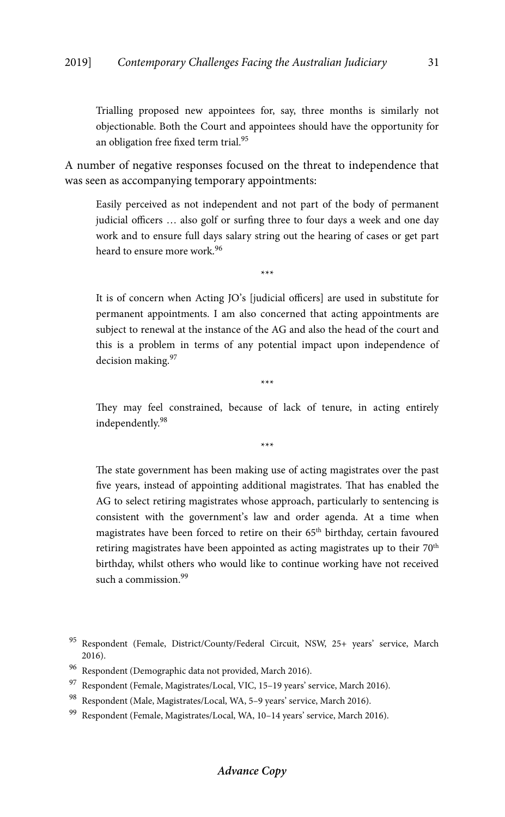Trialling proposed new appointees for, say, three months is similarly not objectionable. Both the Court and appointees should have the opportunity for an obligation free fixed term trial.<sup>95</sup>

A number of negative responses focused on the threat to independence that was seen as accompanying temporary appointments:

Easily perceived as not independent and not part of the body of permanent judicial officers … also golf or surfing three to four days a week and one day work and to ensure full days salary string out the hearing of cases or get part heard to ensure more work.96

\*\*\*

It is of concern when Acting JO's [judicial officers] are used in substitute for permanent appointments. I am also concerned that acting appointments are subject to renewal at the instance of the AG and also the head of the court and this is a problem in terms of any potential impact upon independence of decision making.<sup>97</sup>

They may feel constrained, because of lack of tenure, in acting entirely independently.98

\*\*\*

\*\*\*

The state government has been making use of acting magistrates over the past five years, instead of appointing additional magistrates. That has enabled the AG to select retiring magistrates whose approach, particularly to sentencing is consistent with the government's law and order agenda. At a time when magistrates have been forced to retire on their 65<sup>th</sup> birthday, certain favoured retiring magistrates have been appointed as acting magistrates up to their 70<sup>th</sup> birthday, whilst others who would like to continue working have not received such a commission.<sup>99</sup>

<sup>95</sup> Respondent (Female, District/County/Federal Circuit, NSW, 25+ years' service, March 2016).

<sup>96</sup> Respondent (Demographic data not provided, March 2016).

<sup>97</sup> Respondent (Female, Magistrates/Local, VIC, 15-19 years' service, March 2016).

<sup>98</sup> Respondent (Male, Magistrates/Local, WA, 5-9 years' service, March 2016).

<sup>99</sup> Respondent (Female, Magistrates/Local, WA, 10–14 years' service, March 2016).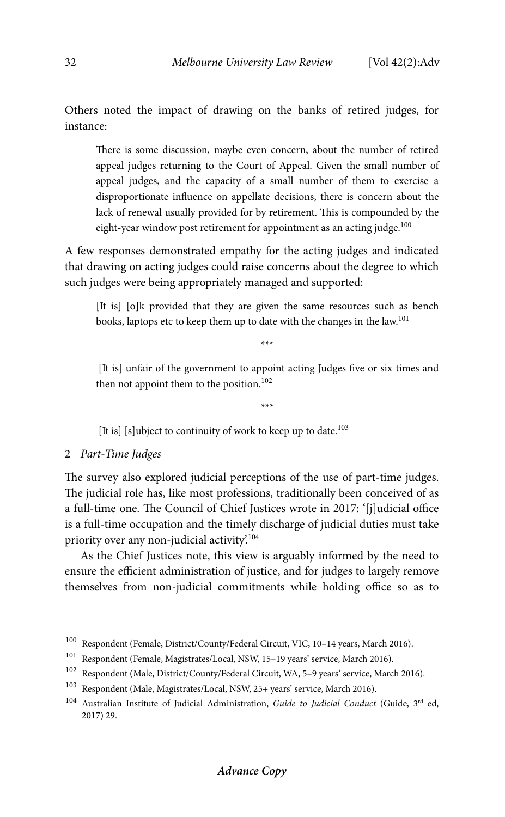Others noted the impact of drawing on the banks of retired judges, for instance:

There is some discussion, maybe even concern, about the number of retired appeal judges returning to the Court of Appeal. Given the small number of appeal judges, and the capacity of a small number of them to exercise a disproportionate influence on appellate decisions, there is concern about the lack of renewal usually provided for by retirement. This is compounded by the eight-year window post retirement for appointment as an acting judge. $100$ 

A few responses demonstrated empathy for the acting judges and indicated that drawing on acting judges could raise concerns about the degree to which such judges were being appropriately managed and supported:

[It is] [o]k provided that they are given the same resources such as bench books, laptops etc to keep them up to date with the changes in the law.<sup>101</sup>

\*\*\*

\*\*\*

 [It is] unfair of the government to appoint acting Judges five or six times and then not appoint them to the position.<sup>102</sup>

[It is] [s]ubject to continuity of work to keep up to date.<sup>103</sup>

## 2 *Part-Time Judges*

The survey also explored judicial perceptions of the use of part-time judges. The judicial role has, like most professions, traditionally been conceived of as a full-time one. The Council of Chief Justices wrote in 2017: '[j]udicial office is a full-time occupation and the timely discharge of judicial duties must take priority over any non-judicial activity.<sup>104</sup>

As the Chief Justices note, this view is arguably informed by the need to ensure the efficient administration of justice, and for judges to largely remove themselves from non-judicial commitments while holding office so as to

# **Advance Copy**

 $^{100}\,$  Respondent (Female, District/County/Federal Circuit, VIC, 10–14 years, March 2016).

<sup>101</sup> Respondent (Female, Magistrates/Local, NSW, 15–19 years' service, March 2016).

<sup>102</sup> Respondent (Male, District/County/Federal Circuit, WA, 5–9 years' service, March 2016).

<sup>103</sup> Respondent (Male, Magistrates/Local, NSW, 25+ years' service, March 2016).

<sup>104</sup> Australian Institute of Judicial Administration, *Guide to Judicial Conduct* (Guide, 3rd ed, 2017) 29.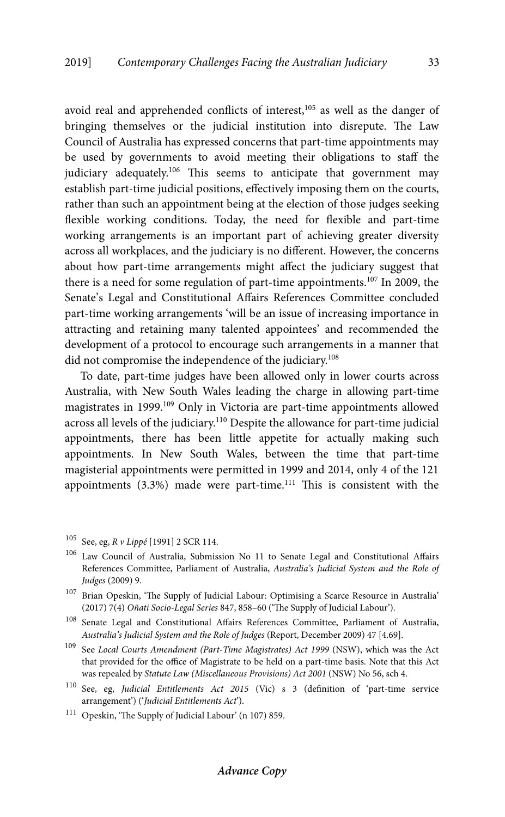avoid real and apprehended conflicts of interest,<sup>105</sup> as well as the danger of bringing themselves or the judicial institution into disrepute. The Law Council of Australia has expressed concerns that part-time appointments may be used by governments to avoid meeting their obligations to staff the judiciary adequately.<sup>106</sup> This seems to anticipate that government may establish part-time judicial positions, effectively imposing them on the courts, rather than such an appointment being at the election of those judges seeking flexible working conditions. Today, the need for flexible and part-time working arrangements is an important part of achieving greater diversity across all workplaces, and the judiciary is no different. However, the concerns about how part-time arrangements might affect the judiciary suggest that there is a need for some regulation of part-time appointments.107 In 2009, the Senate's Legal and Constitutional Affairs References Committee concluded part-time working arrangements 'will be an issue of increasing importance in attracting and retaining many talented appointees' and recommended the development of a protocol to encourage such arrangements in a manner that did not compromise the independence of the judiciary.<sup>108</sup>

To date, part-time judges have been allowed only in lower courts across Australia, with New South Wales leading the charge in allowing part-time magistrates in 1999.<sup>109</sup> Only in Victoria are part-time appointments allowed across all levels of the judiciary.110 Despite the allowance for part-time judicial appointments, there has been little appetite for actually making such appointments. In New South Wales, between the time that part-time magisterial appointments were permitted in 1999 and 2014, only 4 of the 121 appointments (3.3%) made were part-time.<sup>111</sup> This is consistent with the

- 105 See, eg, *R v Lippé* [1991] 2 SCR 114.
- 106 Law Council of Australia, Submission No 11 to Senate Legal and Constitutional Affairs References Committee, Parliament of Australia, *Australia's Judicial System and the Role of Judges* (2009) 9.
- $^{107}\,$  Brian Opeskin, 'The Supply of Judicial Labour: Optimising a Scarce Resource in Australia' (2017) 7(4) *Oñati Socio-Legal Series* 847, 858–60 ('The Supply of Judicial Labour').
- $^{108}\,$  Senate Legal and Constitutional Affairs References Committee, Parliament of Australia, *Australia's Judicial System and the Role of Judges* (Report, December 2009) 47 [4.69].
- 109 See *Local Courts Amendment (Part-Time Magistrates) Act 1999* (NSW), which was the Act that provided for the office of Magistrate to be held on a part-time basis. Note that this Act was repealed by *Statute Law (Miscellaneous Provisions) Act 2001* (NSW) No 56, sch 4.
- 110 See, eg, *Judicial Entitlements Act 2015* (Vic) s 3 (definition of 'part-time service arrangement') ('*Judicial Entitlements Act*').
- 111 Opeskin, 'The Supply of Judicial Labour' (n 107) 859.

#### **Advance Copy**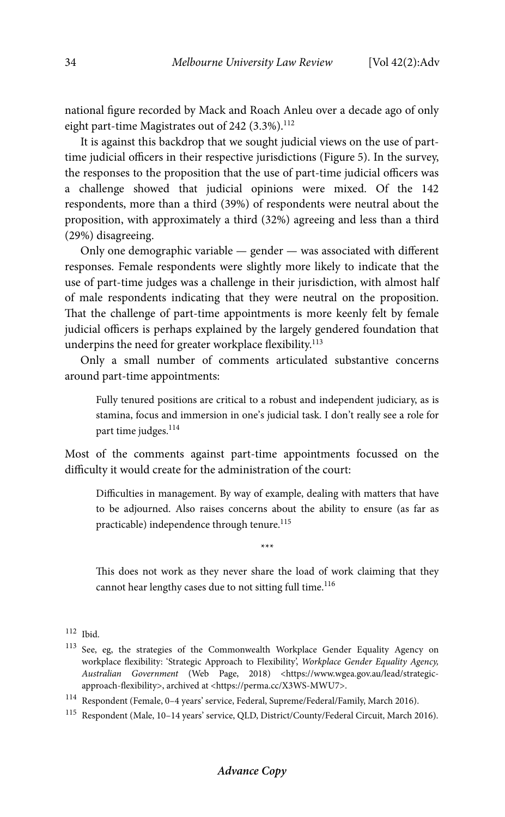national figure recorded by Mack and Roach Anleu over a decade ago of only eight part-time Magistrates out of  $242$  (3.3%).<sup>112</sup>

It is against this backdrop that we sought judicial views on the use of parttime judicial officers in their respective jurisdictions (Figure 5). In the survey, the responses to the proposition that the use of part-time judicial officers was a challenge showed that judicial opinions were mixed. Of the 142 respondents, more than a third (39%) of respondents were neutral about the proposition, with approximately a third (32%) agreeing and less than a third (29%) disagreeing.

Only one demographic variable — gender — was associated with different responses. Female respondents were slightly more likely to indicate that the use of part-time judges was a challenge in their jurisdiction, with almost half of male respondents indicating that they were neutral on the proposition. That the challenge of part-time appointments is more keenly felt by female judicial officers is perhaps explained by the largely gendered foundation that underpins the need for greater workplace flexibility.<sup>113</sup>

Only a small number of comments articulated substantive concerns around part-time appointments:

Fully tenured positions are critical to a robust and independent judiciary, as is stamina, focus and immersion in one's judicial task. I don't really see a role for part time judges.<sup>114</sup>

Most of the comments against part-time appointments focussed on the difficulty it would create for the administration of the court:

Difficulties in management. By way of example, dealing with matters that have to be adjourned. Also raises concerns about the ability to ensure (as far as practicable) independence through tenure.<sup>115</sup>

\*\*\*

This does not work as they never share the load of work claiming that they cannot hear lengthy cases due to not sitting full time.<sup>116</sup>

<sup>112</sup> Ibid.

<sup>113</sup> See, eg, the strategies of the Commonwealth Workplace Gender Equality Agency on workplace flexibility: 'Strategic Approach to Flexibility', *Workplace Gender Equality Agency, Australian Government* (Web Page, 2018) <https://www.wgea.gov.au/lead/strategicapproach-flexibility>, archived at <https://perma.cc/X3WS-MWU7>.

<sup>114</sup> Respondent (Female, 0–4 years' service, Federal, Supreme/Federal/Family, March 2016).

<sup>115</sup> Respondent (Male, 10–14 years' service, QLD, District/County/Federal Circuit, March 2016).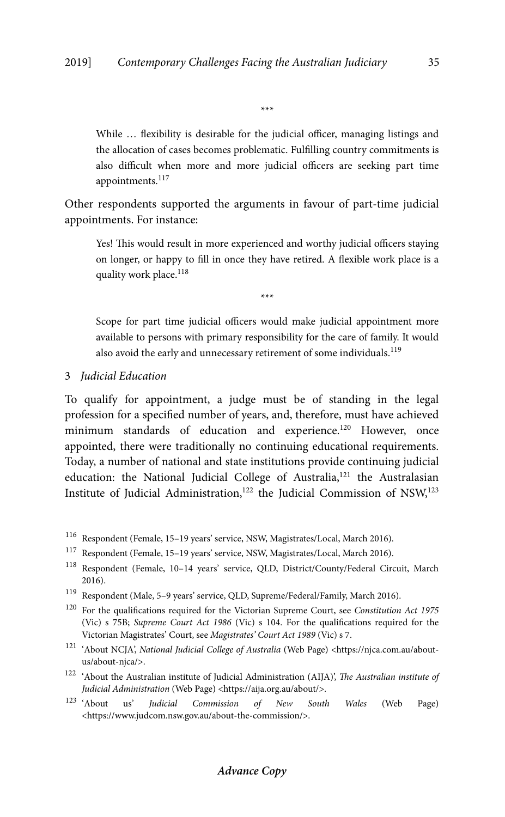\*\*\*

While ... flexibility is desirable for the judicial officer, managing listings and the allocation of cases becomes problematic. Fulfilling country commitments is also difficult when more and more judicial officers are seeking part time appointments.<sup>117</sup>

Other respondents supported the arguments in favour of part-time judicial appointments. For instance:

Yes! This would result in more experienced and worthy judicial officers staying on longer, or happy to fill in once they have retired. A flexible work place is a quality work place.<sup>118</sup>

\*\*\*

Scope for part time judicial officers would make judicial appointment more available to persons with primary responsibility for the care of family. It would also avoid the early and unnecessary retirement of some individuals.<sup>119</sup>

3 *Judicial Education* 

To qualify for appointment, a judge must be of standing in the legal profession for a specified number of years, and, therefore, must have achieved minimum standards of education and experience.<sup>120</sup> However, once appointed, there were traditionally no continuing educational requirements. Today, a number of national and state institutions provide continuing judicial education: the National Judicial College of Australia,<sup>121</sup> the Australasian Institute of Judicial Administration,<sup>122</sup> the Judicial Commission of NSW,<sup>123</sup>

- 116 Respondent (Female, 15–19 years' service, NSW, Magistrates/Local, March 2016).
- 117 Respondent (Female, 15–19 years' service, NSW, Magistrates/Local, March 2016).
- 118 Respondent (Female, 10–14 years' service, QLD, District/County/Federal Circuit, March 2016).
- $^{119}\,$  Respondent (Male, 5–9 years' service, QLD, Supreme/Federal/Family, March 2016).
- 120 For the qualifications required for the Victorian Supreme Court, see *Constitution Act 1975*  (Vic) s 75B; *Supreme Court Act 1986* (Vic) s 104. For the qualifications required for the Victorian Magistrates' Court, see *Magistrates' Court Act 1989* (Vic) s 7.
- 121 'About NCJA', *National Judicial College of Australia* (Web Page) <https://njca.com.au/aboutus/about-njca/>.
- 122 'About the Australian institute of Judicial Administration (AIJA)', *The Australian institute of Judicial Administration* (Web Page) <https://aija.org.au/about/>.<br><sup>123</sup> 'About us' *Iudicial Commission of New South*
- 123 'About us' *Judicial Commission of New South Wales* (Web Page) <https://www.judcom.nsw.gov.au/about-the-commission/>.

### **Advance Copy**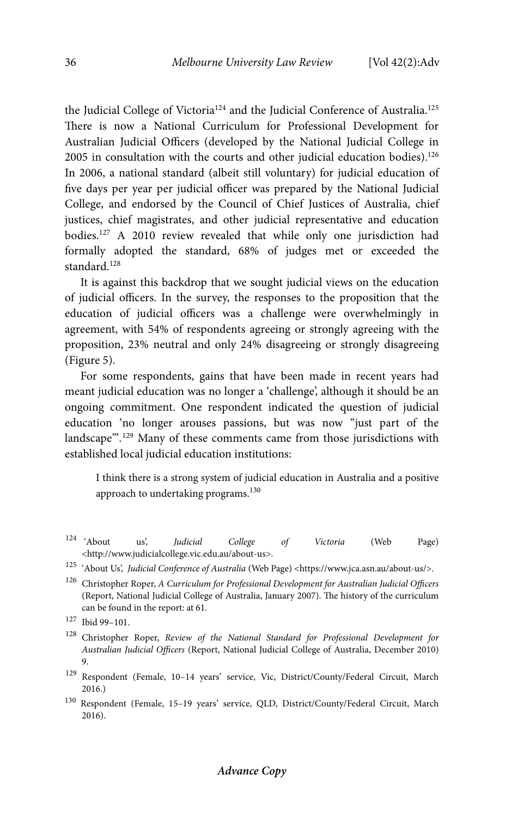the Judicial College of Victoria<sup>124</sup> and the Judicial Conference of Australia.<sup>125</sup> There is now a National Curriculum for Professional Development for Australian Judicial Officers (developed by the National Judicial College in  $2005$  in consultation with the courts and other judicial education bodies).<sup>126</sup> In 2006, a national standard (albeit still voluntary) for judicial education of five days per year per judicial officer was prepared by the National Judicial College, and endorsed by the Council of Chief Justices of Australia, chief justices, chief magistrates, and other judicial representative and education bodies.127 A 2010 review revealed that while only one jurisdiction had formally adopted the standard, 68% of judges met or exceeded the standard.<sup>128</sup>

It is against this backdrop that we sought judicial views on the education of judicial officers. In the survey, the responses to the proposition that the education of judicial officers was a challenge were overwhelmingly in agreement, with 54% of respondents agreeing or strongly agreeing with the proposition, 23% neutral and only 24% disagreeing or strongly disagreeing (Figure 5).

For some respondents, gains that have been made in recent years had meant judicial education was no longer a 'challenge', although it should be an ongoing commitment. One respondent indicated the question of judicial education 'no longer arouses passions, but was now "just part of the landscape".<sup>129</sup> Many of these comments came from those jurisdictions with established local judicial education institutions:

I think there is a strong system of judicial education in Australia and a positive approach to undertaking programs.<sup>130</sup>

- 124 'About us', *Judicial College of Victoria* (Web Page) <http://www.judicialcollege.vic.edu.au/about-us>.
- 125 'About Us', *Judicial Conference of Australia* (Web Page) <https://www.jca.asn.au/about-us/>.
- 126 Christopher Roper, *A Curriculum for Professional Development for Australian Judicial Officers* (Report, National Judicial College of Australia, January 2007). The history of the curriculum can be found in the report: at 61.

- 128 Christopher Roper, *Review of the National Standard for Professional Development for Australian Judicial Officers* (Report, National Judicial College of Australia, December 2010) 9.
- 129 Respondent (Female, 10–14 years' service, Vic, District/County/Federal Circuit, March 2016.)
- 130 Respondent (Female, 15–19 years' service, QLD, District/County/Federal Circuit, March 2016).

<sup>127</sup> Ibid 99–101.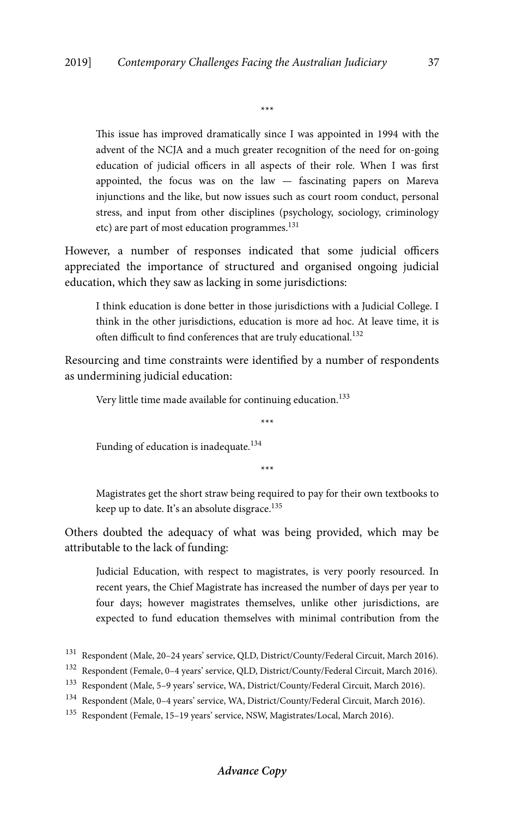\*\*\*

This issue has improved dramatically since I was appointed in 1994 with the advent of the NCJA and a much greater recognition of the need for on-going education of judicial officers in all aspects of their role. When I was first appointed, the focus was on the law — fascinating papers on Mareva injunctions and the like, but now issues such as court room conduct, personal stress, and input from other disciplines (psychology, sociology, criminology etc) are part of most education programmes.<sup>131</sup>

However, a number of responses indicated that some judicial officers appreciated the importance of structured and organised ongoing judicial education, which they saw as lacking in some jurisdictions:

I think education is done better in those jurisdictions with a Judicial College. I think in the other jurisdictions, education is more ad hoc. At leave time, it is often difficult to find conferences that are truly educational.<sup>132</sup>

Resourcing and time constraints were identified by a number of respondents as undermining judicial education:

Very little time made available for continuing education.<sup>133</sup>

\*\*\*

Funding of education is inadequate.<sup>134</sup>

\*\*\*

Magistrates get the short straw being required to pay for their own textbooks to keep up to date. It's an absolute disgrace.<sup>135</sup>

Others doubted the adequacy of what was being provided, which may be attributable to the lack of funding:

Judicial Education, with respect to magistrates, is very poorly resourced. In recent years, the Chief Magistrate has increased the number of days per year to four days; however magistrates themselves, unlike other jurisdictions, are expected to fund education themselves with minimal contribution from the

# **Advance Copy**

<sup>131</sup> Respondent (Male, 20–24 years' service, QLD, District/County/Federal Circuit, March 2016).

<sup>132</sup> Respondent (Female, 0–4 years' service, QLD, District/County/Federal Circuit, March 2016).

<sup>133</sup> Respondent (Male, 5–9 years' service, WA, District/County/Federal Circuit, March 2016).

<sup>134</sup> Respondent (Male, 0–4 years' service, WA, District/County/Federal Circuit, March 2016).

<sup>135</sup> Respondent (Female, 15–19 years' service, NSW, Magistrates/Local, March 2016).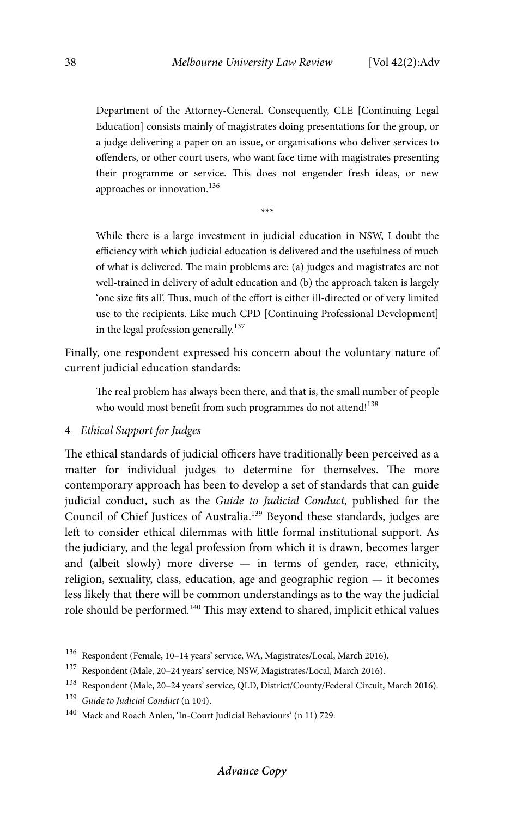Department of the Attorney-General. Consequently, CLE [Continuing Legal Education] consists mainly of magistrates doing presentations for the group, or a judge delivering a paper on an issue, or organisations who deliver services to offenders, or other court users, who want face time with magistrates presenting their programme or service. This does not engender fresh ideas, or new approaches or innovation.136

\*\*\*

While there is a large investment in judicial education in NSW, I doubt the efficiency with which judicial education is delivered and the usefulness of much of what is delivered. The main problems are: (a) judges and magistrates are not well-trained in delivery of adult education and (b) the approach taken is largely 'one size fits all'. Thus, much of the effort is either ill-directed or of very limited use to the recipients. Like much CPD [Continuing Professional Development] in the legal profession generally.<sup>137</sup>

Finally, one respondent expressed his concern about the voluntary nature of current judicial education standards:

The real problem has always been there, and that is, the small number of people who would most benefit from such programmes do not attend!<sup>138</sup>

#### 4 *Ethical Support for Judges*

The ethical standards of judicial officers have traditionally been perceived as a matter for individual judges to determine for themselves. The more contemporary approach has been to develop a set of standards that can guide judicial conduct, such as the *Guide to Judicial Conduct*, published for the Council of Chief Justices of Australia.139 Beyond these standards, judges are left to consider ethical dilemmas with little formal institutional support. As the judiciary, and the legal profession from which it is drawn, becomes larger and (albeit slowly) more diverse  $-$  in terms of gender, race, ethnicity, religion, sexuality, class, education, age and geographic region — it becomes less likely that there will be common understandings as to the way the judicial role should be performed.140 This may extend to shared, implicit ethical values

<sup>136</sup> Respondent (Female, 10–14 years' service, WA, Magistrates/Local, March 2016).

 $^{137}\,$  Respondent (Male, 20–24 years' service, NSW, Magistrates/Local, March 2016).

<sup>138</sup> Respondent (Male, 20–24 years' service, QLD, District/County/Federal Circuit, March 2016).

<sup>139</sup> *Guide to Judicial Conduct* (n 104).

<sup>140</sup> Mack and Roach Anleu, 'In-Court Judicial Behaviours' (n 11) 729.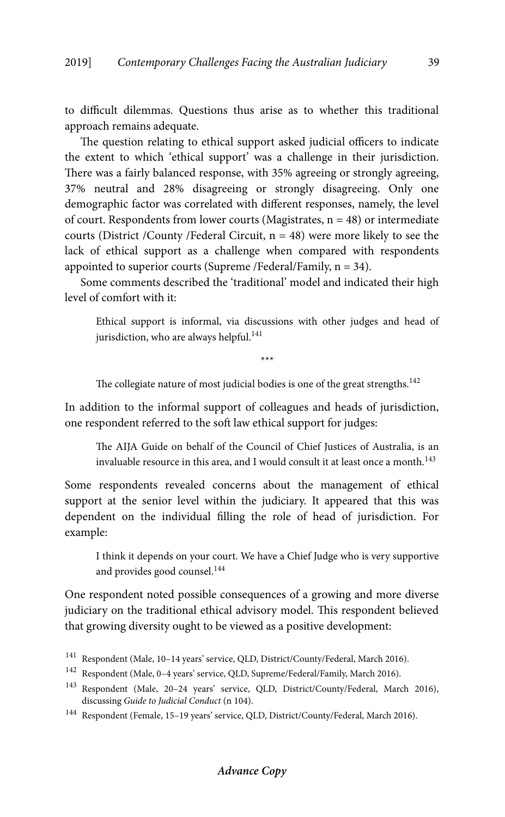to difficult dilemmas. Questions thus arise as to whether this traditional approach remains adequate.

The question relating to ethical support asked judicial officers to indicate the extent to which 'ethical support' was a challenge in their jurisdiction. There was a fairly balanced response, with 35% agreeing or strongly agreeing, 37% neutral and 28% disagreeing or strongly disagreeing. Only one demographic factor was correlated with different responses, namely, the level of court. Respondents from lower courts (Magistrates,  $n = 48$ ) or intermediate courts (District /County /Federal Circuit, n = 48) were more likely to see the lack of ethical support as a challenge when compared with respondents appointed to superior courts (Supreme /Federal/Family, n = 34).

Some comments described the 'traditional' model and indicated their high level of comfort with it:

Ethical support is informal, via discussions with other judges and head of jurisdiction, who are always helpful.<sup>141</sup>

\*\*\*

The collegiate nature of most judicial bodies is one of the great strengths.<sup>142</sup>

In addition to the informal support of colleagues and heads of jurisdiction, one respondent referred to the soft law ethical support for judges:

The AIJA Guide on behalf of the Council of Chief Justices of Australia, is an invaluable resource in this area, and I would consult it at least once a month.<sup>143</sup>

Some respondents revealed concerns about the management of ethical support at the senior level within the judiciary. It appeared that this was dependent on the individual filling the role of head of jurisdiction. For example:

I think it depends on your court. We have a Chief Judge who is very supportive and provides good counsel.<sup>144</sup>

One respondent noted possible consequences of a growing and more diverse judiciary on the traditional ethical advisory model. This respondent believed that growing diversity ought to be viewed as a positive development:

<sup>141</sup> Respondent (Male, 10–14 years' service, QLD, District/County/Federal, March 2016).

<sup>142</sup> Respondent (Male, 0–4 years' service, QLD, Supreme/Federal/Family, March 2016).

<sup>143</sup> Respondent (Male, 20–24 years' service, QLD, District/County/Federal, March 2016), discussing *Guide to Judicial Conduct* (n 104).

<sup>144</sup> Respondent (Female, 15–19 years' service, QLD, District/County/Federal, March 2016).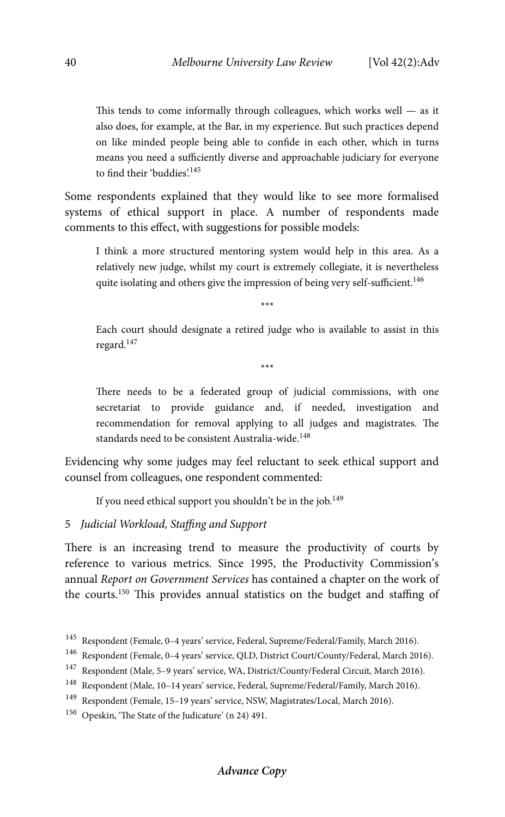This tends to come informally through colleagues, which works well — as it also does, for example, at the Bar, in my experience. But such practices depend on like minded people being able to confide in each other, which in turns means you need a sufficiently diverse and approachable judiciary for everyone to find their 'buddies'.<sup>145</sup>

Some respondents explained that they would like to see more formalised systems of ethical support in place. A number of respondents made comments to this effect, with suggestions for possible models:

I think a more structured mentoring system would help in this area. As a relatively new judge, whilst my court is extremely collegiate, it is nevertheless quite isolating and others give the impression of being very self-sufficient.<sup>146</sup>

\*\*\*

Each court should designate a retired judge who is available to assist in this regard.147

\*\*\*

There needs to be a federated group of judicial commissions, with one secretariat to provide guidance and, if needed, investigation and recommendation for removal applying to all judges and magistrates. The standards need to be consistent Australia-wide.<sup>148</sup>

Evidencing why some judges may feel reluctant to seek ethical support and counsel from colleagues, one respondent commented:

If you need ethical support you shouldn't be in the job.<sup>149</sup>

5 *Judicial Workload, Staffing and Support* 

There is an increasing trend to measure the productivity of courts by reference to various metrics. Since 1995, the Productivity Commission's annual *Report on Government Services* has contained a chapter on the work of the courts.150 This provides annual statistics on the budget and staffing of

# **Advance Copy**

 $^{145}\,$  Respondent (Female, 0–4 years' service, Federal, Supreme/Federal/Family, March 2016).

<sup>146</sup> Respondent (Female, 0–4 years' service, QLD, District Court/County/Federal, March 2016).

<sup>147</sup> Respondent (Male, 5–9 years' service, WA, District/County/Federal Circuit, March 2016).

<sup>148</sup> Respondent (Male, 10–14 years' service, Federal, Supreme/Federal/Family, March 2016).

<sup>149</sup> Respondent (Female, 15–19 years' service, NSW, Magistrates/Local, March 2016).

<sup>150</sup> Opeskin, 'The State of the Judicature' (n 24) 491.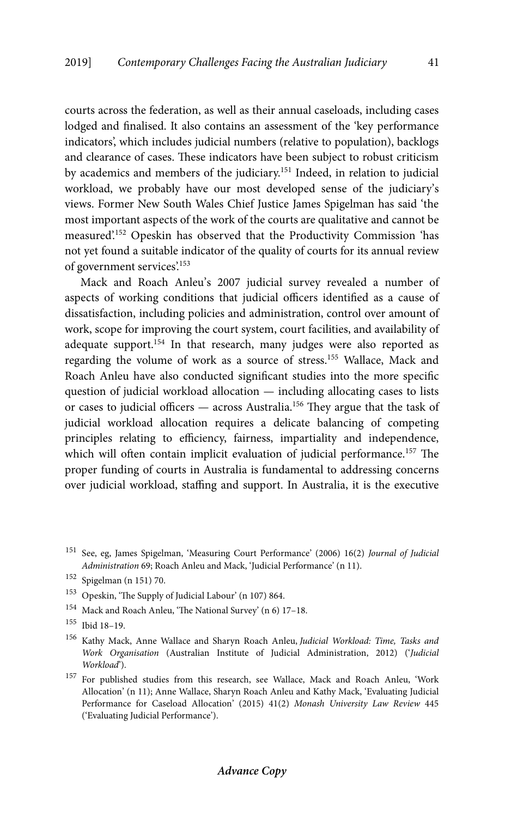courts across the federation, as well as their annual caseloads, including cases lodged and finalised. It also contains an assessment of the 'key performance indicators', which includes judicial numbers (relative to population), backlogs and clearance of cases. These indicators have been subject to robust criticism by academics and members of the judiciary.151 Indeed, in relation to judicial workload, we probably have our most developed sense of the judiciary's views. Former New South Wales Chief Justice James Spigelman has said 'the most important aspects of the work of the courts are qualitative and cannot be measured'.152 Opeskin has observed that the Productivity Commission 'has not yet found a suitable indicator of the quality of courts for its annual review of government services'.<sup>153</sup>

Mack and Roach Anleu's 2007 judicial survey revealed a number of aspects of working conditions that judicial officers identified as a cause of dissatisfaction, including policies and administration, control over amount of work, scope for improving the court system, court facilities, and availability of adequate support.<sup>154</sup> In that research, many judges were also reported as regarding the volume of work as a source of stress.155 Wallace, Mack and Roach Anleu have also conducted significant studies into the more specific question of judicial workload allocation — including allocating cases to lists or cases to judicial officers  $-$  across Australia.<sup>156</sup> They argue that the task of judicial workload allocation requires a delicate balancing of competing principles relating to efficiency, fairness, impartiality and independence, which will often contain implicit evaluation of judicial performance.<sup>157</sup> The proper funding of courts in Australia is fundamental to addressing concerns over judicial workload, staffing and support. In Australia, it is the executive

- 154 Mack and Roach Anleu, 'The National Survey' (n 6) 17–18.
- 155 Ibid 18–19.

156 Kathy Mack, Anne Wallace and Sharyn Roach Anleu, *Judicial Workload: Time, Tasks and Work Organisation* (Australian Institute of Judicial Administration, 2012) ('*Judicial Workload*').

<sup>157</sup> For published studies from this research, see Wallace, Mack and Roach Anleu, 'Work Allocation' (n 11); Anne Wallace, Sharyn Roach Anleu and Kathy Mack, 'Evaluating Judicial Performance for Caseload Allocation' (2015) 41(2) *Monash University Law Review* 445 ('Evaluating Judicial Performance').

<sup>151</sup> See, eg, James Spigelman, 'Measuring Court Performance' (2006) 16(2) *Journal of Judicial Administration* 69; Roach Anleu and Mack, 'Judicial Performance' (n 11).

<sup>152</sup> Spigelman (n 151) 70.

<sup>153</sup> Opeskin, 'The Supply of Judicial Labour' (n 107) 864.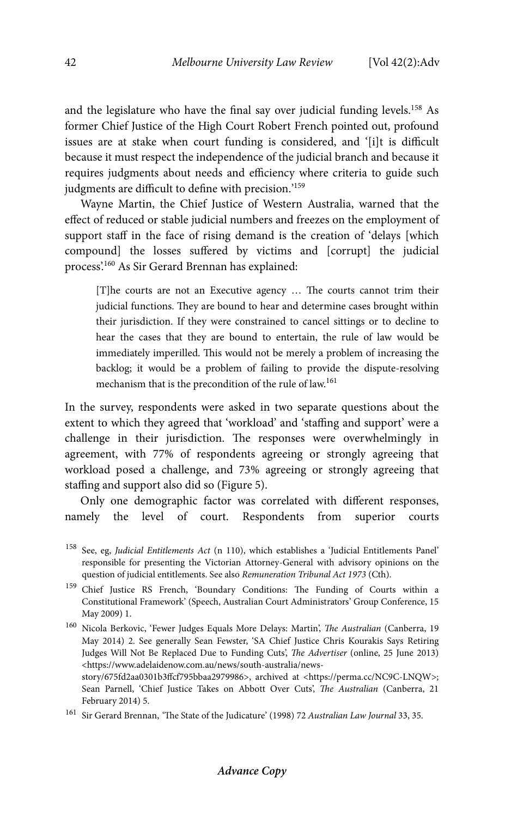and the legislature who have the final say over judicial funding levels.<sup>158</sup> As former Chief Justice of the High Court Robert French pointed out, profound issues are at stake when court funding is considered, and '[i]t is difficult because it must respect the independence of the judicial branch and because it requires judgments about needs and efficiency where criteria to guide such judgments are difficult to define with precision.'159

Wayne Martin, the Chief Justice of Western Australia, warned that the effect of reduced or stable judicial numbers and freezes on the employment of support staff in the face of rising demand is the creation of 'delays [which compound] the losses suffered by victims and [corrupt] the judicial process'.160 As Sir Gerard Brennan has explained:

[T]he courts are not an Executive agency … The courts cannot trim their judicial functions. They are bound to hear and determine cases brought within their jurisdiction. If they were constrained to cancel sittings or to decline to hear the cases that they are bound to entertain, the rule of law would be immediately imperilled. This would not be merely a problem of increasing the backlog; it would be a problem of failing to provide the dispute-resolving mechanism that is the precondition of the rule of law.<sup>161</sup>

In the survey, respondents were asked in two separate questions about the extent to which they agreed that 'workload' and 'staffing and support' were a challenge in their jurisdiction. The responses were overwhelmingly in agreement, with 77% of respondents agreeing or strongly agreeing that workload posed a challenge, and 73% agreeing or strongly agreeing that staffing and support also did so (Figure 5).

Only one demographic factor was correlated with different responses, namely the level of court. Respondents from superior courts

160 Nicola Berkovic, 'Fewer Judges Equals More Delays: Martin', *The Australian* (Canberra, 19 May 2014) 2. See generally Sean Fewster, 'SA Chief Justice Chris Kourakis Says Retiring Judges Will Not Be Replaced Due to Funding Cuts', *The Advertiser* (online, 25 June 2013) <https://www.adelaidenow.com.au/news/south-australia/newsstory/675fd2aa0301b3ffcf795bbaa2979986>, archived at <https://perma.cc/NC9C-LNQW>;

Sean Parnell, 'Chief Justice Takes on Abbott Over Cuts', *The Australian* (Canberra, 21 February 2014) 5.

<sup>158</sup> See, eg, *Judicial Entitlements Act* (n 110), which establishes a 'Judicial Entitlements Panel' responsible for presenting the Victorian Attorney-General with advisory opinions on the question of judicial entitlements. See also *Remuneration Tribunal Act 1973* (Cth).

<sup>159</sup> Chief Justice RS French, 'Boundary Conditions: The Funding of Courts within a Constitutional Framework' (Speech, Australian Court Administrators' Group Conference, 15 May 2009) 1.

<sup>161</sup> Sir Gerard Brennan, 'The State of the Judicature' (1998) 72 *Australian Law Journal* 33, 35.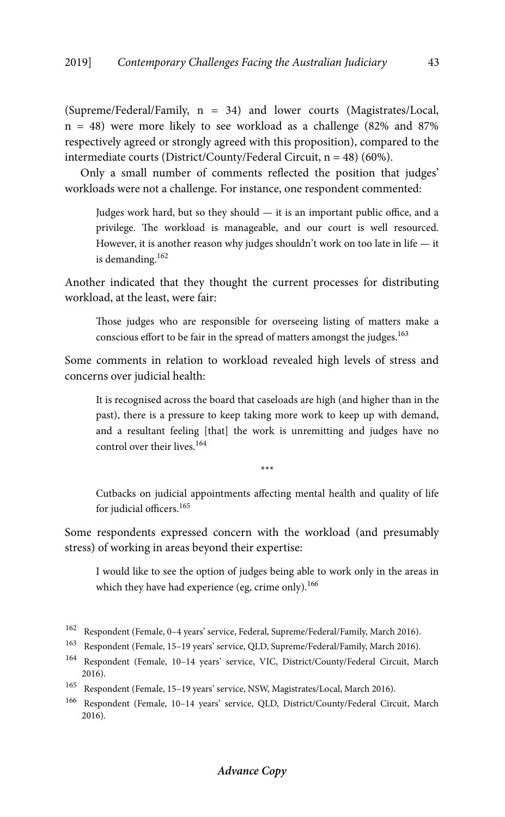(Supreme/Federal/Family, n = 34) and lower courts (Magistrates/Local,  $n = 48$ ) were more likely to see workload as a challenge (82% and 87%) respectively agreed or strongly agreed with this proposition), compared to the intermediate courts (District/County/Federal Circuit, n = 48) (60%).

Only a small number of comments reflected the position that judges' workloads were not a challenge. For instance, one respondent commented:

Judges work hard, but so they should — it is an important public office, and a privilege. The workload is manageable, and our court is well resourced. However, it is another reason why judges shouldn't work on too late in life — it is demanding.162

Another indicated that they thought the current processes for distributing workload, at the least, were fair:

Those judges who are responsible for overseeing listing of matters make a conscious effort to be fair in the spread of matters amongst the judges.<sup>163</sup>

Some comments in relation to workload revealed high levels of stress and concerns over judicial health:

It is recognised across the board that caseloads are high (and higher than in the past), there is a pressure to keep taking more work to keep up with demand, and a resultant feeling [that] the work is unremitting and judges have no control over their lives.<sup>164</sup>

\*\*\*

Cutbacks on judicial appointments affecting mental health and quality of life for judicial officers.<sup>165</sup>

Some respondents expressed concern with the workload (and presumably stress) of working in areas beyond their expertise:

I would like to see the option of judges being able to work only in the areas in which they have had experience (eg, crime only).<sup>166</sup>

<sup>162</sup> Respondent (Female, 0–4 years' service, Federal, Supreme/Federal/Family, March 2016).

<sup>163</sup> Respondent (Female, 15–19 years' service, QLD, Supreme/Federal/Family, March 2016).

<sup>164</sup> Respondent (Female, 10–14 years' service, VIC, District/County/Federal Circuit, March 2016).

<sup>165</sup> Respondent (Female, 15–19 years' service, NSW, Magistrates/Local, March 2016).

<sup>166</sup> Respondent (Female, 10–14 years' service, QLD, District/County/Federal Circuit, March 2016).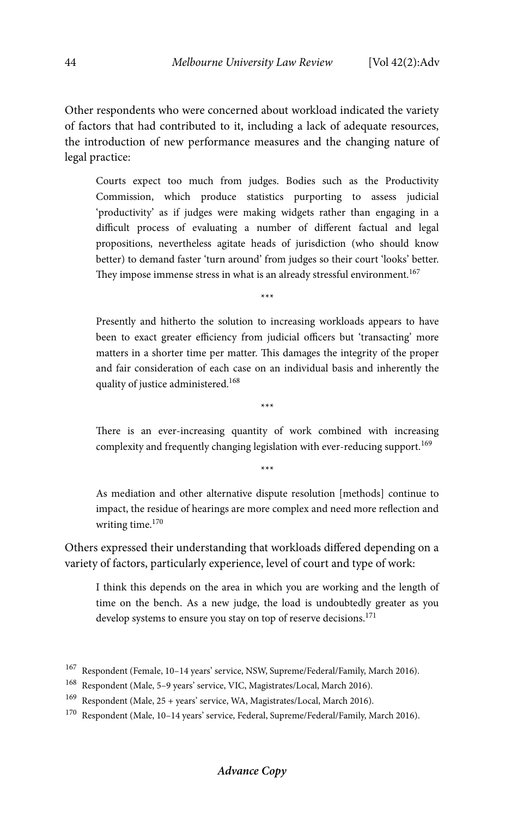Other respondents who were concerned about workload indicated the variety of factors that had contributed to it, including a lack of adequate resources, the introduction of new performance measures and the changing nature of legal practice:

Courts expect too much from judges. Bodies such as the Productivity Commission, which produce statistics purporting to assess judicial 'productivity' as if judges were making widgets rather than engaging in a difficult process of evaluating a number of different factual and legal propositions, nevertheless agitate heads of jurisdiction (who should know better) to demand faster 'turn around' from judges so their court 'looks' better. They impose immense stress in what is an already stressful environment.<sup>167</sup>

Presently and hitherto the solution to increasing workloads appears to have been to exact greater efficiency from judicial officers but 'transacting' more matters in a shorter time per matter. This damages the integrity of the proper and fair consideration of each case on an individual basis and inherently the quality of justice administered.<sup>168</sup>

\*\*\*

There is an ever-increasing quantity of work combined with increasing complexity and frequently changing legislation with ever-reducing support.<sup>169</sup>

\*\*\*

\*\*\*

As mediation and other alternative dispute resolution [methods] continue to impact, the residue of hearings are more complex and need more reflection and writing time.<sup>170</sup>

Others expressed their understanding that workloads differed depending on a variety of factors, particularly experience, level of court and type of work:

I think this depends on the area in which you are working and the length of time on the bench. As a new judge, the load is undoubtedly greater as you develop systems to ensure you stay on top of reserve decisions.<sup>171</sup>

<sup>167</sup> Respondent (Female, 10–14 years' service, NSW, Supreme/Federal/Family, March 2016).

<sup>168</sup> Respondent (Male, 5–9 years' service, VIC, Magistrates/Local, March 2016).

<sup>169</sup> Respondent (Male, 25 + years' service, WA, Magistrates/Local, March 2016).

<sup>170</sup> Respondent (Male, 10–14 years' service, Federal, Supreme/Federal/Family, March 2016).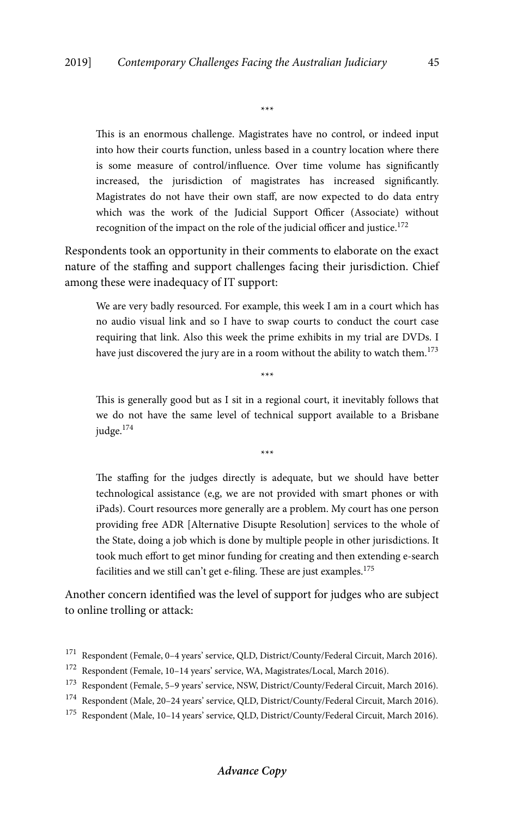This is an enormous challenge. Magistrates have no control, or indeed input into how their courts function, unless based in a country location where there is some measure of control/influence. Over time volume has significantly increased, the jurisdiction of magistrates has increased significantly. Magistrates do not have their own staff, are now expected to do data entry which was the work of the Judicial Support Officer (Associate) without recognition of the impact on the role of the judicial officer and justice. $172$ 

\*\*\*

Respondents took an opportunity in their comments to elaborate on the exact nature of the staffing and support challenges facing their jurisdiction. Chief among these were inadequacy of IT support:

We are very badly resourced. For example, this week I am in a court which has no audio visual link and so I have to swap courts to conduct the court case requiring that link. Also this week the prime exhibits in my trial are DVDs. I have just discovered the jury are in a room without the ability to watch them.<sup>173</sup>

\*\*\*

This is generally good but as I sit in a regional court, it inevitably follows that we do not have the same level of technical support available to a Brisbane judge.<sup>174</sup>

\*\*\*

The staffing for the judges directly is adequate, but we should have better technological assistance (e,g, we are not provided with smart phones or with iPads). Court resources more generally are a problem. My court has one person providing free ADR [Alternative Disupte Resolution] services to the whole of the State, doing a job which is done by multiple people in other jurisdictions. It took much effort to get minor funding for creating and then extending e-search facilities and we still can't get e-filing. These are just examples.<sup>175</sup>

Another concern identified was the level of support for judges who are subject to online trolling or attack:

<sup>&</sup>lt;sup>171</sup> Respondent (Female, 0–4 years' service, QLD, District/County/Federal Circuit, March 2016).

<sup>172</sup> Respondent (Female, 10–14 years' service, WA, Magistrates/Local, March 2016).

<sup>173</sup> Respondent (Female, 5–9 years' service, NSW, District/County/Federal Circuit, March 2016).

<sup>174</sup> Respondent (Male, 20–24 years' service, QLD, District/County/Federal Circuit, March 2016).

 $^{175}\,$  Respondent (Male, 10–14 years' service, QLD, District/County/Federal Circuit, March 2016).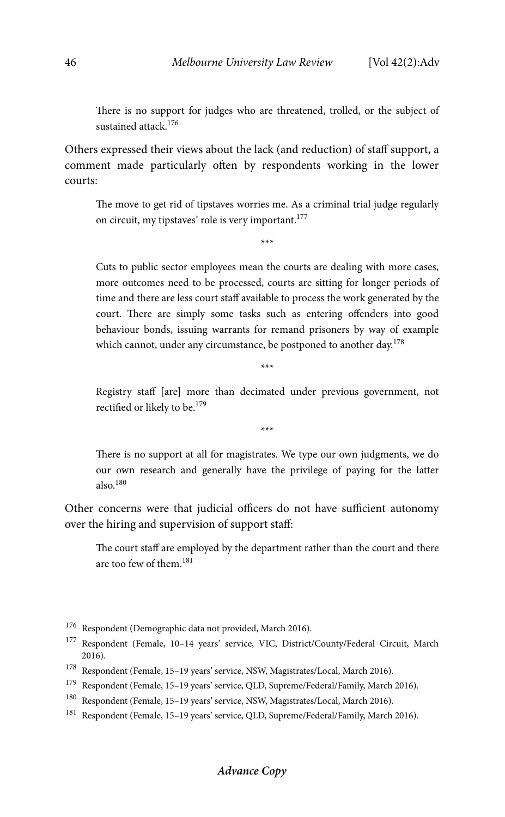There is no support for judges who are threatened, trolled, or the subject of sustained attack.<sup>176</sup>

Others expressed their views about the lack (and reduction) of staff support, a comment made particularly often by respondents working in the lower courts:

The move to get rid of tipstaves worries me. As a criminal trial judge regularly on circuit, my tipstaves' role is very important.<sup>177</sup>

\*\*\*

Cuts to public sector employees mean the courts are dealing with more cases, more outcomes need to be processed, courts are sitting for longer periods of time and there are less court staff available to process the work generated by the court. There are simply some tasks such as entering offenders into good behaviour bonds, issuing warrants for remand prisoners by way of example which cannot, under any circumstance, be postponed to another day.<sup>178</sup>

> Registry staff [are] more than decimated under previous government, not rectified or likely to be.<sup>179</sup>

> > \*\*\*

\*\*\*

There is no support at all for magistrates. We type our own judgments, we do our own research and generally have the privilege of paying for the latter also. $180$ 

Other concerns were that judicial officers do not have sufficient autonomy over the hiring and supervision of support staff:

The court staff are employed by the department rather than the court and there are too few of them.181

<sup>176</sup> Respondent (Demographic data not provided, March 2016).

- $^{178}\,$  Respondent (Female, 15–19 years' service, NSW, Magistrates/Local, March 2016).
- 179 Respondent (Female, 15–19 years' service, QLD, Supreme/Federal/Family, March 2016).
- 180 Respondent (Female, 15–19 years' service, NSW, Magistrates/Local, March 2016).
- 181 Respondent (Female, 15–19 years' service, QLD, Supreme/Federal/Family, March 2016).

# **Advance Copy**

<sup>177</sup> Respondent (Female, 10–14 years' service, VIC, District/County/Federal Circuit, March 2016).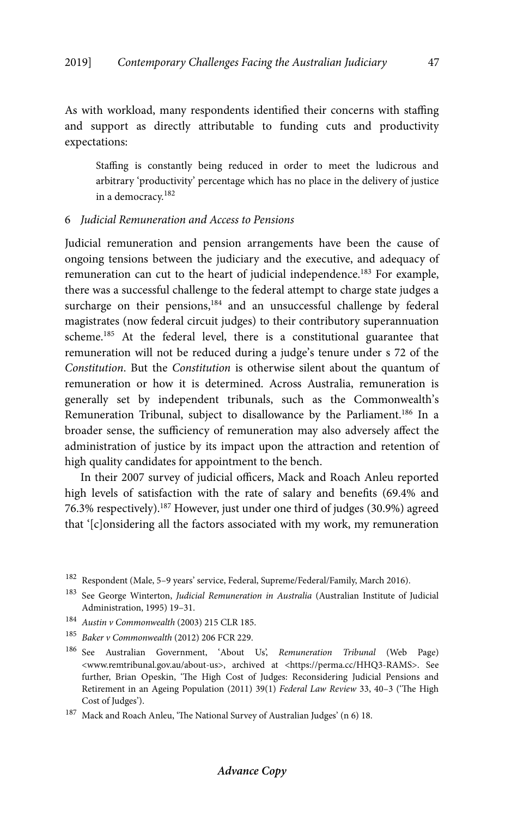As with workload, many respondents identified their concerns with staffing and support as directly attributable to funding cuts and productivity expectations:

Staffing is constantly being reduced in order to meet the ludicrous and arbitrary 'productivity' percentage which has no place in the delivery of justice in a democracy.182

## 6 *Judicial Remuneration and Access to Pensions*

Judicial remuneration and pension arrangements have been the cause of ongoing tensions between the judiciary and the executive, and adequacy of remuneration can cut to the heart of judicial independence.<sup>183</sup> For example, there was a successful challenge to the federal attempt to charge state judges a surcharge on their pensions,<sup>184</sup> and an unsuccessful challenge by federal magistrates (now federal circuit judges) to their contributory superannuation scheme.185 At the federal level, there is a constitutional guarantee that remuneration will not be reduced during a judge's tenure under s 72 of the *Constitution*. But the *Constitution* is otherwise silent about the quantum of remuneration or how it is determined. Across Australia, remuneration is generally set by independent tribunals, such as the Commonwealth's Remuneration Tribunal, subject to disallowance by the Parliament.<sup>186</sup> In a broader sense, the sufficiency of remuneration may also adversely affect the administration of justice by its impact upon the attraction and retention of high quality candidates for appointment to the bench.

In their 2007 survey of judicial officers, Mack and Roach Anleu reported high levels of satisfaction with the rate of salary and benefits (69.4% and 76.3% respectively).187 However, just under one third of judges (30.9%) agreed that '[c]onsidering all the factors associated with my work, my remuneration

<sup>184</sup> *Austin v Commonwealth* (2003) 215 CLR 185.

#### **Advance Copy**

<sup>182</sup> Respondent (Male, 5–9 years' service, Federal, Supreme/Federal/Family, March 2016).

<sup>183</sup> See George Winterton, *Judicial Remuneration in Australia* (Australian Institute of Judicial Administration, 1995) 19–31.

<sup>185</sup> *Baker v Commonwealth* (2012) 206 FCR 229.

<sup>186</sup> See Australian Government, 'About Us', *Remuneration Tribunal* (Web Page) <www.remtribunal.gov.au/about-us>, archived at <https://perma.cc/HHQ3-RAMS>. See further, Brian Opeskin, 'The High Cost of Judges: Reconsidering Judicial Pensions and Retirement in an Ageing Population (2011) 39(1) *Federal Law Review* 33, 40–3 ('The High Cost of Judges').

 $^{187}\,$  Mack and Roach Anleu, 'The National Survey of Australian Judges' (n 6) 18.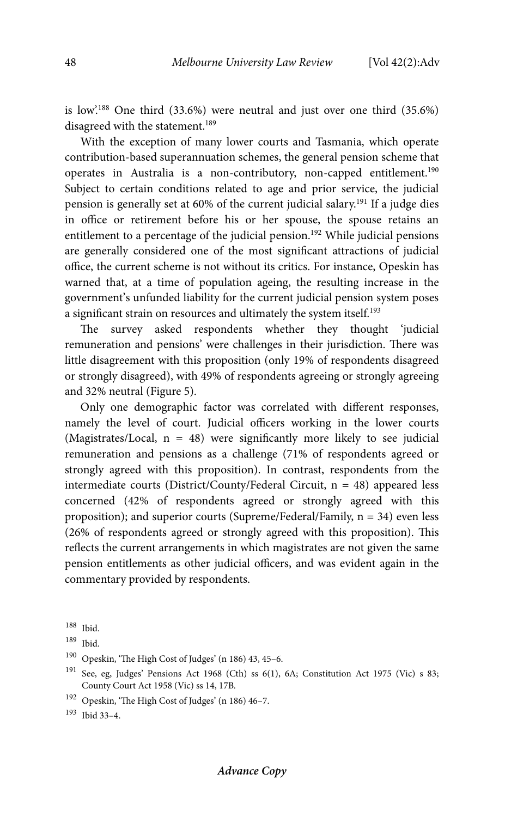is low'.188 One third (33.6%) were neutral and just over one third (35.6%) disagreed with the statement.<sup>189</sup>

With the exception of many lower courts and Tasmania, which operate contribution-based superannuation schemes, the general pension scheme that operates in Australia is a non-contributory, non-capped entitlement.<sup>190</sup> Subject to certain conditions related to age and prior service, the judicial pension is generally set at 60% of the current judicial salary.191 If a judge dies in office or retirement before his or her spouse, the spouse retains an entitlement to a percentage of the judicial pension.<sup>192</sup> While judicial pensions are generally considered one of the most significant attractions of judicial office, the current scheme is not without its critics. For instance, Opeskin has warned that, at a time of population ageing, the resulting increase in the government's unfunded liability for the current judicial pension system poses a significant strain on resources and ultimately the system itself.<sup>193</sup>

The survey asked respondents whether they thought 'judicial remuneration and pensions' were challenges in their jurisdiction. There was little disagreement with this proposition (only 19% of respondents disagreed or strongly disagreed), with 49% of respondents agreeing or strongly agreeing and 32% neutral (Figure 5).

Only one demographic factor was correlated with different responses, namely the level of court. Judicial officers working in the lower courts (Magistrates/Local,  $n = 48$ ) were significantly more likely to see judicial remuneration and pensions as a challenge (71% of respondents agreed or strongly agreed with this proposition). In contrast, respondents from the intermediate courts (District/County/Federal Circuit, n = 48) appeared less concerned (42% of respondents agreed or strongly agreed with this proposition); and superior courts (Supreme/Federal/Family, n = 34) even less (26% of respondents agreed or strongly agreed with this proposition). This reflects the current arrangements in which magistrates are not given the same pension entitlements as other judicial officers, and was evident again in the commentary provided by respondents.

193 Ibid 33–4.

<sup>188</sup> Ibid.

<sup>189</sup> Ibid.

<sup>190</sup> Opeskin, 'The High Cost of Judges' (n 186) 43, 45–6.

 $191$  See, eg, Judges' Pensions Act 1968 (Cth) ss 6(1), 6A; Constitution Act 1975 (Vic) s 83; County Court Act 1958 (Vic) ss 14, 17B.

<sup>192</sup> Opeskin, 'The High Cost of Judges' (n 186) 46–7.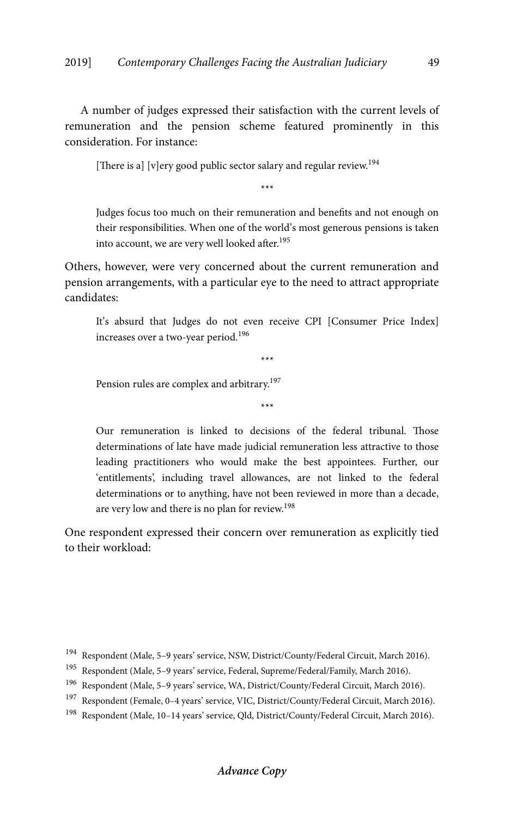A number of judges expressed their satisfaction with the current levels of remuneration and the pension scheme featured prominently in this consideration. For instance:

[There is a] [v]ery good public sector salary and regular review.<sup>194</sup>]

\*\*\*

Judges focus too much on their remuneration and benefits and not enough on their responsibilities. When one of the world's most generous pensions is taken into account, we are very well looked after.<sup>195</sup>

Others, however, were very concerned about the current remuneration and pension arrangements, with a particular eye to the need to attract appropriate candidates:

It's absurd that Judges do not even receive CPI [Consumer Price Index] increases over a two-year period.<sup>196</sup>

\*\*\*

Pension rules are complex and arbitrary.<sup>197</sup>

\*\*\*

Our remuneration is linked to decisions of the federal tribunal. Those determinations of late have made judicial remuneration less attractive to those leading practitioners who would make the best appointees. Further, our 'entitlements', including travel allowances, are not linked to the federal determinations or to anything, have not been reviewed in more than a decade, are very low and there is no plan for review.<sup>198</sup>

One respondent expressed their concern over remuneration as explicitly tied to their workload:

<sup>&</sup>lt;sup>194</sup> Respondent (Male, 5–9 years' service, NSW, District/County/Federal Circuit, March 2016).

<sup>195</sup> Respondent (Male, 5–9 years' service, Federal, Supreme/Federal/Family, March 2016).

<sup>196</sup> Respondent (Male, 5–9 years' service, WA, District/County/Federal Circuit, March 2016).

<sup>&</sup>lt;sup>197</sup> Respondent (Female, 0-4 years' service, VIC, District/County/Federal Circuit, March 2016).

<sup>198</sup> Respondent (Male, 10–14 years' service, Qld, District/County/Federal Circuit, March 2016).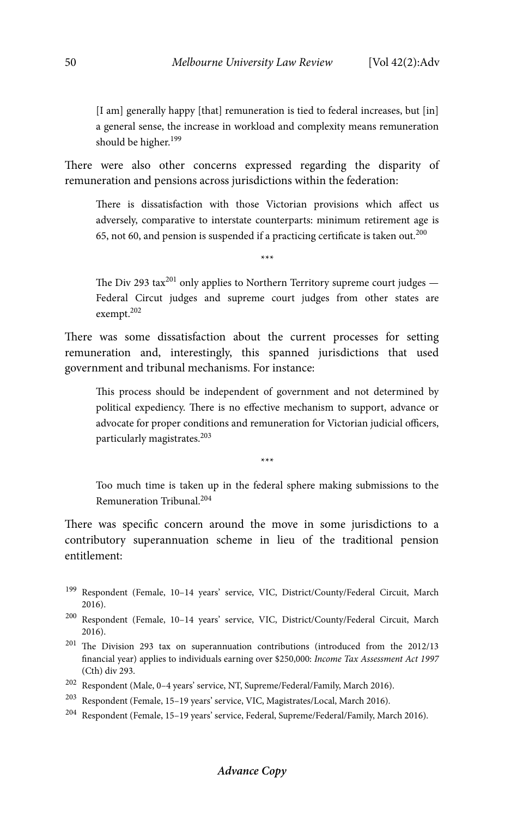[I am] generally happy [that] remuneration is tied to federal increases, but [in] a general sense, the increase in workload and complexity means remuneration should be higher.<sup>199</sup>

There were also other concerns expressed regarding the disparity of remuneration and pensions across jurisdictions within the federation:

There is dissatisfaction with those Victorian provisions which affect us adversely, comparative to interstate counterparts: minimum retirement age is 65, not 60, and pension is suspended if a practicing certificate is taken out. $200$ 

\*\*\*

The Div 293 tax<sup>201</sup> only applies to Northern Territory supreme court judges  $-$ Federal Circut judges and supreme court judges from other states are exempt.202

There was some dissatisfaction about the current processes for setting remuneration and, interestingly, this spanned jurisdictions that used government and tribunal mechanisms. For instance:

This process should be independent of government and not determined by political expediency. There is no effective mechanism to support, advance or advocate for proper conditions and remuneration for Victorian judicial officers, particularly magistrates.203

\*\*\*

Too much time is taken up in the federal sphere making submissions to the Remuneration Tribunal.204

There was specific concern around the move in some jurisdictions to a contributory superannuation scheme in lieu of the traditional pension entitlement:

- 199 Respondent (Female, 10–14 years' service, VIC, District/County/Federal Circuit, March 2016).
- 200 Respondent (Female, 10–14 years' service, VIC, District/County/Federal Circuit, March 2016).
- 201 The Division 293 tax on superannuation contributions (introduced from the 2012/13 financial year) applies to individuals earning over \$250,000: *Income Tax Assessment Act 1997*  (Cth) div 293.
- $^{202}\,$  Respondent (Male, 0–4 years' service, NT, Supreme/Federal/Family, March 2016).
- 203 Respondent (Female, 15–19 years' service, VIC, Magistrates/Local, March 2016).
- 204 Respondent (Female, 15–19 years' service, Federal, Supreme/Federal/Family, March 2016).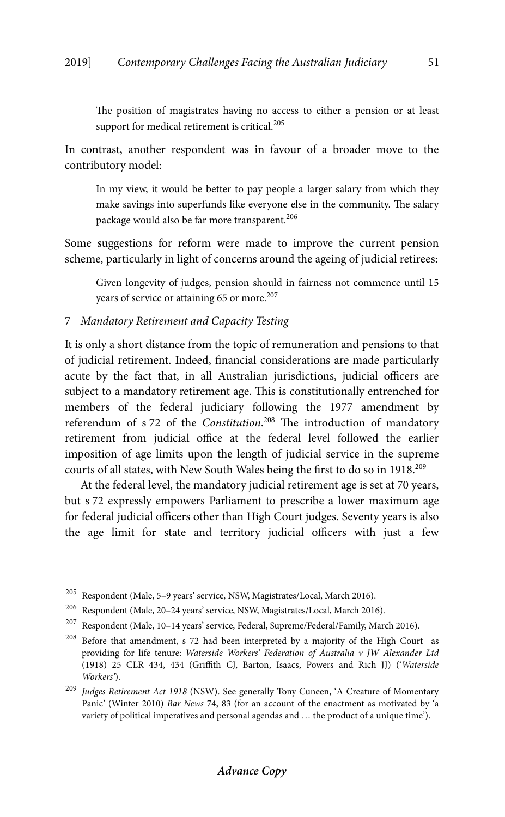The position of magistrates having no access to either a pension or at least support for medical retirement is critical.<sup>205</sup>

In contrast, another respondent was in favour of a broader move to the contributory model:

In my view, it would be better to pay people a larger salary from which they make savings into superfunds like everyone else in the community. The salary package would also be far more transparent.<sup>206</sup>

Some suggestions for reform were made to improve the current pension scheme, particularly in light of concerns around the ageing of judicial retirees:

Given longevity of judges, pension should in fairness not commence until 15 years of service or attaining 65 or more.<sup>207</sup>

# 7 *Mandatory Retirement and Capacity Testing*

It is only a short distance from the topic of remuneration and pensions to that of judicial retirement. Indeed, financial considerations are made particularly acute by the fact that, in all Australian jurisdictions, judicial officers are subject to a mandatory retirement age. This is constitutionally entrenched for members of the federal judiciary following the 1977 amendment by referendum of s 72 of the *Constitution*. 208 The introduction of mandatory retirement from judicial office at the federal level followed the earlier imposition of age limits upon the length of judicial service in the supreme courts of all states, with New South Wales being the first to do so in 1918.209

At the federal level, the mandatory judicial retirement age is set at 70 years, but s 72 expressly empowers Parliament to prescribe a lower maximum age for federal judicial officers other than High Court judges. Seventy years is also the age limit for state and territory judicial officers with just a few

 $^{205}\,$  Respondent (Male, 5–9 years' service, NSW, Magistrates/Local, March 2016).

<sup>206</sup> Respondent (Male, 20–24 years' service, NSW, Magistrates/Local, March 2016).

<sup>207</sup> Respondent (Male, 10–14 years' service, Federal, Supreme/Federal/Family, March 2016).

<sup>&</sup>lt;sup>208</sup> Before that amendment, s 72 had been interpreted by a majority of the High Court as providing for life tenure: *Waterside Workers' Federation of Australia v JW Alexander Ltd*  (1918) 25 CLR 434, 434 (Griffith CJ, Barton, Isaacs, Powers and Rich JJ) ('*Waterside Workers'*).

<sup>209</sup> *Judges Retirement Act 1918* (NSW). See generally Tony Cuneen, 'A Creature of Momentary Panic' (Winter 2010) *Bar News* 74, 83 (for an account of the enactment as motivated by 'a variety of political imperatives and personal agendas and … the product of a unique time').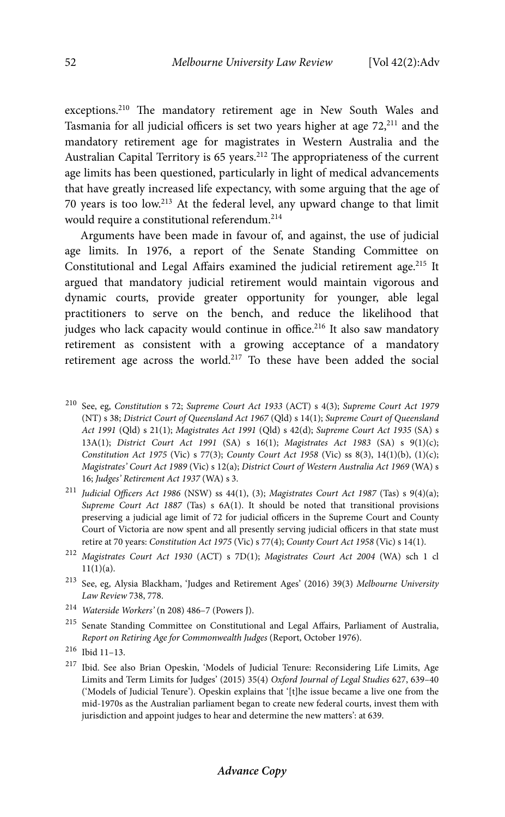exceptions.210 The mandatory retirement age in New South Wales and Tasmania for all judicial officers is set two years higher at age  $72$ <sup>211</sup> and the mandatory retirement age for magistrates in Western Australia and the Australian Capital Territory is 65 years.<sup>212</sup> The appropriateness of the current age limits has been questioned, particularly in light of medical advancements that have greatly increased life expectancy, with some arguing that the age of 70 years is too low.213 At the federal level, any upward change to that limit would require a constitutional referendum.214

Arguments have been made in favour of, and against, the use of judicial age limits. In 1976, a report of the Senate Standing Committee on Constitutional and Legal Affairs examined the judicial retirement age.<sup>215</sup> It argued that mandatory judicial retirement would maintain vigorous and dynamic courts, provide greater opportunity for younger, able legal practitioners to serve on the bench, and reduce the likelihood that judges who lack capacity would continue in office.<sup>216</sup> It also saw mandatory retirement as consistent with a growing acceptance of a mandatory retirement age across the world.<sup>217</sup> To these have been added the social

- 210 See, eg, *Constitution* s 72; *Supreme Court Act 1933* (ACT) s 4(3); *Supreme Court Act 1979* (NT) s 38; *District Court of Queensland Act 1967* (Qld) s 14(1); *Supreme Court of Queensland Act 1991* (Qld) s 21(1); *Magistrates Act 1991* (Qld) s 42(d); *Supreme Court Act 1935* (SA) s 13A(1); *District Court Act 1991* (SA) s 16(1); *Magistrates Act 1983* (SA) s 9(1)(c); *Constitution Act 1975* (Vic) s 77(3); *County Court Act 1958* (Vic) ss 8(3), 14(1)(b), (1)(c); *Magistrates' Court Act 1989* (Vic) s 12(a); *District Court of Western Australia Act 1969* (WA) s 16; *Judges' Retirement Act 1937* (WA) s 3.
- <sup>211</sup> *Judicial Officers Act 1986* (NSW) ss 44(1), (3); *Magistrates Court Act 1987* (Tas) s 9(4)(a); *Supreme Court Act 1887* (Tas) s 6A(1). It should be noted that transitional provisions preserving a judicial age limit of 72 for judicial officers in the Supreme Court and County Court of Victoria are now spent and all presently serving judicial officers in that state must retire at 70 years: *Constitution Act 1975* (Vic) s 77(4); *County Court Act 1958* (Vic) s 14(1).
- <sup>212</sup> *Magistrates Court Act 1930* (ACT) s 7D(1); *Magistrates Court Act 2004* (WA) sch 1 cl  $11(1)(a)$ .
- 213 See, eg, Alysia Blackham, 'Judges and Retirement Ages' (2016) 39(3) *Melbourne University Law Review* 738, 778.
- 214 *Waterside Workers'* (n 208) 486–7 (Powers J).
- 215 Senate Standing Committee on Constitutional and Legal Affairs, Parliament of Australia, *Report on Retiring Age for Commonwealth Judges* (Report, October 1976).
- 216 Ibid 11–13.
- 217 Ibid. See also Brian Opeskin, 'Models of Judicial Tenure: Reconsidering Life Limits, Age Limits and Term Limits for Judges' (2015) 35(4) *Oxford Journal of Legal Studies* 627, 639–40 ('Models of Judicial Tenure'). Opeskin explains that '[t]he issue became a live one from the mid-1970s as the Australian parliament began to create new federal courts, invest them with jurisdiction and appoint judges to hear and determine the new matters': at 639.

# **Advance Copy**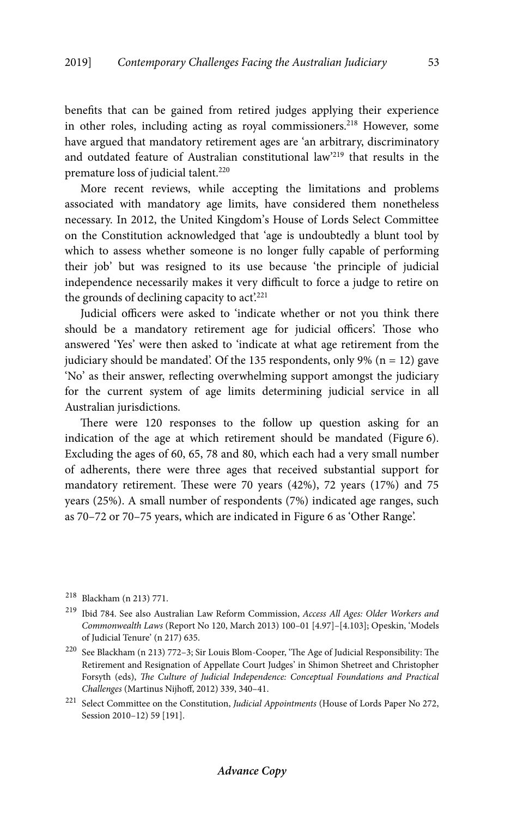benefits that can be gained from retired judges applying their experience in other roles, including acting as royal commissioners.<sup>218</sup> However, some have argued that mandatory retirement ages are 'an arbitrary, discriminatory and outdated feature of Australian constitutional law'219 that results in the premature loss of judicial talent.<sup>220</sup>

More recent reviews, while accepting the limitations and problems associated with mandatory age limits, have considered them nonetheless necessary. In 2012, the United Kingdom's House of Lords Select Committee on the Constitution acknowledged that 'age is undoubtedly a blunt tool by which to assess whether someone is no longer fully capable of performing their job' but was resigned to its use because 'the principle of judicial independence necessarily makes it very difficult to force a judge to retire on the grounds of declining capacity to act.<sup>221</sup>

Judicial officers were asked to 'indicate whether or not you think there should be a mandatory retirement age for judicial officers'. Those who answered 'Yes' were then asked to 'indicate at what age retirement from the judiciary should be mandated'. Of the 135 respondents, only 9% ( $n = 12$ ) gave 'No' as their answer, reflecting overwhelming support amongst the judiciary for the current system of age limits determining judicial service in all Australian jurisdictions.

There were 120 responses to the follow up question asking for an indication of the age at which retirement should be mandated (Figure 6). Excluding the ages of 60, 65, 78 and 80, which each had a very small number of adherents, there were three ages that received substantial support for mandatory retirement. These were 70 years (42%), 72 years (17%) and 75 years (25%). A small number of respondents (7%) indicated age ranges, such as 70–72 or 70–75 years, which are indicated in Figure 6 as 'Other Range'.

<sup>218</sup> Blackham (n 213) 771.

<sup>219</sup> Ibid 784. See also Australian Law Reform Commission, *Access All Ages: Older Workers and Commonwealth Laws* (Report No 120, March 2013) 100–01 [4.97]–[4.103]; Opeskin, 'Models of Judicial Tenure' (n 217) 635.

<sup>220</sup> See Blackham (n 213) 772–3; Sir Louis Blom-Cooper, 'The Age of Judicial Responsibility: The Retirement and Resignation of Appellate Court Judges' in Shimon Shetreet and Christopher Forsyth (eds), *The Culture of Judicial Independence: Conceptual Foundations and Practical Challenges* (Martinus Nijhoff, 2012) 339, 340–41.

<sup>221</sup> Select Committee on the Constitution, *Judicial Appointments* (House of Lords Paper No 272, Session 2010–12) 59 [191].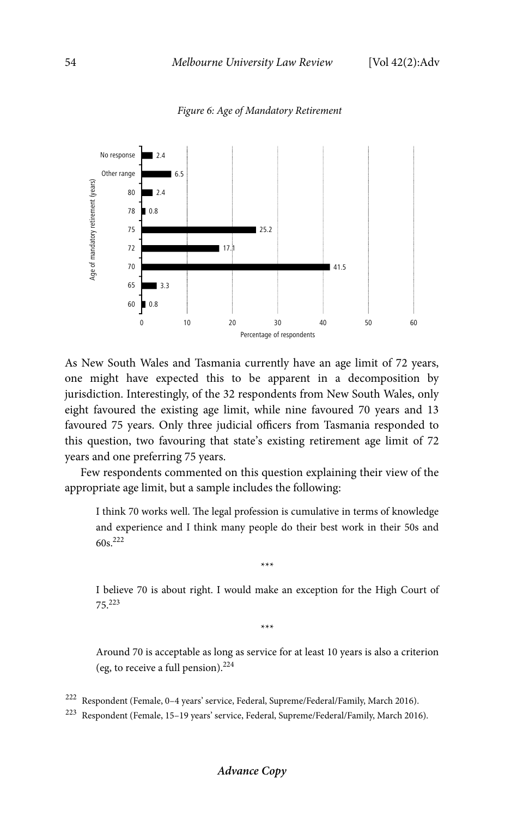

#### *Figure 6: Age of Mandatory Retirement*

As New South Wales and Tasmania currently have an age limit of 72 years, one might have expected this to be apparent in a decomposition by jurisdiction. Interestingly, of the 32 respondents from New South Wales, only eight favoured the existing age limit, while nine favoured 70 years and 13 favoured 75 years. Only three judicial officers from Tasmania responded to this question, two favouring that state's existing retirement age limit of 72 years and one preferring 75 years.

Few respondents commented on this question explaining their view of the appropriate age limit, but a sample includes the following:

I think 70 works well. The legal profession is cumulative in terms of knowledge and experience and I think many people do their best work in their 50s and 60s.222

\*\*\*

I believe 70 is about right. I would make an exception for the High Court of 75.223

\*\*\*

Around 70 is acceptable as long as service for at least 10 years is also a criterion (eg, to receive a full pension). $224$ 

- 222 Respondent (Female, 0–4 years' service, Federal, Supreme/Federal/Family, March 2016).
- 223 Respondent (Female, 15–19 years' service, Federal, Supreme/Federal/Family, March 2016).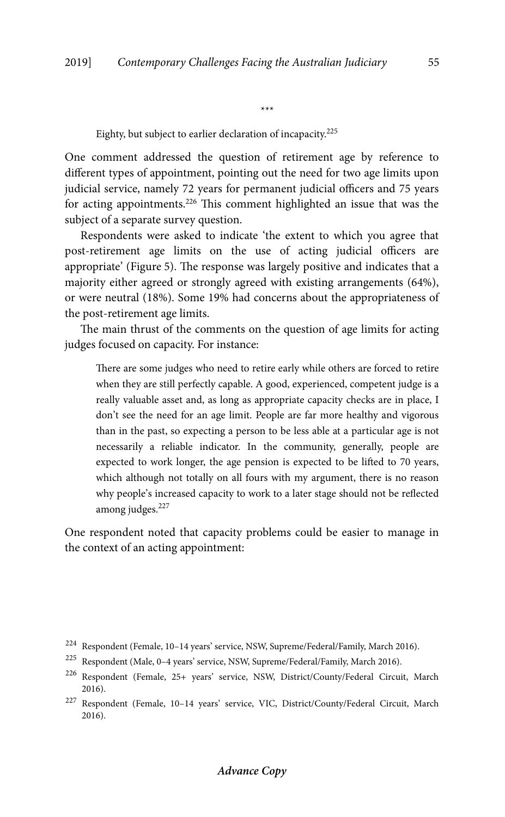Eighty, but subject to earlier declaration of incapacity.225

One comment addressed the question of retirement age by reference to different types of appointment, pointing out the need for two age limits upon judicial service, namely 72 years for permanent judicial officers and 75 years for acting appointments.226 This comment highlighted an issue that was the subject of a separate survey question.

\*\*\*

Respondents were asked to indicate 'the extent to which you agree that post-retirement age limits on the use of acting judicial officers are appropriate' (Figure 5). The response was largely positive and indicates that a majority either agreed or strongly agreed with existing arrangements (64%), or were neutral (18%). Some 19% had concerns about the appropriateness of the post-retirement age limits.

The main thrust of the comments on the question of age limits for acting judges focused on capacity. For instance:

There are some judges who need to retire early while others are forced to retire when they are still perfectly capable. A good, experienced, competent judge is a really valuable asset and, as long as appropriate capacity checks are in place, I don't see the need for an age limit. People are far more healthy and vigorous than in the past, so expecting a person to be less able at a particular age is not necessarily a reliable indicator. In the community, generally, people are expected to work longer, the age pension is expected to be lifted to 70 years, which although not totally on all fours with my argument, there is no reason why people's increased capacity to work to a later stage should not be reflected among judges.<sup>227</sup>

One respondent noted that capacity problems could be easier to manage in the context of an acting appointment:

<sup>224</sup> Respondent (Female, 10–14 years' service, NSW, Supreme/Federal/Family, March 2016).

<sup>225</sup> Respondent (Male, 0–4 years' service, NSW, Supreme/Federal/Family, March 2016).

<sup>226</sup> Respondent (Female, 25+ years' service, NSW, District/County/Federal Circuit, March 2016).

<sup>227</sup> Respondent (Female, 10–14 years' service, VIC, District/County/Federal Circuit, March 2016).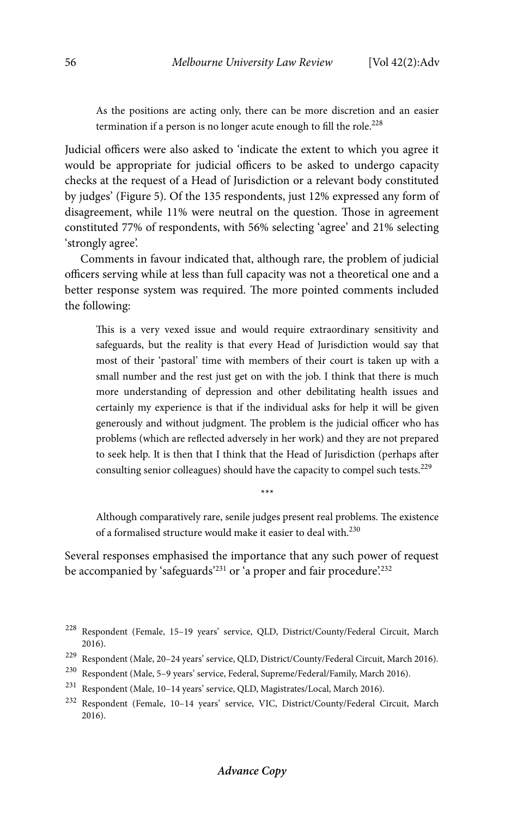As the positions are acting only, there can be more discretion and an easier termination if a person is no longer acute enough to fill the role.<sup>228</sup>

Judicial officers were also asked to 'indicate the extent to which you agree it would be appropriate for judicial officers to be asked to undergo capacity checks at the request of a Head of Jurisdiction or a relevant body constituted by judges' (Figure 5). Of the 135 respondents, just 12% expressed any form of disagreement, while 11% were neutral on the question. Those in agreement constituted 77% of respondents, with 56% selecting 'agree' and 21% selecting 'strongly agree'.

Comments in favour indicated that, although rare, the problem of judicial officers serving while at less than full capacity was not a theoretical one and a better response system was required. The more pointed comments included the following:

This is a very vexed issue and would require extraordinary sensitivity and safeguards, but the reality is that every Head of Jurisdiction would say that most of their 'pastoral' time with members of their court is taken up with a small number and the rest just get on with the job. I think that there is much more understanding of depression and other debilitating health issues and certainly my experience is that if the individual asks for help it will be given generously and without judgment. The problem is the judicial officer who has problems (which are reflected adversely in her work) and they are not prepared to seek help. It is then that I think that the Head of Jurisdiction (perhaps after consulting senior colleagues) should have the capacity to compel such tests.<sup>229</sup>

Although comparatively rare, senile judges present real problems. The existence of a formalised structure would make it easier to deal with.<sup>230</sup>

\*\*\*

Several responses emphasised the importance that any such power of request be accompanied by 'safeguards'<sup>231</sup> or 'a proper and fair procedure'.<sup>232</sup>

- 230 Respondent (Male, 5–9 years' service, Federal, Supreme/Federal/Family, March 2016).
- 231 Respondent (Male, 10–14 years' service, QLD, Magistrates/Local, March 2016).

<sup>228</sup> Respondent (Female, 15–19 years' service, QLD, District/County/Federal Circuit, March 2016).

 $^{229}\,$  Respondent (Male, 20–24 years' service, QLD, District/County/Federal Circuit, March 2016).

<sup>232</sup> Respondent (Female, 10–14 years' service, VIC, District/County/Federal Circuit, March 2016).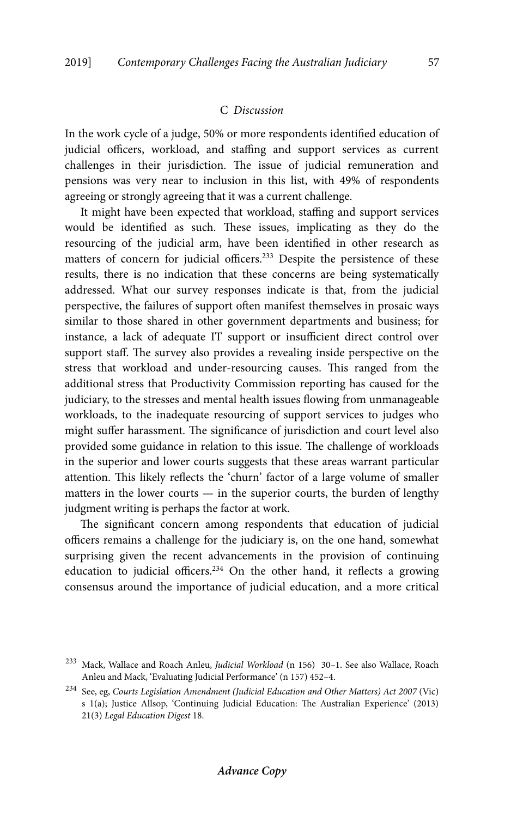## C *Discussion*

In the work cycle of a judge, 50% or more respondents identified education of judicial officers, workload, and staffing and support services as current challenges in their jurisdiction. The issue of judicial remuneration and pensions was very near to inclusion in this list, with 49% of respondents agreeing or strongly agreeing that it was a current challenge.

It might have been expected that workload, staffing and support services would be identified as such. These issues, implicating as they do the resourcing of the judicial arm, have been identified in other research as matters of concern for judicial officers.<sup>233</sup> Despite the persistence of these results, there is no indication that these concerns are being systematically addressed. What our survey responses indicate is that, from the judicial perspective, the failures of support often manifest themselves in prosaic ways similar to those shared in other government departments and business; for instance, a lack of adequate IT support or insufficient direct control over support staff. The survey also provides a revealing inside perspective on the stress that workload and under-resourcing causes. This ranged from the additional stress that Productivity Commission reporting has caused for the judiciary, to the stresses and mental health issues flowing from unmanageable workloads, to the inadequate resourcing of support services to judges who might suffer harassment. The significance of jurisdiction and court level also provided some guidance in relation to this issue. The challenge of workloads in the superior and lower courts suggests that these areas warrant particular attention. This likely reflects the 'churn' factor of a large volume of smaller matters in the lower courts — in the superior courts, the burden of lengthy judgment writing is perhaps the factor at work.

The significant concern among respondents that education of judicial officers remains a challenge for the judiciary is, on the one hand, somewhat surprising given the recent advancements in the provision of continuing education to judicial officers.234 On the other hand, it reflects a growing consensus around the importance of judicial education, and a more critical

<sup>233</sup> Mack, Wallace and Roach Anleu, *Judicial Workload* (n 156) 30–1. See also Wallace, Roach Anleu and Mack, 'Evaluating Judicial Performance' (n 157) 452–4.

<sup>234</sup> See, eg, *Courts Legislation Amendment (Judicial Education and Other Matters) Act 2007* (Vic) s 1(a); Justice Allsop, 'Continuing Judicial Education: The Australian Experience' (2013) 21(3) *Legal Education Digest* 18.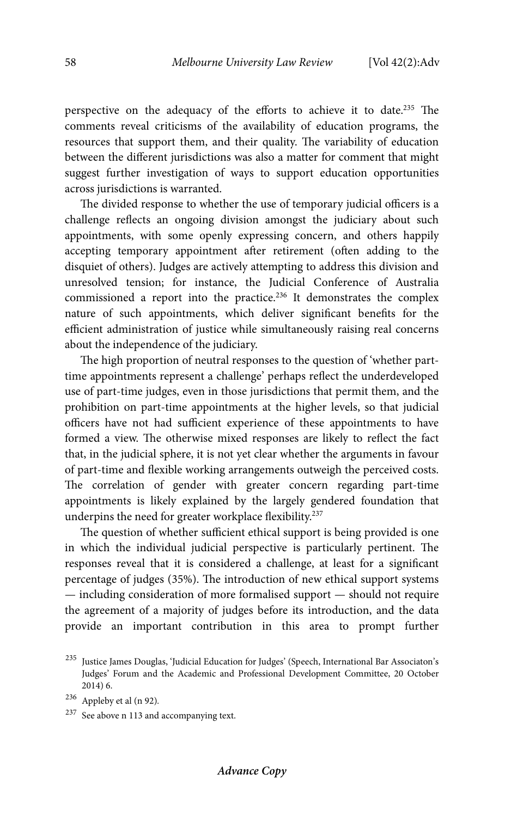perspective on the adequacy of the efforts to achieve it to date.235 The comments reveal criticisms of the availability of education programs, the resources that support them, and their quality. The variability of education between the different jurisdictions was also a matter for comment that might suggest further investigation of ways to support education opportunities across jurisdictions is warranted.

The divided response to whether the use of temporary judicial officers is a challenge reflects an ongoing division amongst the judiciary about such appointments, with some openly expressing concern, and others happily accepting temporary appointment after retirement (often adding to the disquiet of others). Judges are actively attempting to address this division and unresolved tension; for instance, the Judicial Conference of Australia commissioned a report into the practice.<sup>236</sup> It demonstrates the complex nature of such appointments, which deliver significant benefits for the efficient administration of justice while simultaneously raising real concerns about the independence of the judiciary.

The high proportion of neutral responses to the question of 'whether parttime appointments represent a challenge' perhaps reflect the underdeveloped use of part-time judges, even in those jurisdictions that permit them, and the prohibition on part-time appointments at the higher levels, so that judicial officers have not had sufficient experience of these appointments to have formed a view. The otherwise mixed responses are likely to reflect the fact that, in the judicial sphere, it is not yet clear whether the arguments in favour of part-time and flexible working arrangements outweigh the perceived costs. The correlation of gender with greater concern regarding part-time appointments is likely explained by the largely gendered foundation that underpins the need for greater workplace flexibility.<sup>237</sup>

The question of whether sufficient ethical support is being provided is one in which the individual judicial perspective is particularly pertinent. The responses reveal that it is considered a challenge, at least for a significant percentage of judges (35%). The introduction of new ethical support systems — including consideration of more formalised support — should not require the agreement of a majority of judges before its introduction, and the data provide an important contribution in this area to prompt further

<sup>235</sup> Justice James Douglas, 'Judicial Education for Judges' (Speech, International Bar Associaton's Judges' Forum and the Academic and Professional Development Committee, 20 October 2014) 6.

<sup>236</sup> Appleby et al (n 92)*.*

<sup>237</sup> See above n 113 and accompanying text.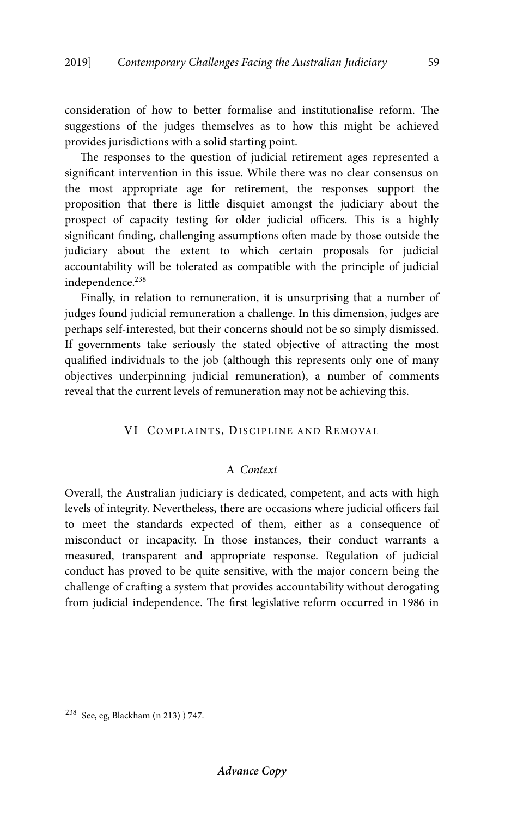consideration of how to better formalise and institutionalise reform. The suggestions of the judges themselves as to how this might be achieved provides jurisdictions with a solid starting point.

The responses to the question of judicial retirement ages represented a significant intervention in this issue. While there was no clear consensus on the most appropriate age for retirement, the responses support the proposition that there is little disquiet amongst the judiciary about the prospect of capacity testing for older judicial officers. This is a highly significant finding, challenging assumptions often made by those outside the judiciary about the extent to which certain proposals for judicial accountability will be tolerated as compatible with the principle of judicial independence.<sup>238</sup>

Finally, in relation to remuneration, it is unsurprising that a number of judges found judicial remuneration a challenge. In this dimension, judges are perhaps self-interested, but their concerns should not be so simply dismissed. If governments take seriously the stated objective of attracting the most qualified individuals to the job (although this represents only one of many objectives underpinning judicial remuneration), a number of comments reveal that the current levels of remuneration may not be achieving this.

#### VI COMPLAINTS, DISCIPLINE AND REMOVAL

# A *Context*

Overall, the Australian judiciary is dedicated, competent, and acts with high levels of integrity. Nevertheless, there are occasions where judicial officers fail to meet the standards expected of them, either as a consequence of misconduct or incapacity. In those instances, their conduct warrants a measured, transparent and appropriate response. Regulation of judicial conduct has proved to be quite sensitive, with the major concern being the challenge of crafting a system that provides accountability without derogating from judicial independence. The first legislative reform occurred in 1986 in

<sup>238</sup> See, eg, Blackham (n 213) ) 747.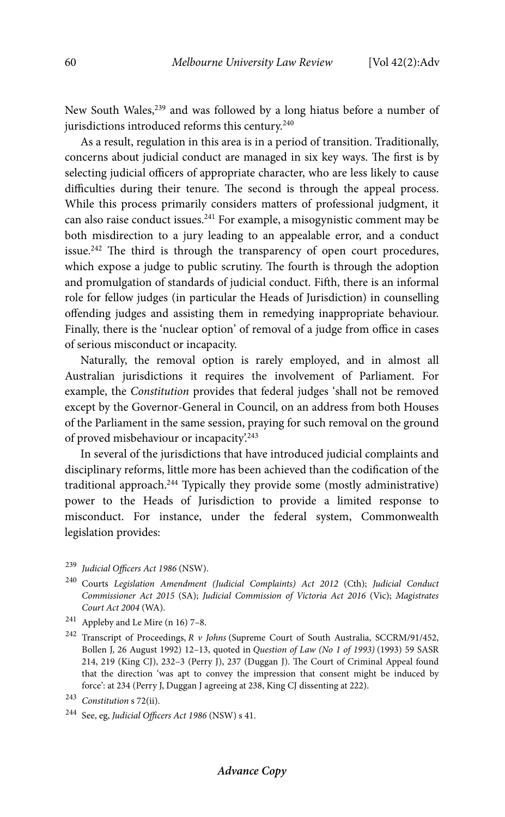New South Wales,<sup>239</sup> and was followed by a long hiatus before a number of jurisdictions introduced reforms this century.<sup>240</sup>

As a result, regulation in this area is in a period of transition. Traditionally, concerns about judicial conduct are managed in six key ways. The first is by selecting judicial officers of appropriate character, who are less likely to cause difficulties during their tenure. The second is through the appeal process. While this process primarily considers matters of professional judgment, it can also raise conduct issues.<sup>241</sup> For example, a misogynistic comment may be both misdirection to a jury leading to an appealable error, and a conduct issue.<sup>242</sup> The third is through the transparency of open court procedures, which expose a judge to public scrutiny. The fourth is through the adoption and promulgation of standards of judicial conduct. Fifth, there is an informal role for fellow judges (in particular the Heads of Jurisdiction) in counselling offending judges and assisting them in remedying inappropriate behaviour. Finally, there is the 'nuclear option' of removal of a judge from office in cases of serious misconduct or incapacity.

Naturally, the removal option is rarely employed, and in almost all Australian jurisdictions it requires the involvement of Parliament. For example, the *Constitution* provides that federal judges 'shall not be removed except by the Governor-General in Council, on an address from both Houses of the Parliament in the same session, praying for such removal on the ground of proved misbehaviour or incapacity'.243

In several of the jurisdictions that have introduced judicial complaints and disciplinary reforms, little more has been achieved than the codification of the traditional approach.<sup>244</sup> Typically they provide some (mostly administrative) power to the Heads of Jurisdiction to provide a limited response to misconduct. For instance, under the federal system, Commonwealth legislation provides:

- <sup>239</sup> *Judicial Officers Act 1986* (NSW).
- 240 Courts *Legislation Amendment (Judicial Complaints) Act 2012* (Cth); *Judicial Conduct Commissioner Act 2015* (SA); *Judicial Commission of Victoria Act 2016* (Vic); *Magistrates Court Act 2004* (WA).
- $^{241}\,$  Appleby and Le Mire (n 16) 7–8.
- 242 Transcript of Proceedings, *R v Johns* (Supreme Court of South Australia, SCCRM/91/452, Bollen J, 26 August 1992) 12–13, quoted in *Question of Law (No 1 of 1993)* (1993) 59 SASR 214, 219 (King CJ), 232–3 (Perry J), 237 (Duggan J). The Court of Criminal Appeal found that the direction 'was apt to convey the impression that consent might be induced by force': at 234 (Perry J, Duggan J agreeing at 238, King CJ dissenting at 222).
- <sup>243</sup> *Constitution* s 72(ii).

<sup>244</sup> See, eg, *Judicial Officers Act 1986* (NSW) s 41.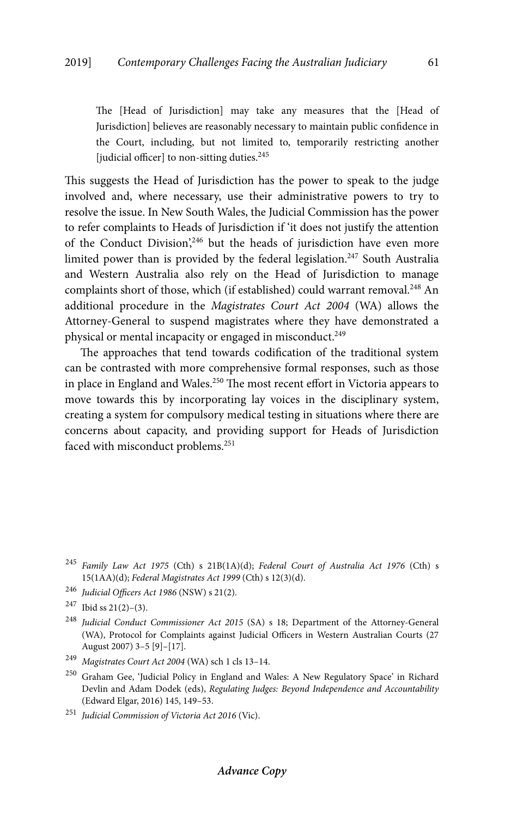The [Head of Jurisdiction] may take any measures that the [Head of Jurisdiction] believes are reasonably necessary to maintain public confidence in the Court, including, but not limited to, temporarily restricting another [judicial officer] to non-sitting duties.<sup>245</sup>

This suggests the Head of Jurisdiction has the power to speak to the judge involved and, where necessary, use their administrative powers to try to resolve the issue. In New South Wales, the Judicial Commission has the power to refer complaints to Heads of Jurisdiction if 'it does not justify the attention of the Conduct Division',<sup>246</sup> but the heads of jurisdiction have even more limited power than is provided by the federal legislation.<sup>247</sup> South Australia and Western Australia also rely on the Head of Jurisdiction to manage complaints short of those, which (if established) could warrant removal.<sup>248</sup> An additional procedure in the *Magistrates Court Act 2004* (WA) allows the Attorney-General to suspend magistrates where they have demonstrated a physical or mental incapacity or engaged in misconduct.<sup>249</sup>

The approaches that tend towards codification of the traditional system can be contrasted with more comprehensive formal responses, such as those in place in England and Wales.<sup>250</sup> The most recent effort in Victoria appears to move towards this by incorporating lay voices in the disciplinary system, creating a system for compulsory medical testing in situations where there are concerns about capacity, and providing support for Heads of Jurisdiction faced with misconduct problems.251

<sup>246</sup> *Judicial Officers Act 1986* (NSW) s 21(2).

<sup>245</sup> *Family Law Act 1975* (Cth) s 21B(1A)(d); *Federal Court of Australia Act 1976* (Cth) s 15(1AA)(d); *Federal Magistrates Act 1999* (Cth) s 12(3)(d).

 $247$  Ibid ss 21(2)–(3).

<sup>248</sup> *Judicial Conduct Commissioner Act 2015* (SA) s 18; Department of the Attorney-General (WA), Protocol for Complaints against Judicial Officers in Western Australian Courts (27 August 2007) 3–5 [9]–[17].

<sup>249</sup> *Magistrates Court Act 2004* (WA) sch 1 cls 13–14.

<sup>250</sup> Graham Gee, 'Judicial Policy in England and Wales: A New Regulatory Space' in Richard Devlin and Adam Dodek (eds), *Regulating Judges: Beyond Independence and Accountability*  (Edward Elgar, 2016) 145, 149–53.

<sup>251</sup> *Judicial Commission of Victoria Act 2016* (Vic).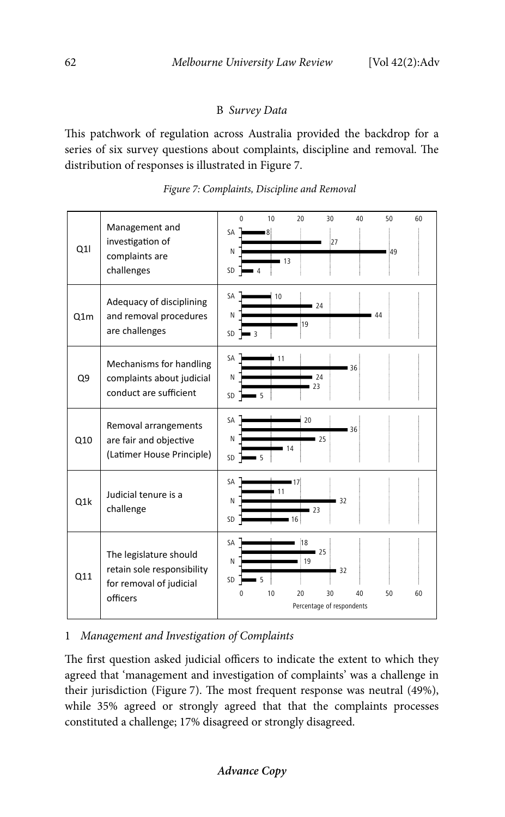# B *Survey Data*

This patchwork of regulation across Australia provided the backdrop for a series of six survey questions about complaints, discipline and removal. The distribution of responses is illustrated in Figure 7.





# 1 *Management and Investigation of Complaints*

The first question asked judicial officers to indicate the extent to which they agreed that 'management and investigation of complaints' was a challenge in their jurisdiction (Figure 7). The most frequent response was neutral (49%), while 35% agreed or strongly agreed that that the complaints processes constituted a challenge; 17% disagreed or strongly disagreed.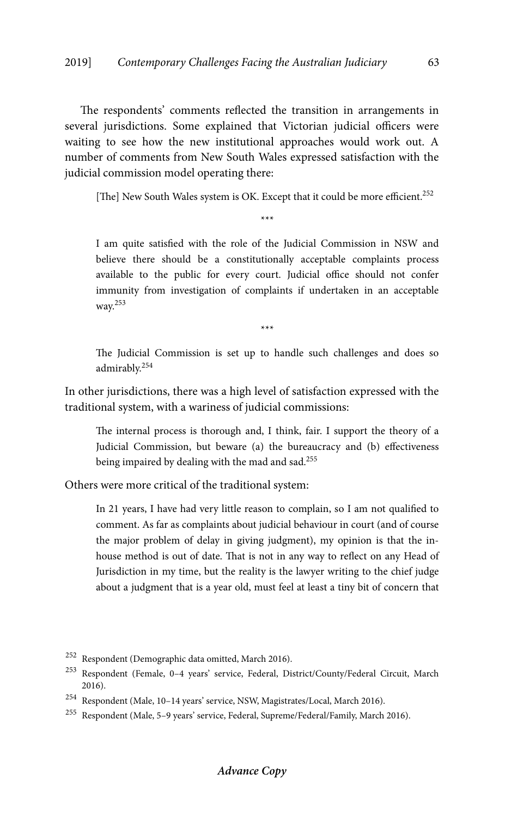The respondents' comments reflected the transition in arrangements in several jurisdictions. Some explained that Victorian judicial officers were waiting to see how the new institutional approaches would work out. A number of comments from New South Wales expressed satisfaction with the judicial commission model operating there:

[The] New South Wales system is OK. Except that it could be more efficient.<sup>252</sup> \*\*\*

I am quite satisfied with the role of the Judicial Commission in NSW and believe there should be a constitutionally acceptable complaints process available to the public for every court. Judicial office should not confer immunity from investigation of complaints if undertaken in an acceptable way.253

\*\*\*

The Judicial Commission is set up to handle such challenges and does so admirably.254

In other jurisdictions, there was a high level of satisfaction expressed with the traditional system, with a wariness of judicial commissions:

The internal process is thorough and, I think, fair. I support the theory of a Judicial Commission, but beware (a) the bureaucracy and (b) effectiveness being impaired by dealing with the mad and sad.<sup>255</sup>

Others were more critical of the traditional system:

In 21 years, I have had very little reason to complain, so I am not qualified to comment. As far as complaints about judicial behaviour in court (and of course the major problem of delay in giving judgment), my opinion is that the inhouse method is out of date. That is not in any way to reflect on any Head of Jurisdiction in my time, but the reality is the lawyer writing to the chief judge about a judgment that is a year old, must feel at least a tiny bit of concern that

252 Respondent (Demographic data omitted, March 2016).

<sup>253</sup> Respondent (Female, 0–4 years' service, Federal, District/County/Federal Circuit, March 2016).

<sup>254</sup> Respondent (Male, 10–14 years' service, NSW, Magistrates/Local, March 2016).

<sup>255</sup> Respondent (Male, 5–9 years' service, Federal, Supreme/Federal/Family, March 2016).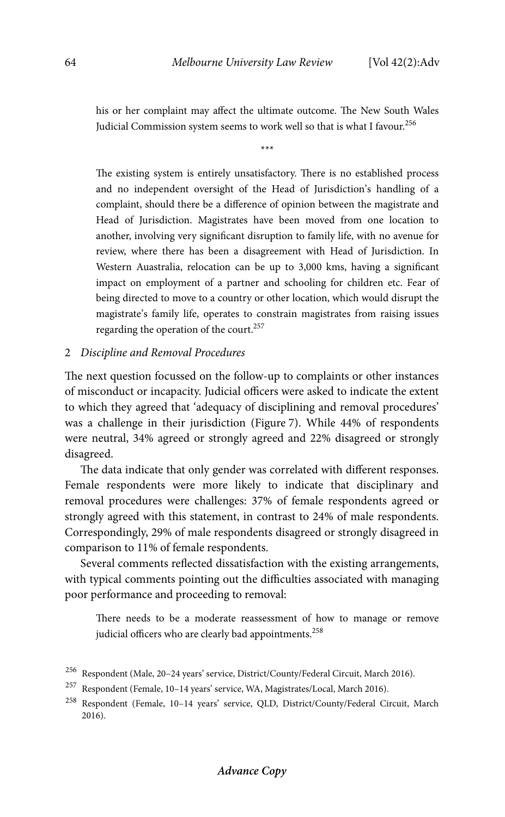his or her complaint may affect the ultimate outcome. The New South Wales Judicial Commission system seems to work well so that is what I favour.<sup>256</sup>

\*\*\*

The existing system is entirely unsatisfactory. There is no established process and no independent oversight of the Head of Jurisdiction's handling of a complaint, should there be a difference of opinion between the magistrate and Head of Jurisdiction. Magistrates have been moved from one location to another, involving very significant disruption to family life, with no avenue for review, where there has been a disagreement with Head of Jurisdiction. In Western Auastralia, relocation can be up to 3,000 kms, having a significant impact on employment of a partner and schooling for children etc. Fear of being directed to move to a country or other location, which would disrupt the magistrate's family life, operates to constrain magistrates from raising issues regarding the operation of the court.257

#### 2 *Discipline and Removal Procedures*

The next question focussed on the follow-up to complaints or other instances of misconduct or incapacity. Judicial officers were asked to indicate the extent to which they agreed that 'adequacy of disciplining and removal procedures' was a challenge in their jurisdiction (Figure 7). While 44% of respondents were neutral, 34% agreed or strongly agreed and 22% disagreed or strongly disagreed.

The data indicate that only gender was correlated with different responses. Female respondents were more likely to indicate that disciplinary and removal procedures were challenges: 37% of female respondents agreed or strongly agreed with this statement, in contrast to 24% of male respondents. Correspondingly, 29% of male respondents disagreed or strongly disagreed in comparison to 11% of female respondents.

Several comments reflected dissatisfaction with the existing arrangements, with typical comments pointing out the difficulties associated with managing poor performance and proceeding to removal:

There needs to be a moderate reassessment of how to manage or remove judicial officers who are clearly bad appointments.<sup>258</sup>

<sup>256</sup> Respondent (Male, 20–24 years' service, District/County/Federal Circuit, March 2016).

 $^{257}\,$  Respondent (Female, 10–14 years' service, WA, Magistrates/Local, March 2016).

<sup>258</sup> Respondent (Female, 10–14 years' service, QLD, District/County/Federal Circuit, March 2016).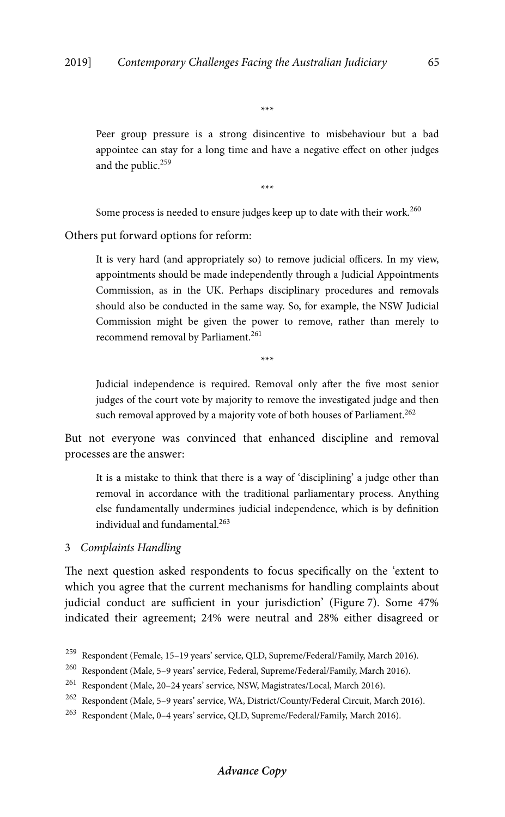\*\*\*

Peer group pressure is a strong disincentive to misbehaviour but a bad appointee can stay for a long time and have a negative effect on other judges and the public.<sup>259</sup>

\*\*\*

Some process is needed to ensure judges keep up to date with their work.<sup>260</sup>

Others put forward options for reform:

It is very hard (and appropriately so) to remove judicial officers. In my view, appointments should be made independently through a Judicial Appointments Commission, as in the UK. Perhaps disciplinary procedures and removals should also be conducted in the same way. So, for example, the NSW Judicial Commission might be given the power to remove, rather than merely to recommend removal by Parliament.<sup>261</sup>

Judicial independence is required. Removal only after the five most senior judges of the court vote by majority to remove the investigated judge and then such removal approved by a majority vote of both houses of Parliament.<sup>262</sup>

\*\*\*

But not everyone was convinced that enhanced discipline and removal processes are the answer:

It is a mistake to think that there is a way of 'disciplining' a judge other than removal in accordance with the traditional parliamentary process. Anything else fundamentally undermines judicial independence, which is by definition individual and fundamental.263

3 *Complaints Handling* 

The next question asked respondents to focus specifically on the 'extent to which you agree that the current mechanisms for handling complaints about judicial conduct are sufficient in your jurisdiction' (Figure 7). Some 47% indicated their agreement; 24% were neutral and 28% either disagreed or

<sup>&</sup>lt;sup>259</sup> Respondent (Female, 15–19 years' service, QLD, Supreme/Federal/Family, March 2016).<br><sup>260</sup> Respondent (Male, 5–9 years' service, Federal, Supreme/Federal/Family, March 2016).

<sup>260</sup> Respondent (Male, 5–9 years' service, Federal, Supreme/Federal/Family, March 2016).

<sup>261</sup> Respondent (Male, 20–24 years' service, NSW, Magistrates/Local, March 2016).

<sup>262</sup> Respondent (Male, 5–9 years' service, WA, District/County/Federal Circuit, March 2016).

<sup>263</sup> Respondent (Male, 0–4 years' service, QLD, Supreme/Federal/Family, March 2016).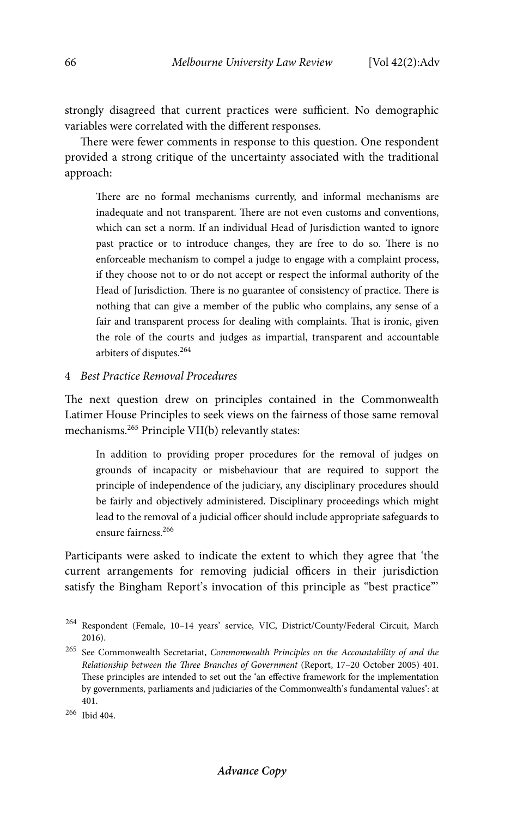strongly disagreed that current practices were sufficient. No demographic variables were correlated with the different responses.

There were fewer comments in response to this question. One respondent provided a strong critique of the uncertainty associated with the traditional approach:

There are no formal mechanisms currently, and informal mechanisms are inadequate and not transparent. There are not even customs and conventions, which can set a norm. If an individual Head of Jurisdiction wanted to ignore past practice or to introduce changes, they are free to do so. There is no enforceable mechanism to compel a judge to engage with a complaint process, if they choose not to or do not accept or respect the informal authority of the Head of Jurisdiction. There is no guarantee of consistency of practice. There is nothing that can give a member of the public who complains, any sense of a fair and transparent process for dealing with complaints. That is ironic, given the role of the courts and judges as impartial, transparent and accountable arbiters of disputes.264

# 4 *Best Practice Removal Procedures*

The next question drew on principles contained in the Commonwealth Latimer House Principles to seek views on the fairness of those same removal mechanisms.<sup>265</sup> Principle VII(b) relevantly states:

In addition to providing proper procedures for the removal of judges on grounds of incapacity or misbehaviour that are required to support the principle of independence of the judiciary, any disciplinary procedures should be fairly and objectively administered. Disciplinary proceedings which might lead to the removal of a judicial officer should include appropriate safeguards to ensure fairness.266

Participants were asked to indicate the extent to which they agree that 'the current arrangements for removing judicial officers in their jurisdiction satisfy the Bingham Report's invocation of this principle as "best practice"'

<sup>264</sup> Respondent (Female, 10–14 years' service, VIC, District/County/Federal Circuit, March 2016).

<sup>265</sup> See Commonwealth Secretariat, *Commonwealth Principles on the Accountability of and the Relationship between the Three Branches of Government* (Report, 17–20 October 2005) 401. These principles are intended to set out the 'an effective framework for the implementation by governments, parliaments and judiciaries of the Commonwealth's fundamental values': at 401.

<sup>266</sup> Ibid 404.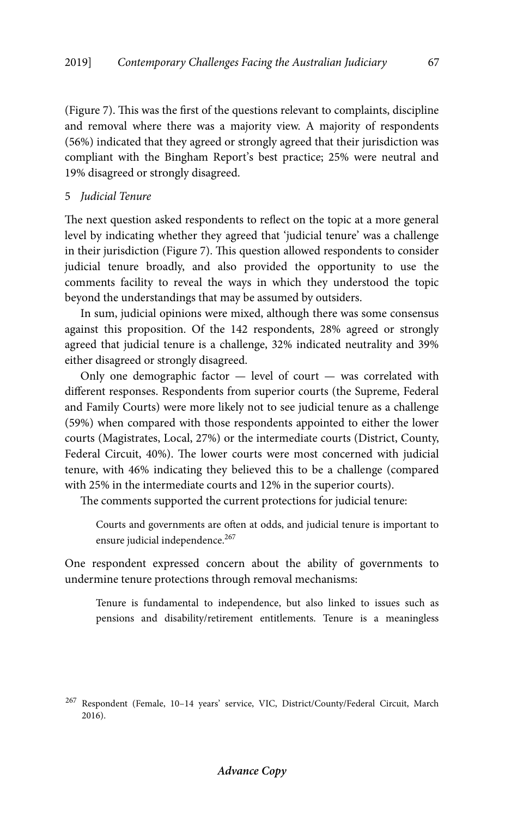(Figure 7). This was the first of the questions relevant to complaints, discipline and removal where there was a majority view. A majority of respondents (56%) indicated that they agreed or strongly agreed that their jurisdiction was compliant with the Bingham Report's best practice; 25% were neutral and 19% disagreed or strongly disagreed.

## 5 *Judicial Tenure*

The next question asked respondents to reflect on the topic at a more general level by indicating whether they agreed that 'judicial tenure' was a challenge in their jurisdiction (Figure 7). This question allowed respondents to consider judicial tenure broadly, and also provided the opportunity to use the comments facility to reveal the ways in which they understood the topic beyond the understandings that may be assumed by outsiders.

In sum, judicial opinions were mixed, although there was some consensus against this proposition. Of the 142 respondents, 28% agreed or strongly agreed that judicial tenure is a challenge, 32% indicated neutrality and 39% either disagreed or strongly disagreed.

Only one demographic factor  $-$  level of court  $-$  was correlated with different responses. Respondents from superior courts (the Supreme, Federal and Family Courts) were more likely not to see judicial tenure as a challenge (59%) when compared with those respondents appointed to either the lower courts (Magistrates, Local, 27%) or the intermediate courts (District, County, Federal Circuit, 40%). The lower courts were most concerned with judicial tenure, with 46% indicating they believed this to be a challenge (compared with 25% in the intermediate courts and 12% in the superior courts).

The comments supported the current protections for judicial tenure:

Courts and governments are often at odds, and judicial tenure is important to ensure judicial independence.<sup>267</sup>

One respondent expressed concern about the ability of governments to undermine tenure protections through removal mechanisms:

Tenure is fundamental to independence, but also linked to issues such as pensions and disability/retirement entitlements. Tenure is a meaningless

<sup>267</sup> Respondent (Female, 10–14 years' service, VIC, District/County/Federal Circuit, March 2016).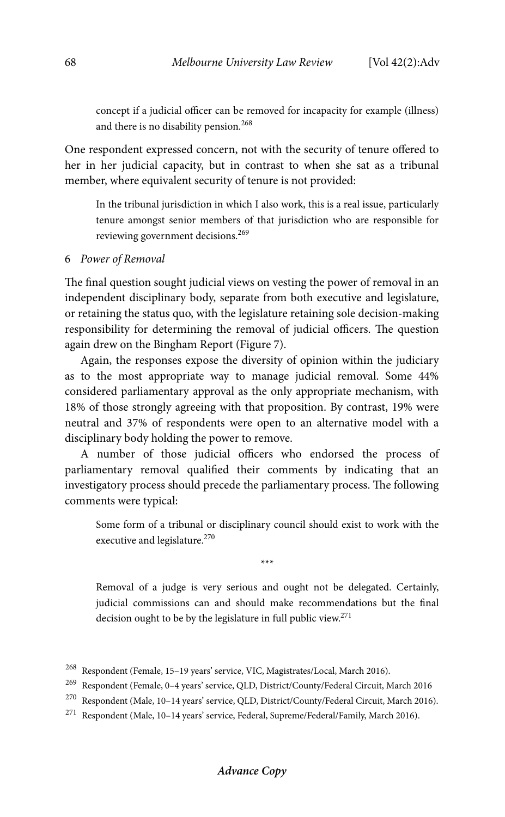concept if a judicial officer can be removed for incapacity for example (illness) and there is no disability pension.<sup>268</sup>

One respondent expressed concern, not with the security of tenure offered to her in her judicial capacity, but in contrast to when she sat as a tribunal member, where equivalent security of tenure is not provided:

In the tribunal jurisdiction in which I also work, this is a real issue, particularly tenure amongst senior members of that jurisdiction who are responsible for reviewing government decisions.<sup>269</sup>

## 6 *Power of Removal*

The final question sought judicial views on vesting the power of removal in an independent disciplinary body, separate from both executive and legislature, or retaining the status quo, with the legislature retaining sole decision-making responsibility for determining the removal of judicial officers. The question again drew on the Bingham Report (Figure 7).

Again, the responses expose the diversity of opinion within the judiciary as to the most appropriate way to manage judicial removal. Some 44% considered parliamentary approval as the only appropriate mechanism, with 18% of those strongly agreeing with that proposition. By contrast, 19% were neutral and 37% of respondents were open to an alternative model with a disciplinary body holding the power to remove.

A number of those judicial officers who endorsed the process of parliamentary removal qualified their comments by indicating that an investigatory process should precede the parliamentary process. The following comments were typical:

Some form of a tribunal or disciplinary council should exist to work with the executive and legislature.<sup>270</sup>

\*\*\*

Removal of a judge is very serious and ought not be delegated. Certainly, judicial commissions can and should make recommendations but the final decision ought to be by the legislature in full public view.<sup>271</sup>

<sup>268</sup> Respondent (Female, 15–19 years' service, VIC, Magistrates/Local, March 2016).

<sup>269</sup> Respondent (Female, 0–4 years' service, QLD, District/County/Federal Circuit, March 2016

<sup>270</sup> Respondent (Male, 10–14 years' service, QLD, District/County/Federal Circuit, March 2016).

<sup>271</sup> Respondent (Male, 10–14 years' service, Federal, Supreme/Federal/Family, March 2016).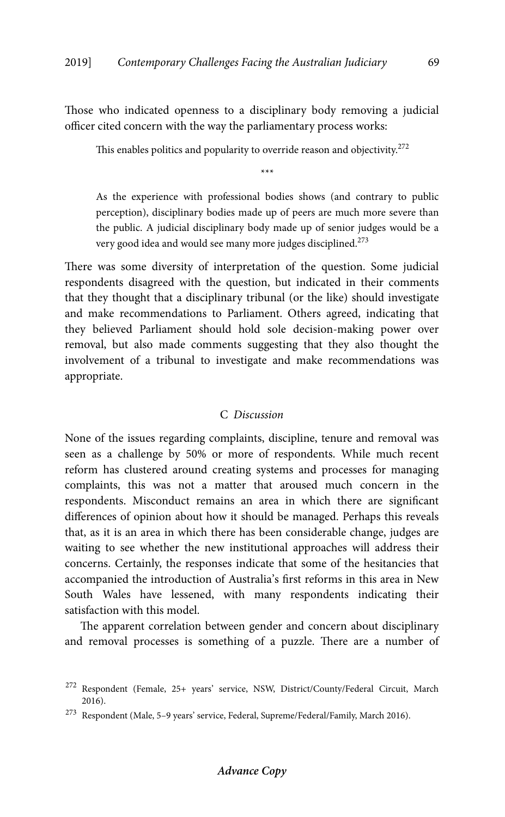Those who indicated openness to a disciplinary body removing a judicial officer cited concern with the way the parliamentary process works:

This enables politics and popularity to override reason and objectivity.<sup>272</sup>

\*\*\*

As the experience with professional bodies shows (and contrary to public perception), disciplinary bodies made up of peers are much more severe than the public. A judicial disciplinary body made up of senior judges would be a very good idea and would see many more judges disciplined.<sup>273</sup>

There was some diversity of interpretation of the question. Some judicial respondents disagreed with the question, but indicated in their comments that they thought that a disciplinary tribunal (or the like) should investigate and make recommendations to Parliament. Others agreed, indicating that they believed Parliament should hold sole decision-making power over removal, but also made comments suggesting that they also thought the involvement of a tribunal to investigate and make recommendations was appropriate.

## C *Discussion*

None of the issues regarding complaints, discipline, tenure and removal was seen as a challenge by 50% or more of respondents. While much recent reform has clustered around creating systems and processes for managing complaints, this was not a matter that aroused much concern in the respondents. Misconduct remains an area in which there are significant differences of opinion about how it should be managed. Perhaps this reveals that, as it is an area in which there has been considerable change, judges are waiting to see whether the new institutional approaches will address their concerns. Certainly, the responses indicate that some of the hesitancies that accompanied the introduction of Australia's first reforms in this area in New South Wales have lessened, with many respondents indicating their satisfaction with this model.

The apparent correlation between gender and concern about disciplinary and removal processes is something of a puzzle. There are a number of

<sup>272</sup> Respondent (Female, 25+ years' service, NSW, District/County/Federal Circuit, March 2016).

 $^{273}\,$  Respondent (Male, 5–9 years' service, Federal, Supreme/Federal/Family, March 2016).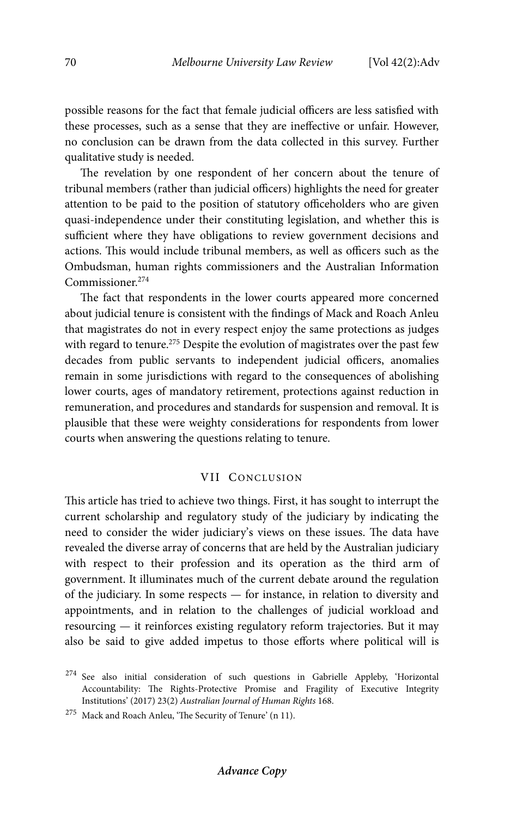possible reasons for the fact that female judicial officers are less satisfied with these processes, such as a sense that they are ineffective or unfair. However, no conclusion can be drawn from the data collected in this survey. Further qualitative study is needed.

The revelation by one respondent of her concern about the tenure of tribunal members (rather than judicial officers) highlights the need for greater attention to be paid to the position of statutory officeholders who are given quasi-independence under their constituting legislation, and whether this is sufficient where they have obligations to review government decisions and actions. This would include tribunal members, as well as officers such as the Ombudsman, human rights commissioners and the Australian Information Commissioner.274

The fact that respondents in the lower courts appeared more concerned about judicial tenure is consistent with the findings of Mack and Roach Anleu that magistrates do not in every respect enjoy the same protections as judges with regard to tenure.<sup>275</sup> Despite the evolution of magistrates over the past few decades from public servants to independent judicial officers, anomalies remain in some jurisdictions with regard to the consequences of abolishing lower courts, ages of mandatory retirement, protections against reduction in remuneration, and procedures and standards for suspension and removal. It is plausible that these were weighty considerations for respondents from lower courts when answering the questions relating to tenure.

# VII CONCLUSION

This article has tried to achieve two things. First, it has sought to interrupt the current scholarship and regulatory study of the judiciary by indicating the need to consider the wider judiciary's views on these issues. The data have revealed the diverse array of concerns that are held by the Australian judiciary with respect to their profession and its operation as the third arm of government. It illuminates much of the current debate around the regulation of the judiciary. In some respects — for instance, in relation to diversity and appointments, and in relation to the challenges of judicial workload and resourcing — it reinforces existing regulatory reform trajectories. But it may also be said to give added impetus to those efforts where political will is

 $^{274}$  See also initial consideration of such questions in Gabrielle Appleby, 'Horizontal Accountability: The Rights-Protective Promise and Fragility of Executive Integrity Institutions' (2017) 23(2) *Australian Journal of Human Rights* 168.

<sup>275</sup> Mack and Roach Anleu, 'The Security of Tenure' (n 11).